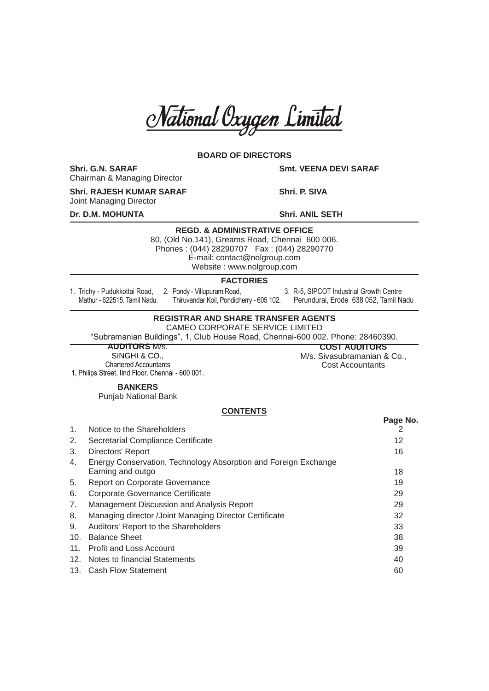

**BOARD OF DIRECTORS**

**Shri. G.N. SARAF Smt. VEENA DEVI SARAF** Chairman & Managing Director

Shri. RAJESH KUMAR SARAF Shri. P. SIVA

Joint Managing Director

**Dr. D.M. MOHUNTA Shri. ANIL SETH**

#### **REGD. & ADMINISTRATIVE OFFICE**

80, (Old No.141), Greams Road, Chennai 600 006. Phones : (044) 28290707 Fax : (044) 28290770 [E-mail: contact@nolgroup.com](mailto:contact@nolgroup.com) [Website : www.nolgroup.com](http://www.nolgroup.com/)

#### **FACTORIES**

1. Trichy - Pudukkottai Road, 2. Pondy - Villupuram Road, 3. R-5, SIPCOT Industrial Growth Centre Perundurai, Erode 638 052, Tamil Nadu

#### **REGISTRAR AND SHARE TRANSFER AGENTS** CAMEO CORPORATE SERVICE LIMITED

"Subramanian Buildings", 1, Club House Road, Chennai-600 002. Phone: 28460390.

**AUDITORS** M/s.

SINGHI & CO., Chartered Accountants 1, Philips Street, IInd Floor, Chennai - 600 001.

**COST AUDITORS** M/s. Sivasubramanian & Co., Cost Accountants

#### **BANKERS**

Punjab National Bank

#### **CONTENTS**

|                 |                                                                 | Page No. |
|-----------------|-----------------------------------------------------------------|----------|
| $\mathbf{1}$ .  | Notice to the Shareholders                                      |          |
| 2.              | Secretarial Compliance Certificate                              | 12       |
| 3.              | Directors' Report                                               | 16       |
| 4.              | Energy Conservation, Technology Absorption and Foreign Exchange |          |
|                 | Earning and outgo                                               | 18       |
| 5.              | Report on Corporate Governance                                  | 19       |
| 6.              | Corporate Governance Certificate                                | 29       |
| 7.              | Management Discussion and Analysis Report                       | 29       |
| 8.              | Managing director / Joint Managing Director Certificate         | 32       |
| 9.              | Auditors' Report to the Shareholders                            | 33       |
| 10.             | <b>Balance Sheet</b>                                            | 38       |
| 11.             | <b>Profit and Loss Account</b>                                  | 39       |
| 12 <sub>1</sub> | Notes to financial Statements                                   | 40       |
| 13.             | <b>Cash Flow Statement</b>                                      | 60       |
|                 |                                                                 |          |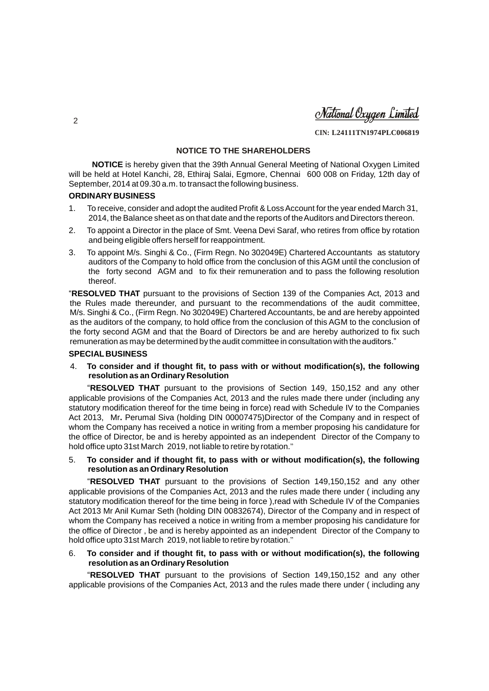National Oxygen Limited

**CIN: L24111TN1974PLC006819**

#### **NOTICE TO THE SHAREHOLDERS**

**NOTICE** is hereby given that the 39th Annual General Meeting of National Oxygen Limited will be held at Hotel Kanchi, 28, Ethiraj Salai, Egmore, Chennai 600 008 on Friday, 12th day of September, 2014 at 09.30 a.m. to transact the following business.

#### **ORDINARY BUSINESS**

- 1. To receive, consider and adopt the audited Profit & LossAccount for the year ended March 31, 2014, the Balance sheet as on that date and the reports of theAuditors and Directors thereon.
- 2. To appoint a Director in the place of Smt. Veena Devi Saraf, who retires from office by rotation and being eligible offers herself for reappointment.
- 3. To appoint M/s. Singhi & Co., (Firm Regn. No 302049E) Chartered Accountants as statutory auditors of the Company to hold office from the conclusion of this AGM until the conclusion of the forty second AGM and to fix their remuneration and to pass the following resolution thereof.

"**RESOLVED THAT** pursuant to the provisions of Section 139 of the Companies Act, 2013 and the Rules made thereunder, and pursuant to the recommendations of the audit committee, M/s. Singhi & Co., (Firm Regn. No 302049E) Chartered Accountants, be and are hereby appointed as the auditors of the company, to hold office from the conclusion of this AGM to the conclusion of the forty second AGM and that the Board of Directors be and are hereby authorized to fix such remuneration as may be determined by the audit committee in consultation with the auditors."

#### **SPECIAL BUSINESS**

4. **To consider and if thought fit, to pass with or without modification(s), the following resolution as an Ordinary Resolution**

"**RESOLVED THAT** pursuant to the provisions of Section 149, 150,152 and any other applicable provisions of the Companies Act, 2013 and the rules made there under (including any statutory modification thereof for the time being in force) read with Schedule IV to the Companies Act 2013, Mr**.** Perumal Siva (holding DIN 00007475)Director of the Company and in respect of whom the Company has received a notice in writing from a member proposing his candidature for the office of Director, be and is hereby appointed as an independent Director of the Company to hold office upto 31st March 2019, not liable to retire by rotation."

#### 5. **To consider and if thought fit, to pass with or without modification(s), the following resolution as an Ordinary Resolution**

"**RESOLVED THAT** pursuant to the provisions of Section 149,150,152 and any other applicable provisions of the Companies Act, 2013 and the rules made there under ( including any statutory modification thereof for the time being in force ),read with Schedule IV of the Companies Act 2013 Mr Anil Kumar Seth (holding DIN 00832674), Director of the Company and in respect of whom the Company has received a notice in writing from a member proposing his candidature for the office of Director , be and is hereby appointed as an independent Director of the Company to hold office upto 31st March 2019, not liable to retire by rotation."

#### 6. **To consider and if thought fit, to pass with or without modification(s), the following resolution as an Ordinary Resolution**

"**RESOLVED THAT** pursuant to the provisions of Section 149,150,152 and any other applicable provisions of the Companies Act, 2013 and the rules made there under ( including any

 $\mathfrak{p}$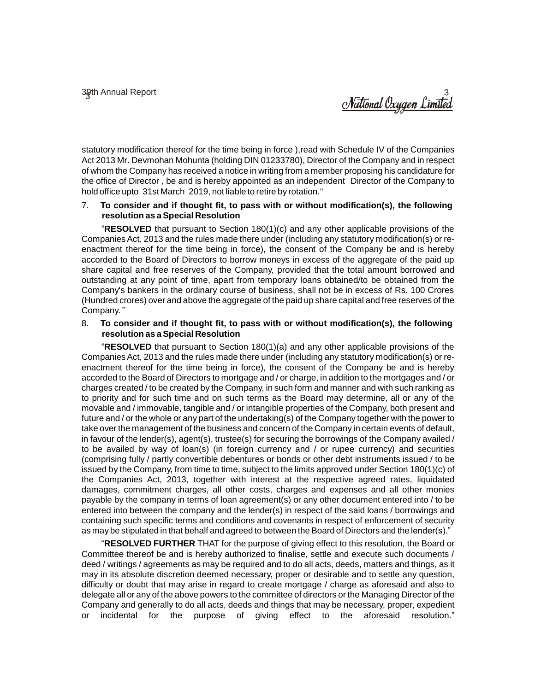39th Annual Report 3 3

statutory modification thereof for the time being in force ),read with Schedule IV of the Companies Act 2013 Mr**.** Devmohan Mohunta (holding DIN 01233780), Director of the Company and in respect of whom the Company has received a notice in writing from a member proposing his candidature for the office of Director , be and is hereby appointed as an independent Director of the Company to hold office upto 31st March 2019, not liable to retire by rotation."

#### 7. **To consider and if thought fit, to pass with or without modification(s), the following resolution as a Special Resolution**

"**RESOLVED** that pursuant to Section 180(1)(c) and any other applicable provisions of the Companies Act, 2013 and the rules made there under (including any statutory modification(s) or reenactment thereof for the time being in force), the consent of the Company be and is hereby accorded to the Board of Directors to borrow moneys in excess of the aggregate of the paid up share capital and free reserves of the Company, provided that the total amount borrowed and outstanding at any point of time, apart from temporary loans obtained/to be obtained from the Company's bankers in the ordinary course of business, shall not be in excess of Rs. 100 Crores (Hundred crores) over and above the aggregate of the paid up share capital and free reserves of the Company. "

#### 8. **To consider and if thought fit, to pass with or without modification(s), the following resolution as a Special Resolution**

"**RESOLVED** that pursuant to Section 180(1)(a) and any other applicable provisions of the CompaniesAct, 2013 and the rules made there under (including any statutory modification(s) or reenactment thereof for the time being in force), the consent of the Company be and is hereby accorded to the Board of Directors to mortgage and / or charge, in addition to the mortgages and / or charges created / to be created by the Company, in such form and manner and with such ranking as to priority and for such time and on such terms as the Board may determine, all or any of the movable and / immovable, tangible and / or intangible properties of the Company, both present and future and / or the whole or any part of the undertaking(s) of the Company together with the power to take over the management of the business and concern of the Company in certain events of default, in favour of the lender(s), agent(s), trustee(s) for securing the borrowings of the Company availed / to be availed by way of loan(s) (in foreign currency and / or rupee currency) and securities (comprising fully / partly convertible debentures or bonds or other debt instruments issued / to be issued by the Company, from time to time, subject to the limits approved under Section 180(1)(c) of the Companies Act, 2013, together with interest at the respective agreed rates, liquidated damages, commitment charges, all other costs, charges and expenses and all other monies payable by the company in terms of loan agreement(s) or any other document entered into / to be entered into between the company and the lender(s) in respect of the said loans / borrowings and containing such specific terms and conditions and covenants in respect of enforcement of security as may be stipulated in that behalf and agreed to between the Board of Directors and the lender(s)."

"**RESOLVED FURTHER** THAT for the purpose of giving effect to this resolution, the Board or Committee thereof be and is hereby authorized to finalise, settle and execute such documents / deed / writings / agreements as may be required and to do all acts, deeds, matters and things, as it may in its absolute discretion deemed necessary, proper or desirable and to settle any question, difficulty or doubt that may arise in regard to create mortgage / charge as aforesaid and also to delegate all or any of the above powers to the committee of directors or the Managing Director of the Company and generally to do all acts, deeds and things that may be necessary, proper, expedient or incidental for the purpose of giving effect to the aforesaid resolution."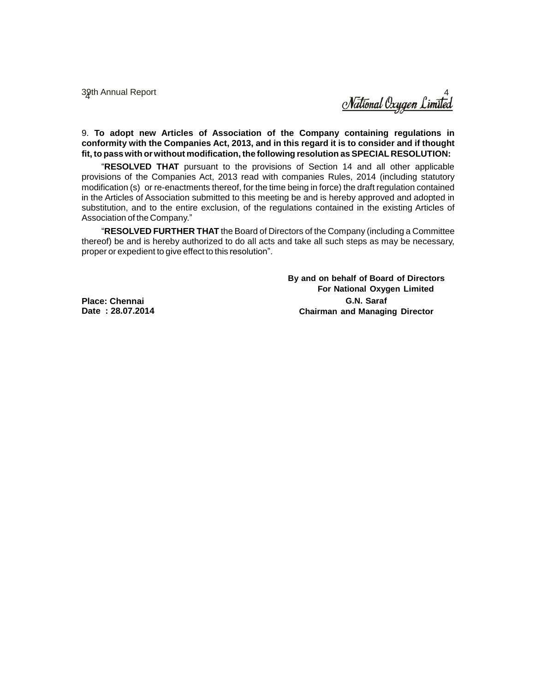3 $\frac{3}{4}$ th Annual Report  $\frac{4}{4}$ 

9. **To adopt new Articles of Association of the Company containing regulations in conformity with the Companies Act, 2013, and in this regard it is to consider and if thought fit, to pass with orwithout modification, the following resolution as SPECIAL RESOLUTION:**

"**RESOLVED THAT** pursuant to the provisions of Section 14 and all other applicable provisions of the Companies Act, 2013 read with companies Rules, 2014 (including statutory modification (s) or re-enactments thereof, for the time being in force) the draft regulation contained in the Articles of Association submitted to this meeting be and is hereby approved and adopted in substitution, and to the entire exclusion, of the regulations contained in the existing Articles of Association of the Company."

"**RESOLVED FURTHER THAT** the Board of Directors of the Company (including a Committee thereof) be and is hereby authorized to do all acts and take all such steps as may be necessary, proper or expedient to give effect to this resolution".

> **By and on behalf of Board of Directors For National Oxygen Limited G.N. Saraf Chairman and Managing Director**

**Place: Chennai Date : 28.07.2014**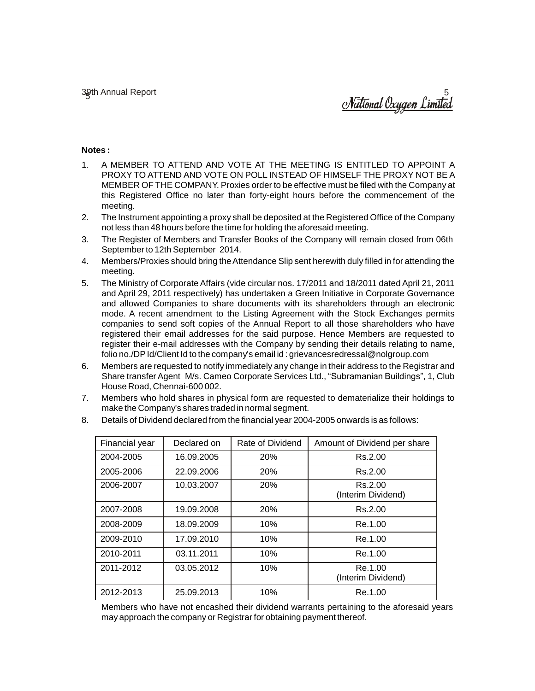39th Annual Report 5<br>
39th Annual Report 5

#### **Notes :**

- 1. A MEMBER TO ATTEND AND VOTE AT THE MEETING IS ENTITLED TO APPOINT A PROXY TO ATTEND AND VOTE ON POLL INSTEAD OF HIMSELF THE PROXY NOT BE A MEMBER OF THE COMPANY. Proxies order to be effective must be filed with the Company at this Registered Office no later than forty-eight hours before the commencement of the meeting.
- 2. The Instrument appointing a proxy shall be deposited at the Registered Office of the Company not less than 48 hours before the time for holding the aforesaid meeting.
- 3. The Register of Members and Transfer Books of the Company will remain closed from 06th September to 12th September 2014.
- 4. Members/Proxies should bring theAttendance Slip sent herewith duly filled in for attending the meeting.
- 5. The Ministry of Corporate Affairs (vide circular nos. 17/2011 and 18/2011 dated April 21, 2011 and April 29, 2011 respectively) has undertaken a Green Initiative in Corporate Governance and allowed Companies to share documents with its shareholders through an electronic mode. A recent amendment to the Listing Agreement with the Stock Exchanges permits companies to send soft copies of the Annual Report to all those shareholders who have registered their email addresses for the said purpose. Hence Members are requested to register their e-mail addresses with the Company by sending their details relating to name, folio no./DPId/Client Id to the company's email id : [grievancesredressal@nolgroup.com](mailto:grievancesredressal@nolgroup.com)
- 6. Members are requested to notify immediately any change in their address to the Registrar and Share transfer Agent M/s. Cameo Corporate Services Ltd., "Subramanian Buildings", 1, Club House Road, Chennai-600 002.
- 7. Members who hold shares in physical form are requested to dematerialize their holdings to make the Company's shares traded in normal segment.

| Financial year | Declared on | Rate of Dividend | Amount of Dividend per share  |
|----------------|-------------|------------------|-------------------------------|
| 2004-2005      | 16.09.2005  | 20%              | Rs.2.00                       |
| 2005-2006      | 22.09.2006  | 20%              | Rs.2.00                       |
| 2006-2007      | 10.03.2007  | 20%              | Rs.2.00<br>(Interim Dividend) |
| 2007-2008      | 19.09.2008  | <b>20%</b>       | Rs.2.00                       |
| 2008-2009      | 18.09.2009  | 10%              | Re.1.00                       |
| 2009-2010      | 17.09.2010  | 10%              | Re.1.00                       |
| 2010-2011      | 03.11.2011  | 10%              | Re.1.00                       |
| 2011-2012      | 03.05.2012  | 10%              | Re.1.00<br>(Interim Dividend) |
| 2012-2013      | 25.09.2013  | 10%              | Re.1.00                       |

8. Details of Dividend declared from the financial year 2004-2005 onwards is as follows:

Members who have not encashed their dividend warrants pertaining to the aforesaid years may approach the company or Registrar for obtaining payment thereof.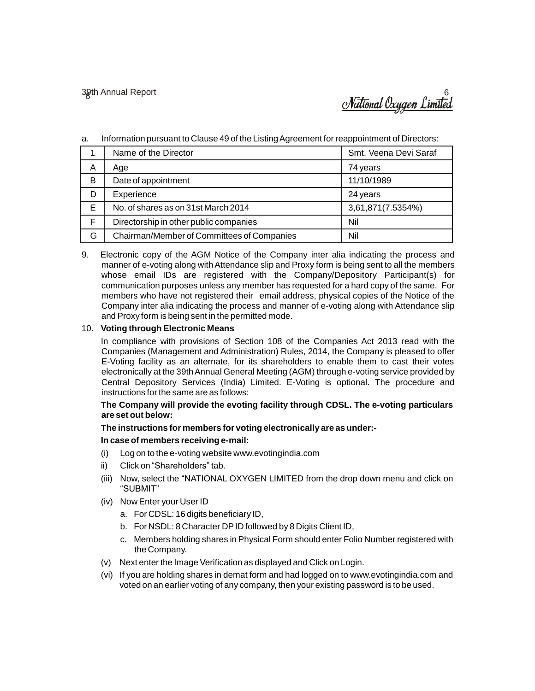39th Annual Report 6 6

a. Information pursuant to Clause 49 of the Listing Agreement for reappointment of Directors:

|   | Name of the Director                       | Smt. Veena Devi Saraf |
|---|--------------------------------------------|-----------------------|
| A | Age                                        | 74 years              |
| B | Date of appointment                        | 11/10/1989            |
| D | Experience                                 | 24 years              |
| Е | No. of shares as on 31st March 2014        | 3,61,871(7.5354%)     |
| F | Directorship in other public companies     | Nil                   |
| G | Chairman/Member of Committees of Companies | Nil                   |

9. Electronic copy of the AGM Notice of the Company inter alia indicating the process and manner of e-voting along withAttendance slip and Proxy form is being sent to all the members whose email IDs are registered with the Company/Depository Participant(s) for communication purposes unless any member has requested for a hard copy of the same. For members who have not registered their email address, physical copies of the Notice of the Company inter alia indicating the process and manner of e-voting along with Attendance slip and Proxy form is being sent in the permitted mode.

#### 10. **Voting through Electronic Means**

In compliance with provisions of Section 108 of the Companies Act 2013 read with the Companies (Management and Administration) Rules, 2014, the Company is pleased to offer E-Voting facility as an alternate, for its shareholders to enable them to cast their votes electronically at the 39thAnnual General Meeting (AGM) through e-voting service provided by Central Depository Services (India) Limited. E-Voting is optional. The procedure and instructions for the same are as follows:

#### **The Company will provide the evoting facility through CDSL. The e-voting particulars are set out below:**

#### **The instructions for members for voting electronically are as under:-**

#### **In case of members receiving e-mail:**

- (i) Log on to the e-voting website [www.evotingindia.com](http://www.evotingindia.com/)
- ii) Click on "Shareholders" tab.
- (iii) Now, select the "NATIONAL OXYGEN LIMITED from the drop down menu and click on "SUBMIT"
- (iv) Now Enter your User ID
	- a. For CDSL: 16 digits beneficiary ID,
	- b. For NSDL: 8 Character DPID followed by 8 Digits Client ID,
	- c. Members holding shares in Physical Form should enter Folio Number registered with the Company.
- (v) Next enter the Image Verification as displayed and Click on Login.
- (vi) If you are holding shares in demat form and had logged on to [www.evotingindia.com](http://www.evotingindia.com/) and voted on an earlier voting of any company, then your existing password is to be used.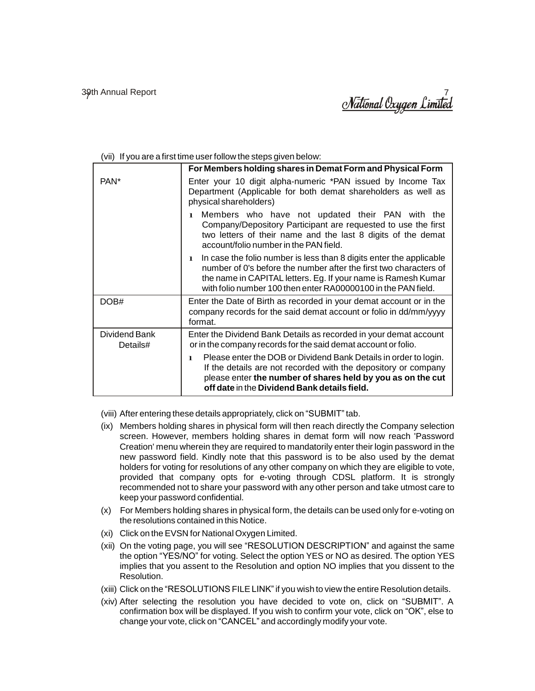

(vii) If you are a first time user follow the steps given below: PAN\* **For Members holding shares in Demat Form and Physical Form** Enter your 10 digit alpha-numeric \*PAN issued by Income Tax Department (Applicable for both demat shareholders as well as physical shareholders) 1 Members who have not updated their PAN with the Company/Depository Participant are requested to use the first two letters of their name and the last 8 digits of the demat account/folio number in the PAN field. 1 In case the folio number is less than 8 digits enter the applicable number of 0's before the number after the first two characters of the name in CAPITAL letters. Eg. If your name is Ramesh Kumar with folio number 100 then enter RA00000100 in the PAN field. DOB# Enter the Date of Birth as recorded in your demat account or in the company records for the said demat account or folio in dd/mm/yyyy format. Dividend Bank Details# Enter the Dividend Bank Details as recorded in your demat account or in the company records for the said demat account or folio. 1 Please enter the DOB or Dividend Bank Details in order to login. If the details are not recorded with the depository or company please enter **the number of shares held by you as on the cut off date** in the **Dividend Bank details field.** (viii) After entering these details appropriately, click on "SUBMIT" tab.

(ix) Members holding shares in physical form will then reach directly the Company selection screen. However, members holding shares in demat form will now reach 'Password Creation' menu wherein they are required to mandatorily enter their login password in the new password field. Kindly note that this password is to be also used by the demat holders for voting for resolutions of any other company on which they are eligible to vote, provided that company opts for e-voting through CDSL platform. It is strongly recommended not to share your password with any other person and take utmost care to keep your password confidential.

- (x) For Members holding shares in physical form, the details can be used only for e-voting on the resolutions contained in this Notice.
- (xi) Click on theEVSN for National Oxygen Limited.
- (xii) On the voting page, you will see "RESOLUTION DESCRIPTION" and against the same the option "YES/NO" for voting. Select the option YES or NO as desired. The option YES implies that you assent to the Resolution and option NO implies that you dissent to the Resolution.
- (xiii) Click on the "RESOLUTIONS FILELINK" if you wish to view the entire Resolution details.
- (xiv) After selecting the resolution you have decided to vote on, click on "SUBMIT". A confirmation box will be displayed. If you wish to confirm your vote, click on "OK", else to change your vote, click on "CANCEL" and accordingly modify your vote.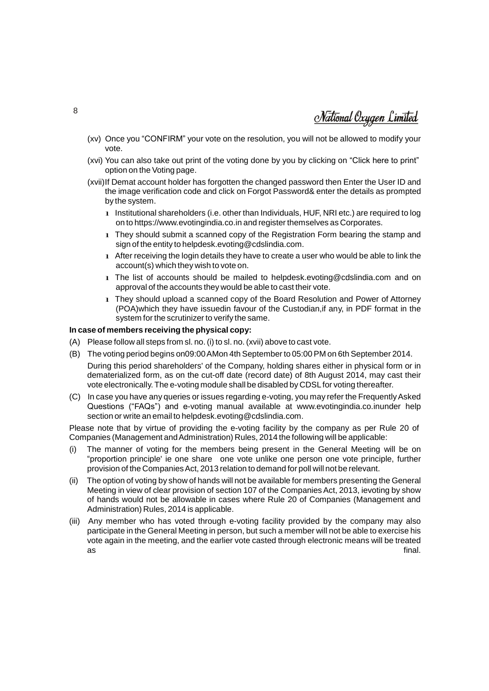# National Oxygen Limited

- (xv) Once you "CONFIRM" your vote on the resolution, you will not be allowed to modify your vote.
- (xvi) You can also take out print of the voting done by you by clicking on "Click here to print" option on the Voting page.
- (xvii)If Demat account holder has forgotten the changed password then Enter the User ID and the image verification code and click on Forgot Password& enter the details as prompted by the system.
	- 1 Institutional shareholders (i.e. other than Individuals, HUF, NRI etc.) are required to log on to [https://www.evotingindia.co.in](http://www.evotingindia.co.in/) and register themselves as Corporates.
	- l They should submit <sup>a</sup> scanned copy of the Registration Form bearing the stamp and sign of the entity to [helpdesk.evoting@cdslindia.com.](mailto:evoting@cdslindia.com)
	- l After receiving the login details they have to create <sup>a</sup> user who would be able to link the account(s) which they wish to vote on.
	- $\bf{1}$  The list of accounts should be mailed to [helpdesk.evoting@cdslindia.com](mailto:evoting@cdslindia.com) and on approval of the [accounts](mailto:evoting@cdslindia.com) they would be able to cast their vote.
	- l They should upload <sup>a</sup> scanned copy of the Board Resolution and Power of Attorney (POA)which they have issuedin favour of the Custodian,if any, in PDF format in the system for the scrutinizer to verify the same.

#### **In case of members receiving the physical copy:**

- (A) Please follow all steps from sl. no. (i) to sl. no. (xvii) above to cast vote.
- (B) The voting period begins on09:00AMon 4th September to 05:00 PM on 6th September 2014. During this period shareholders' of the Company, holding shares either in physical form or in dematerialized form, as on the cut-off date (record date) of 8th August 2014, may cast their vote electronically.The e-voting module shall be disabled by CDSLfor voting thereafter.
- (C) In case you have any queries or issues regarding e-voting, you may refer the FrequentlyAsked Questions ("FAQs") and e-voting manual available at [www.evotingindia.co.inunder](http://www.evotingindia.co.inunder/) help section or write an email to [helpdesk.evoting@cdslindia.com.](mailto:evoting@cdslindia.com)

Please note that by virtue of providing the e-voting facility by the company as per Rule 20 of Companies (Management andAdministration) Rules, 2014 the following will be applicable:

- (i) The manner of voting for the members being present in the General Meeting will be on "proportion principle' ie one share one vote unlike one person one vote principle, further provision of the Companies Act, 2013 relation to demand for poll will not be relevant.
- (ii) The option of voting by show of hands will not be available for members presenting the General Meeting in view of clear provision of section 107 of the Companies Act, 2013, ievoting by show of hands would not be allowable in cases where Rule 20 of Companies (Management and Administration) Rules, 2014 is applicable.
- (iii) Any member who has voted through e-voting facility provided by the company may also participate in the General Meeting in person, but such a member will not be able to exercise his vote again in the meeting, and the earlier vote casted through electronic means will be treated as final. And the control of the control of the control of the control of the control of the control of the co

#### 8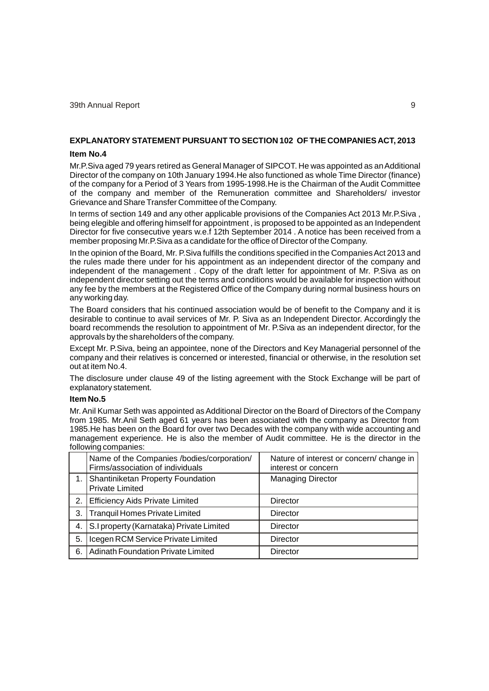#### **EXPLANATORYSTATEMENT PURSUANT TO SECTION 102 OF THE COMPANIES ACT, 2013**

#### **Item No.4**

Mr.P.Siva aged 79 years retired as General Manager of SIPCOT. He was appointed as anAdditional Director of the company on 10th January 1994.He also functioned as whole Time Director (finance) of the company for a Period of 3 Years from 1995-1998.He is the Chairman of the Audit Committee of the company and member of the Remuneration committee and Shareholders/ investor Grievance andShare Transfer Committee of the Company.

In terms of section 149 and any other applicable provisions of the Companies Act 2013 Mr.P.Siva , being elegible and offering himself for appointment , is proposed to be appointed as an Independent Director for five consecutive years w.e.f 12th September 2014 . A notice has been received from a member proposing Mr.P.Siva as a candidate for the office of Director of the Company.

In the opinion of the Board, Mr. P. Siva fulfills the conditions specified in the Companies Act 2013 and the rules made there under for his appointment as an independent director of the company and independent of the management . Copy of the draft letter for appointment of Mr. P.Siva as on independent director setting out the terms and conditions would be available for inspection without any fee by the members at the Registered Office of the Company during normal business hours on any working day.

The Board considers that his continued association would be of benefit to the Company and it is desirable to continue to avail services of Mr. P. Siva as an Independent Director. Accordingly the board recommends the resolution to appointment of Mr. P.Siva as an independent director, for the approvals by the shareholders of the company.

Except Mr. P.Siva, being an appointee, none of the Directors and Key Managerial personnel of the company and their relatives is concerned or interested, financial or otherwise, in the resolution set out at item No.4.

The disclosure under clause 49 of the listing agreement with the Stock Exchange will be part of explanatory statement.

#### **Item No.5**

Mr. Anil Kumar Seth was appointed as Additional Director on the Board of Directors of the Company from 1985. Mr.Anil Seth aged 61 years has been associated with the company as Director from 1985.He has been on the Board for over two Decades with the company with wide accounting and management experience. He is also the member of Audit committee. He is the director in the following companies:

|     | Name of the Companies /bodies/corporation/<br>Firms/association of individuals | Nature of interest or concern/ change in<br>interest or concern |
|-----|--------------------------------------------------------------------------------|-----------------------------------------------------------------|
|     | <b>Shantiniketan Property Foundation</b><br><b>Private Limited</b>             | <b>Managing Director</b>                                        |
| 2.  | <b>Efficiency Aids Private Limited</b>                                         | Director                                                        |
| 3.1 | Tranquil Homes Private Limited                                                 | Director                                                        |
| 4.  | S.I property (Karnataka) Private Limited                                       | Director                                                        |
| 5.  | Icegen RCM Service Private Limited                                             | Director                                                        |
| 6.  | Adinath Foundation Private Limited                                             | Director                                                        |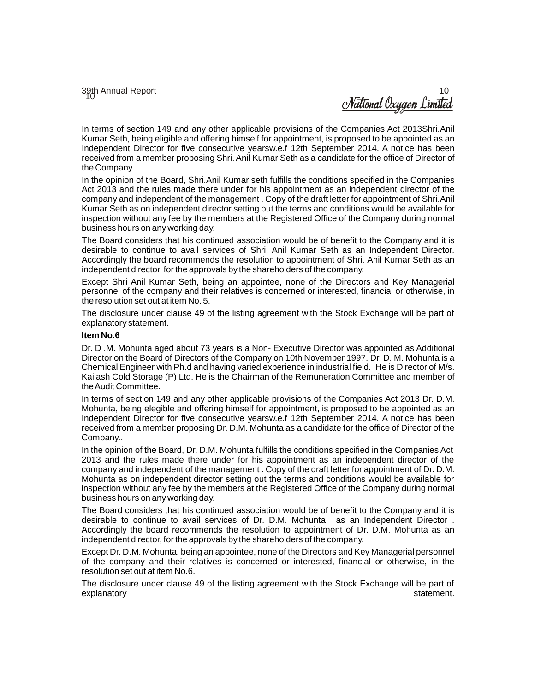10<br>10 39th Annual Report 10<br>Mational Oxygen Limited

In terms of section 149 and any other applicable provisions of the Companies Act 2013Shri.Anil Kumar Seth, being eligible and offering himself for appointment, is proposed to be appointed as an Independent Director for five consecutive yearsw.e.f 12th September 2014. A notice has been received from a member proposing Shri. Anil Kumar Seth as a candidate for the office of Director of the Company.

In the opinion of the Board, Shri.Anil Kumar seth fulfills the conditions specified in the Companies Act 2013 and the rules made there under for his appointment as an independent director of the company and independent of the management . Copy of the draft letter for appointment of Shri.Anil Kumar Seth as on independent director setting out the terms and conditions would be available for inspection without any fee by the members at the Registered Office of the Company during normal business hours on any working day.

The Board considers that his continued association would be of benefit to the Company and it is desirable to continue to avail services of Shri. Anil Kumar Seth as an Independent Director. Accordingly the board recommends the resolution to appointment of Shri. Anil Kumar Seth as an independent director, for the approvals by the shareholders of the company.

Except Shri Anil Kumar Seth, being an appointee, none of the Directors and Key Managerial personnel of the company and their relatives is concerned or interested, financial or otherwise, in the resolution set out at item No. 5.

The disclosure under clause 49 of the listing agreement with the Stock Exchange will be part of explanatory statement.

#### **Item No.6**

Dr. D .M. Mohunta aged about 73 years is a Non- Executive Director was appointed as Additional Director on the Board of Directors of the Company on 10th November 1997. Dr. D. M. Mohunta is a Chemical Engineer with Ph.d and having varied experience in industrial field. He is Director of M/s. Kailash Cold Storage (P) Ltd. He is the Chairman of the Remuneration Committee and member of theAudit Committee.

In terms of section 149 and any other applicable provisions of the Companies Act 2013 Dr. D.M. Mohunta, being elegible and offering himself for appointment, is proposed to be appointed as an Independent Director for five consecutive yearsw.e.f 12th September 2014. A notice has been received from a member proposing Dr. D.M. Mohunta as a candidate for the office of Director of the Company..

In the opinion of the Board, Dr. D.M. Mohunta fulfills the conditions specified in the Companies Act 2013 and the rules made there under for his appointment as an independent director of the company and independent of the management . Copy of the draft letter for appointment of Dr. D.M. Mohunta as on independent director setting out the terms and conditions would be available for inspection without any fee by the members at the Registered Office of the Company during normal business hours on any working day.

The Board considers that his continued association would be of benefit to the Company and it is desirable to continue to avail services of Dr. D.M. Mohunta as an Independent Director . Accordingly the board recommends the resolution to appointment of Dr. D.M. Mohunta as an independent director, for the approvals by the shareholders of the company.

Except Dr. D.M. Mohunta, being an appointee, none of the Directors and Key Managerial personnel of the company and their relatives is concerned or interested, financial or otherwise, in the resolution set out at item No.6.

The disclosure under clause 49 of the listing agreement with the Stock Exchange will be part of explanatory statement.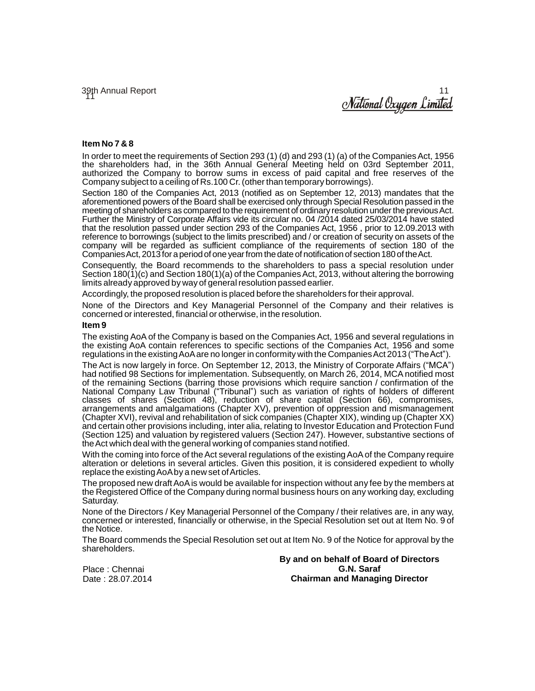11<br>*National Oxygen Limited* تصویر به این است از این است که است که است که از این است که است که است که است که از ای<br>*National Oxygen Limited* 

#### **Item No 7 & 8**

In order to meet the requirements of Section 293 (1) (d) and 293 (1) (a) of the Companies Act, 1956 the shareholders had, in the 36th Annual General Meeting held on 03rd September 2011, authorized the Company to borrow sums in excess of paid capital and free reserves of the Company subject to a ceiling of Rs.100 Cr. (other than temporary borrowings).

Section 180 of the Companies Act, 2013 (notified as on September 12, 2013) mandates that the aforementioned powers of the Board shall be exercised only through Special Resolution passed in the meeting of shareholders as compared to the requirement of ordinary resolution under the previous Act. Further the Ministry of Corporate Affairs vide its circular no. 04 /2014 dated 25/03/2014 have stated that the resolution passed under section 293 of the Companies Act, 1956 , prior to 12.09.2013 with reference to borrowings (subject to the limits prescribed) and / or creation of security on assets of the company will be regarded as sufficient compliance of the requirements of section 180 of the Companies Act, 2013 for a period of one year from the date of notification of section 180 of the Act.

Consequently, the Board recommends to the shareholders to pass a special resolution under Section 180(1)(c) and Section 180(1)(a) of the Companies Act, 2013, without altering the borrowing limits already approved by way of general resolution passed earlier.

Accordingly, the proposed resolution is placed before the shareholders for their approval.

None of the Directors and Key Managerial Personnel of the Company and their relatives is concerned or interested, financial or otherwise, in the resolution.

#### **Item 9**

The existing AoA of the Company is based on the Companies Act, 1956 and several regulations in the existing AoA contain references to specific sections of the Companies Act, 1956 and some regulations in the existing AoA are no longer in conformity with the Companies Act 2013 ("The Act").

The Act is now largely in force. On September 12, 2013, the Ministry of Corporate Affairs ("MCA") had notified 98 Sections for implementation. Subsequently, on March 26, 2014, MCA notified most of the remaining Sections (barring those provisions which require sanction / confirmation of the National Company Law Tribunal ("Tribunal") such as variation of rights of holders of different classes of shares (Section 48), reduction of share capital (Section 66), compromises, arrangements and amalgamations (Chapter XV), prevention of oppression and mismanagement (Chapter XVI), revival and rehabilitation of sick companies (Chapter XIX), winding up (Chapter XX) and certain other provisions including, inter alia, relating to Investor Education and Protection Fund (Section 125) and valuation by registered valuers (Section 247). However, substantive sections of theAct which deal with the general working of companies stand notified.

With the coming into force of the Act several regulations of the existing AoA of the Company require alteration or deletions in several articles. Given this position, it is considered expedient to wholly replace the existing AoA by a new set of Articles.

The proposed new draft AoA is would be available for inspection without any fee by the members at the Registered Office of the Company during normal business hours on any working day, excluding Saturday.

None of the Directors / Key Managerial Personnel of the Company / their relatives are, in any way, concerned or interested, financially or otherwise, in the Special Resolution set out at Item No. 9 of the Notice.

The Board commends the Special Resolution set out at Item No. 9 of the Notice for approval by the shareholders.

Place : Chennai Date : 28.07.2014 **By and on behalf of Board of Directors G.N. Saraf Chairman and Managing Director**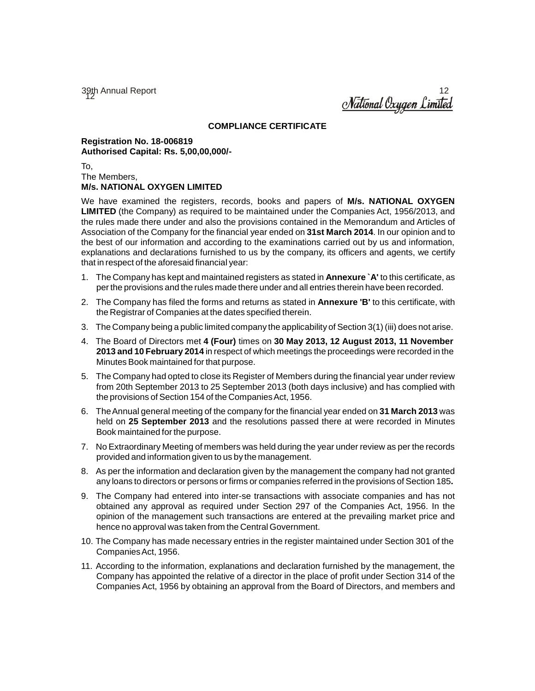12<br>12 Annual Report 12<br>Mational Oxygen Limited

#### **COMPLIANCE CERTIFICATE**

**Registration No. 18-006819 Authorised Capital: Rs. 5,00,00,000/-**

To, The Members, **M/s. NATIONAL OXYGEN LIMITED**

We have examined the registers, records, books and papers of **M/s. NATIONAL OXYGEN LIMITED** (the Company) as required to be maintained under the Companies Act, 1956/2013, and the rules made there under and also the provisions contained in the Memorandum and Articles of Association of the Company for the financial year ended on **31st March 2014**. In our opinion and to the best of our information and according to the examinations carried out by us and information, explanations and declarations furnished to us by the company, its officers and agents, we certify that in respect of the aforesaid financial year:

- 1. The Company has kept and maintained registers as stated in **Annexure `A'** to this certificate, as per the provisions and the rules made there under and all entries therein have been recorded.
- 2. The Company has filed the forms and returns as stated in **Annexure 'B'** to this certificate, with the Registrar of Companies at the dates specified therein.
- 3. The Company being a public limited company the applicability of Section 3(1) (iii) does not arise.
- 4. The Board of Directors met **4 (Four)** times on **30 May 2013, 12 August 2013, 11 November 2013 and 10 February 2014** in respect of which meetings the proceedings were recorded in the Minutes Book maintained for that purpose.
- 5. The Company had opted to close its Register of Members during the financial year under review from 20th September 2013 to 25 September 2013 (both days inclusive) and has complied with the provisions of Section 154 of the Companies Act, 1956.
- 6. TheAnnual general meeting of the company for the financial year ended on **31 March 2013** was held on **25 September 2013** and the resolutions passed there at were recorded in Minutes Book maintained for the purpose.
- 7. No Extraordinary Meeting of members was held during the year under review as per the records provided and information given to us by the management.
- 8. As per the information and declaration given by the management the company had not granted any loans to directors or persons or firms or companies referred in the provisions of Section 185**.**
- 9. The Company had entered into inter-se transactions with associate companies and has not obtained any approval as required under Section 297 of the Companies Act, 1956. In the opinion of the management such transactions are entered at the prevailing market price and hence no approval was taken from the Central Government.
- 10. The Company has made necessary entries in the register maintained under Section 301 of the CompaniesAct, 1956.
- 11. According to the information, explanations and declaration furnished by the management, the Company has appointed the relative of a director in the place of profit under Section 314 of the Companies Act, 1956 by obtaining an approval from the Board of Directors, and members and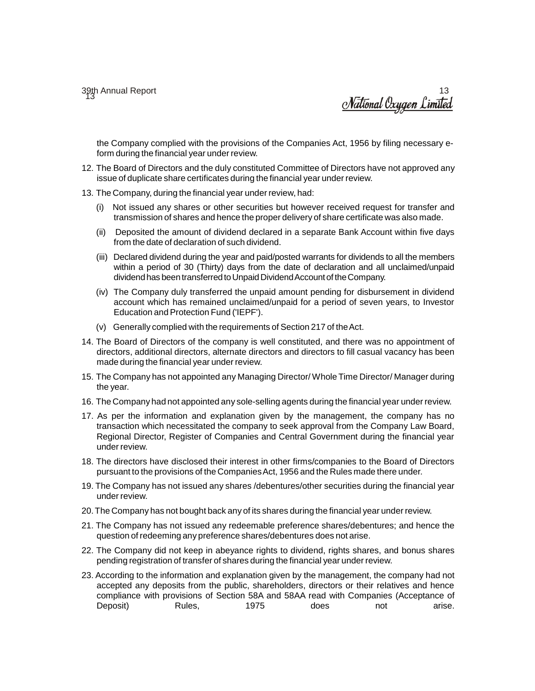13<br>Mational Oxygen Limited بين المستخدم المستخدم المستخدم المستخدم المستخدم المستخدم المستخدم المستخدم المستخدم ا<br>Mational Oxygen Limited

the Company complied with the provisions of the Companies Act, 1956 by filing necessary eform during the financial year under review.

- 12. The Board of Directors and the duly constituted Committee of Directors have not approved any issue of duplicate share certificates during the financial year under review.
- 13. The Company, during the financial year under review, had:
	- (i) Not issued any shares or other securities but however received request for transfer and transmission of shares and hence the proper delivery of share certificate was also made.
	- (ii) Deposited the amount of dividend declared in a separate Bank Account within five days from the date of declaration of such dividend.
	- (iii) Declared dividend during the year and paid/posted warrants for dividends to all the members within a period of 30 (Thirty) days from the date of declaration and all unclaimed/unpaid dividend has been transferred to Unpaid Dividend Account of the Company.
	- (iv) The Company duly transferred the unpaid amount pending for disbursement in dividend account which has remained unclaimed/unpaid for a period of seven years, to Investor Education and Protection Fund ('IEPF').
	- (v) Generally complied with the requirements of Section 217 of theAct.
- 14. The Board of Directors of the company is well constituted, and there was no appointment of directors, additional directors, alternate directors and directors to fill casual vacancy has been made during the financial year under review.
- 15. The Company has not appointed any Managing Director/ Whole Time Director/ Manager during the year.
- 16. The Company had not appointed any sole-selling agents during the financial year under review.
- 17. As per the information and explanation given by the management, the company has no transaction which necessitated the company to seek approval from the Company Law Board, Regional Director, Register of Companies and Central Government during the financial year under review.
- 18. The directors have disclosed their interest in other firms/companies to the Board of Directors pursuant to the provisions of the CompaniesAct, 1956 and the Rules made there under.
- 19. The Company has not issued any shares /debentures/other securities during the financial year under review.
- 20.The Company has not bought back any of its shares during the financial year under review.
- 21. The Company has not issued any redeemable preference shares/debentures; and hence the question of redeeming any preference shares/debentures does not arise.
- 22. The Company did not keep in abeyance rights to dividend, rights shares, and bonus shares pending registration of transfer of shares during the financial year under review.
- 23. According to the information and explanation given by the management, the company had not accepted any deposits from the public, shareholders, directors or their relatives and hence compliance with provisions of Section 58A and 58AA read with Companies (Acceptance of Deposit) Rules, 1975 does not arise.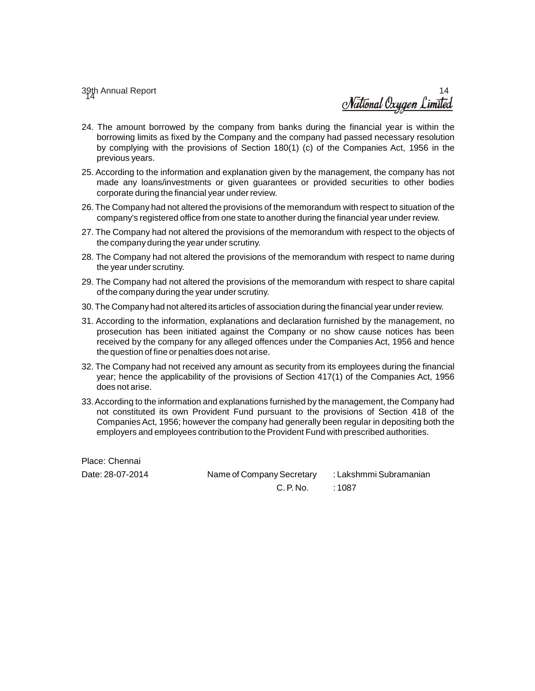14<br>Mational Oxygen Limited Communication of the State of the State of the State of the State of the State of the<br>Communication of the State of the State of the State of the State of the State of the State of the State of

- 24. The amount borrowed by the company from banks during the financial year is within the borrowing limits as fixed by the Company and the company had passed necessary resolution by complying with the provisions of Section 180(1) (c) of the Companies Act, 1956 in the previous years.
- 25. According to the information and explanation given by the management, the company has not made any loans/investments or given guarantees or provided securities to other bodies corporate during the financial year under review.
- 26. The Company had not altered the provisions of the memorandum with respect to situation of the company's registered office from one state to another during the financial year under review.
- 27. The Company had not altered the provisions of the memorandum with respect to the objects of the company during the year under scrutiny.
- 28. The Company had not altered the provisions of the memorandum with respect to name during the year under scrutiny.
- 29. The Company had not altered the provisions of the memorandum with respect to share capital of the company during the year under scrutiny.
- 30.The Company had not altered its articles of association during the financial year under review.
- 31. According to the information, explanations and declaration furnished by the management, no prosecution has been initiated against the Company or no show cause notices has been received by the company for any alleged offences under the Companies Act, 1956 and hence the question of fine or penalties does not arise.
- 32. The Company had not received any amount as security from its employees during the financial year; hence the applicability of the provisions of Section 417(1) of the Companies Act, 1956 does not arise.
- 33.According to the information and explanations furnished by the management, the Company had not constituted its own Provident Fund pursuant to the provisions of Section 418 of the Companies Act, 1956; however the company had generally been regular in depositing both the employers and employees contribution to the Provident Fund with prescribed authorities.

Place: Chennai

Date: 28-07-2014 Name of CompanySecretary : Lakshmmi Subramanian C. P. No. : 1087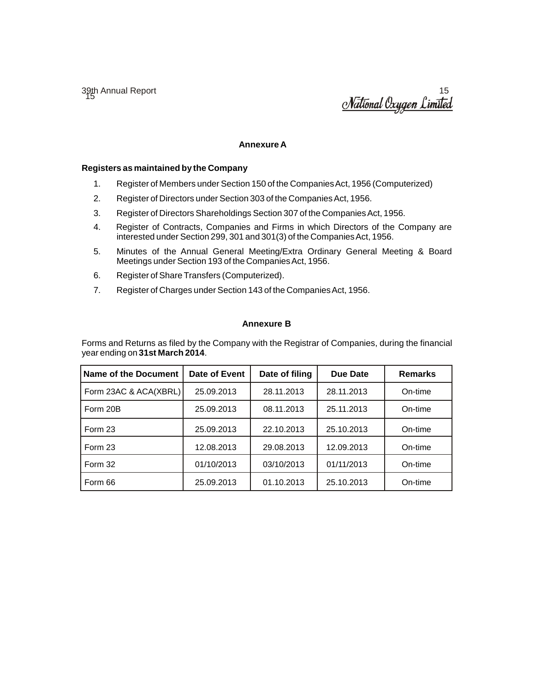39th Annual Report<br>15 39th Annual Report<br>15 39th Annual Report

#### **Annexure A**

#### **Registers as maintained by the Company**

- 1. Register of Members under Section 150 of the CompaniesAct, 1956 (Computerized)
- 2. Register of Directors under Section 303 of the Companies Act, 1956.
- 3. Register of Directors Shareholdings Section 307 of the CompaniesAct, 1956.
- 4. Register of Contracts, Companies and Firms in which Directors of the Company are interested under Section 299, 301 and 301(3) of the Companies Act, 1956.
- 5. Minutes of the Annual General Meeting/Extra Ordinary General Meeting & Board Meetings under Section 193 of the CompaniesAct, 1956.
- 6. Register of Share Transfers (Computerized).
- 7. Register of Charges under Section 143 of the CompaniesAct, 1956.

#### **Annexure B**

Forms and Returns as filed by the Company with the Registrar of Companies, during the financial year ending on **31st March 2014**.

| <b>Name of the Document</b> | Date of Event | Date of filing | Due Date   | <b>Remarks</b> |
|-----------------------------|---------------|----------------|------------|----------------|
| Form 23AC & ACA(XBRL)       | 25.09.2013    | 28.11.2013     | 28.11.2013 | On-time        |
| Form 20B                    | 25.09.2013    | 08.11.2013     | 25.11.2013 | On-time        |
| Form 23                     | 25.09.2013    | 22.10.2013     | 25.10.2013 | On-time        |
| Form 23                     | 12.08.2013    | 29.08.2013     | 12.09.2013 | On-time        |
| Form 32                     | 01/10/2013    | 03/10/2013     | 01/11/2013 | On-time        |
| Form 66                     | 25.09.2013    | 01.10.2013     | 25.10.2013 | On-time        |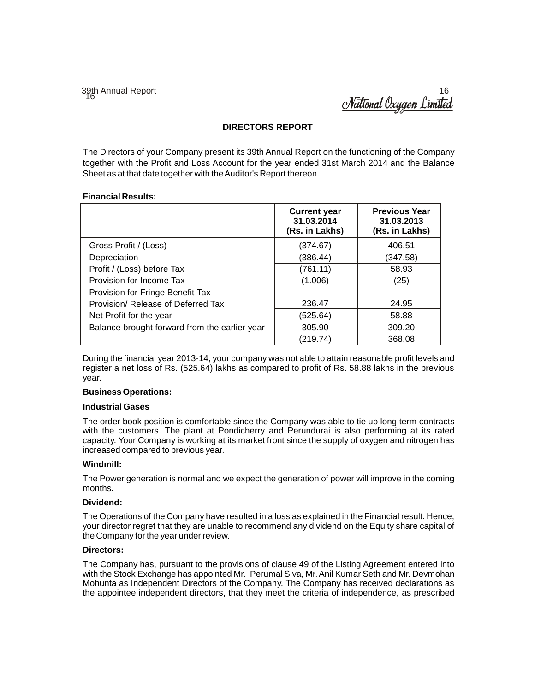16<br>16 39th Annual Report 16<br>Malional Oxygen Limited

#### **DIRECTORS REPORT**

The Directors of your Company present its 39th Annual Report on the functioning of the Company together with the Profit and Loss Account for the year ended 31st March 2014 and the Balance Sheet as at that date together with theAuditor's Report thereon.

#### **Financial Results:**

|                                               | <b>Current year</b><br>31.03.2014<br>(Rs. in Lakhs) | <b>Previous Year</b><br>31.03.2013<br>(Rs. in Lakhs) |
|-----------------------------------------------|-----------------------------------------------------|------------------------------------------------------|
| Gross Profit / (Loss)                         | (374.67)                                            | 406.51                                               |
| Depreciation                                  | (386.44)                                            | (347.58)                                             |
| Profit / (Loss) before Tax                    | (761.11)                                            | 58.93                                                |
| Provision for Income Tax                      | (1.006)                                             | (25)                                                 |
| Provision for Fringe Benefit Tax              |                                                     |                                                      |
| Provision/ Release of Deferred Tax            | 236.47                                              | 24.95                                                |
| Net Profit for the year                       | (525.64)                                            | 58.88                                                |
| Balance brought forward from the earlier year | 305.90                                              | 309.20                                               |
|                                               | (219.74)                                            | 368.08                                               |

During the financial year 2013-14, your company was not able to attain reasonable profit levels and register a net loss of Rs. (525.64) lakhs as compared to profit of Rs. 58.88 lakhs in the previous year.

#### **Business Operations:**

#### **Industrial Gases**

The order book position is comfortable since the Company was able to tie up long term contracts with the customers. The plant at Pondicherry and Perundurai is also performing at its rated capacity. Your Company is working at its market front since the supply of oxygen and nitrogen has increased compared to previous year.

#### **Windmill:**

The Power generation is normal and we expect the generation of power will improve in the coming months.

#### **Dividend:**

The Operations of the Company have resulted in a loss as explained in the Financial result. Hence, your director regret that they are unable to recommend any dividend on the Equity share capital of the Company for the year under review.

#### **Directors:**

The Company has, pursuant to the provisions of clause 49 of the Listing Agreement entered into with the Stock Exchange has appointed Mr. Perumal Siva, Mr.Anil Kumar Seth and Mr. Devmohan Mohunta as Independent Directors of the Company. The Company has received declarations as the appointee independent directors, that they meet the criteria of independence, as prescribed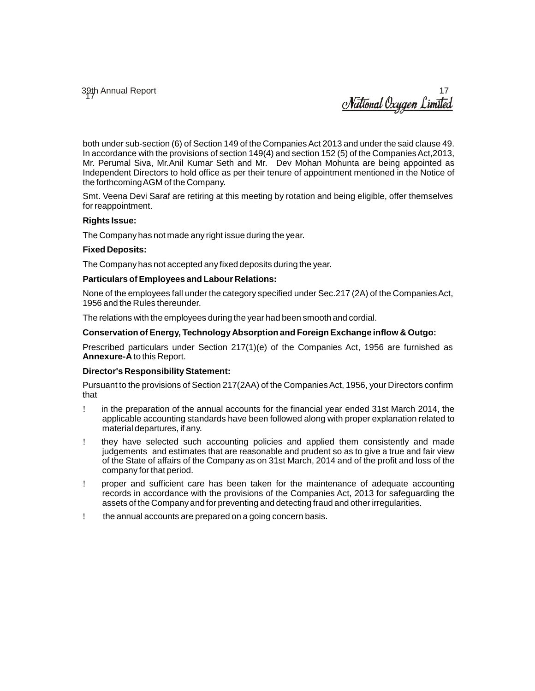17<br>17 39th Annual Report 17<br>Mational Oxygen Limited

both under sub-section (6) of Section 149 of the Companies Act 2013 and under the said clause 49. In accordance with the provisions of section 149(4) and section 152 (5) of the Companies Act, 2013, Mr. Perumal Siva, Mr.Anil Kumar Seth and Mr. Dev Mohan Mohunta are being appointed as Independent Directors to hold office as per their tenure of appointment mentioned in the Notice of the forthcomingAGM of the Company.

Smt. Veena Devi Saraf are retiring at this meeting by rotation and being eligible, offer themselves for reappointment.

#### **Rights Issue:**

The Company has not made any right issue during the year.

#### **Fixed Deposits:**

The Company has not accepted any fixed deposits during the year.

#### **Particulars of Employees and Labour Relations:**

None of the employees fall under the category specified under Sec.217 (2A) of the Companies Act, 1956 and the Rules thereunder.

The relations with the employees during the year had been smooth and cordial.

#### **Conservation of Energy, TechnologyAbsorption and Foreign Exchange inflow & Outgo:**

Prescribed particulars under Section 217(1)(e) of the Companies Act, 1956 are furnished as **Annexure-A** to this Report.

#### **Director's Responsibility Statement:**

Pursuant to the provisions of Section 217(2AA) of the Companies Act, 1956, your Directors confirm that

- ! in the preparation of the annual accounts for the financial year ended 31st March 2014, the applicable accounting standards have been followed along with proper explanation related to material departures, if any.
- ! they have selected such accounting policies and applied them consistently and made judgements and estimates that are reasonable and prudent so as to give a true and fair view of the State of affairs of the Company as on 31st March, 2014 and of the profit and loss of the company for that period.
- ! proper and sufficient care has been taken for the maintenance of adequate accounting records in accordance with the provisions of the Companies Act, 2013 for safeguarding the assets of the Company and for preventing and detecting fraud and other irregularities.
- ! the annual accounts are prepared on a going concern basis.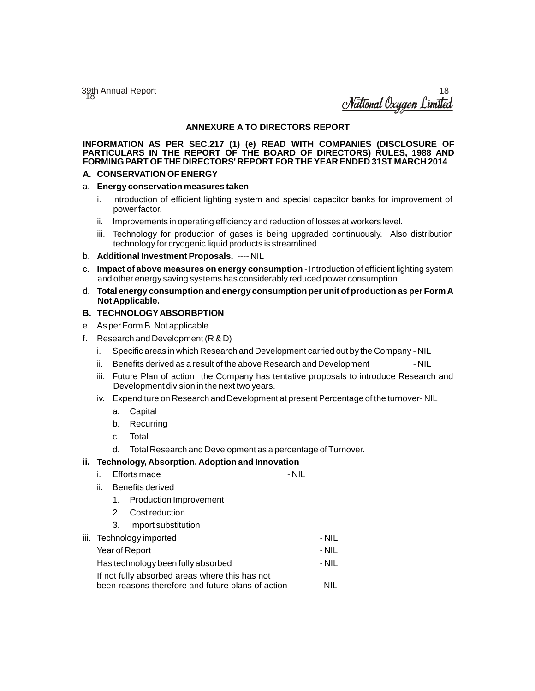18<br>18 39th Annual Report 18<br>Mational Oxygen Limited

#### **ANNEXURE A TO DIRECTORS REPORT**

#### **INFORMATION AS PER SEC.217 (1) (e) READ WITH COMPANIES (DISCLOSURE OF PARTICULARS IN THE REPORT OF THE BOARD OF DIRECTORS) RULES, 1988 AND FORMING PART OF THE DIRECTORS' REPORT FOR THEYEAR ENDED 31ST MARCH 2014**

#### **A. CONSERVATION OF ENERGY**

#### a. **Energy conservation measures taken**

- i. Introduction of efficient lighting system and special capacitor banks for improvement of power factor.
- ii. Improvements in operating efficiency and reduction of losses at workers level.
- iii. Technology for production of gases is being upgraded continuously. Also distribution technology for cryogenic liquid products is streamlined.
- b. **Additional Investment Proposals.** ---- NIL
- c. **Impact of above measures on energy consumption** Introduction of efficient lighting system and other energy saving systems has considerably reduced power consumption.
- d. **Total energy consumption and energy consumption per unit of production as per Form A Not Applicable.**
- **B. TECHNOLOGYABSORBPTION**
- e. As per Form B Not applicable
- f. Research and Development (R & D)
	- i. Specific areas in which Research and Development carried out by the Company NIL
	- ii. Benefits derived as a result of the above Research and Development NIL
	- iii. Future Plan of action the Company has tentative proposals to introduce Research and Development division in the next two years.
	- iv. Expenditure on Research and Development at present Percentage of the turnover- NIL
		- a. Capital
		- b. Recurring
		- c. Total
		- d. Total Research and Development as a percentage of Turnover.
- **ii. Technology, Absorption, Adoption and Innovation**
	- i. Efforts made by the set of the set of the SNIL
	- ii. Benefits derived
		- 1. Production Improvement
		- 2. Cost reduction
		- 3. Import substitution
- iii. Technology imported NIL Year of Report **- NIL** 
	- Has technology been fully absorbed Fig. 2012. The SNIL-

If not fully absorbed areas where this has not

been reasons therefore and future plans of action - NIL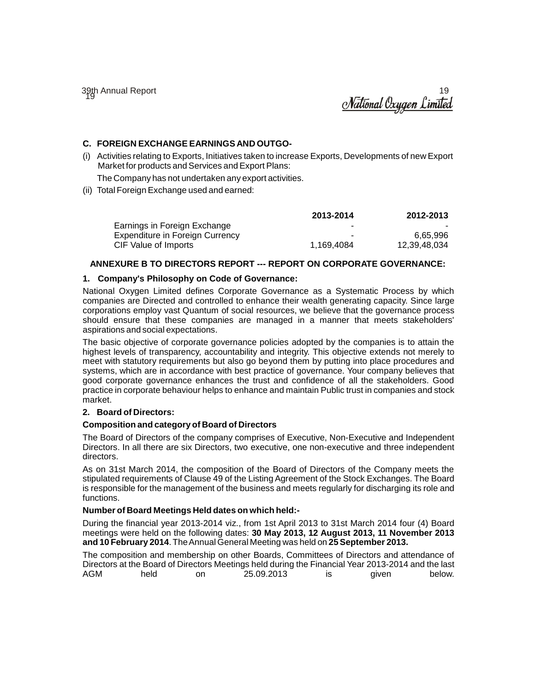19<br>19 39th Annual Report 19<br>Malional Oxygen Limited

#### **C. FOREIGN EXCHANGE EARNINGS AND OUTGO-**

(i) Activities relating to Exports, Initiatives taken to increase Exports, Developments of new Export Market for products and Services and Export Plans:

The Company has not undertaken any export activities.

(ii) Total Foreign Exchange used and earned:

|                                 | 2013-2014  | 2012-2013    |
|---------------------------------|------------|--------------|
| Earnings in Foreign Exchange    | -          |              |
| Expenditure in Foreign Currency | -          | 6.65.996     |
| CIF Value of Imports            | 1.169.4084 | 12.39.48.034 |

#### **ANNEXURE B TO DIRECTORS REPORT --- REPORT ON CORPORATE GOVERNANCE:**

#### **1. Company's Philosophy on Code of Governance:**

National Oxygen Limited defines Corporate Governance as a Systematic Process by which companies are Directed and controlled to enhance their wealth generating capacity. Since large corporations employ vast Quantum of social resources, we believe that the governance process should ensure that these companies are managed in a manner that meets stakeholders' aspirations and social expectations.

The basic objective of corporate governance policies adopted by the companies is to attain the highest levels of transparency, accountability and integrity. This objective extends not merely to meet with statutory requirements but also go beyond them by putting into place procedures and systems, which are in accordance with best practice of governance. Your company believes that good corporate governance enhances the trust and confidence of all the stakeholders. Good practice in corporate behaviour helps to enhance and maintain Public trust in companies and stock market.

#### **2. Board of Directors:**

#### **Composition and category of Board of Directors**

The Board of Directors of the company comprises of Executive, Non-Executive and Independent Directors. In all there are six Directors, two executive, one non-executive and three independent directors.

As on 31st March 2014, the composition of the Board of Directors of the Company meets the stipulated requirements of Clause 49 of the Listing Agreement of the Stock Exchanges. The Board is responsible for the management of the business and meets regularly for discharging its role and functions.

#### **Number of Board Meetings Held dates on which held:-**

During the financial year 2013-2014 viz., from 1st April 2013 to 31st March 2014 four (4) Board meetings were held on the following dates: **30 May 2013, 12 August 2013, 11 November 2013 and 10 February 2014**.TheAnnual General Meeting was held on **25 September 2013.**

The composition and membership on other Boards, Committees of Directors and attendance of Directors at the Board of Directors Meetings held during the Financial Year 2013-2014 and the last AGM held on 25.09.2013 is given below.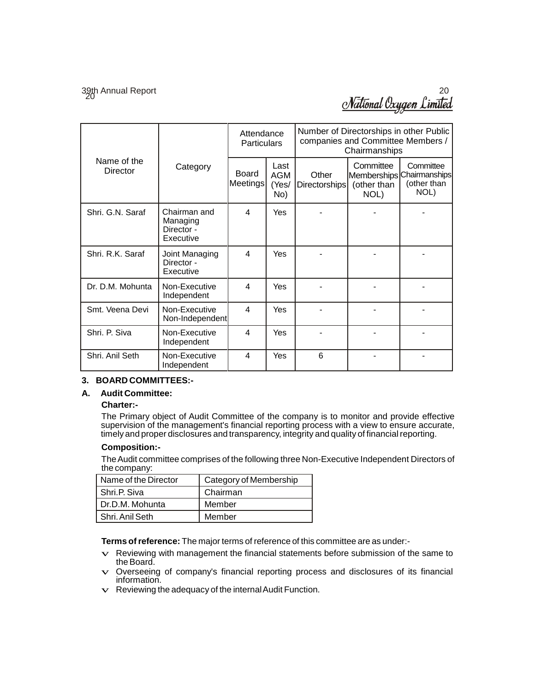# <sup>20</sup> 39th Annual Report <sup>20</sup>

|                         |                                                     | Attendance<br><b>Particulars</b> |                             | Number of Directorships in other Public<br>companies and Committee Members /<br>Chairmanships |                                  |                                                              |
|-------------------------|-----------------------------------------------------|----------------------------------|-----------------------------|-----------------------------------------------------------------------------------------------|----------------------------------|--------------------------------------------------------------|
| Name of the<br>Director | Category                                            | Board<br>Meetings                | Last<br>AGM<br>(Yes/<br>No) | Other<br>Directorships                                                                        | Committee<br>(other than<br>NOL) | Committee<br>Memberships Chairmanships<br>other than<br>NOL) |
| Shri. G.N. Saraf        | Chairman and<br>Managing<br>Director -<br>Executive | 4                                | Yes                         |                                                                                               |                                  |                                                              |
| Shri, R.K. Saraf        | Joint Managing<br>Director -<br>Executive           | 4                                | Yes                         |                                                                                               |                                  |                                                              |
| Dr. D.M. Mohunta        | Non-Executive<br>Independent                        | 4                                | Yes                         |                                                                                               |                                  |                                                              |
| Smt. Veena Devi         | Non-Executive<br>Non-Independent                    | 4                                | Yes                         |                                                                                               |                                  |                                                              |
| Shri, P. Siva           | Non-Executive<br>Independent                        | 4                                | Yes                         |                                                                                               |                                  |                                                              |
| Shri, Anil Seth         | Non-Executive<br>Independent                        | 4                                | Yes                         | 6                                                                                             |                                  |                                                              |

#### **3. BOARD COMMITTEES:-**

#### **A. Audit Committee:**

#### **Charter:-**

The Primary object of Audit Committee of the company is to monitor and provide effective supervision of the management's financial reporting process with a view to ensure accurate, timely and proper disclosures and transparency, integrity and quality of financial reporting.

#### **Composition:-**

The Audit committee comprises of the following three Non-Executive Independent Directors of the company:

| Name of the Director | Category of Membership |
|----------------------|------------------------|
| Shri.P. Siva         | Chairman               |
| I Dr.D.M. Mohunta    | Member                 |
| Shri. Anil Seth      | Member                 |

**Terms ofreference:** The major terms of reference of this committee are as under:-

- $\mathbf v$  Reviewing with management the financial statements before submission of the same to the Board.
- $\mathbf v$  Overseeing of company's financial reporting process and disclosures of its financial information.
- $\mathbf v$  Reviewing the adequacy of the internal Audit Function.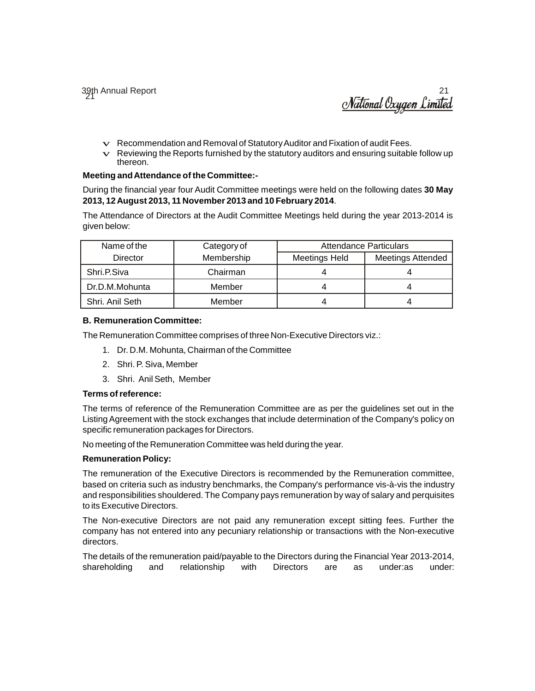21<br>21 39th Annual Report 21<br>21 <u>Mational Oxygen Limited</u>

- $\mathbf v$  Recommendation and Removal of Statutory Auditor and Fixation of audit Fees.
- Reviewing the Reports furnished by the statutory auditors and ensuring suitable follow up thereon.

#### **Meeting andAttendance of the Committee:-**

During the financial year four Audit Committee meetings were held on the following dates **30 May 2013, 12 August 2013, 11 November 2013 and 10 February 2014**.

The Attendance of Directors at the Audit Committee Meetings held during the year 2013-2014 is given below:

| Name of the     | Category of | <b>Attendance Particulars</b> |                          |  |
|-----------------|-------------|-------------------------------|--------------------------|--|
| <b>Director</b> | Membership  | Meetings Held                 | <b>Meetings Attended</b> |  |
| Shri.P.Siva     | Chairman    |                               |                          |  |
| Dr.D.M.Mohunta  | Member      |                               |                          |  |
| Shri. Anil Seth | Member      |                               |                          |  |

#### **B. Remuneration Committee:**

The Remuneration Committee comprises of three Non-Executive Directors viz.:

- 1. Dr. D.M. Mohunta, Chairman of the Committee
- 2. Shri. P. Siva, Member
- 3. Shri. Anil Seth, Member

#### **Terms ofreference:**

The terms of reference of the Remuneration Committee are as per the guidelines set out in the Listing Agreement with the stock exchanges that include determination of the Company's policy on specific remuneration packages for Directors.

No meeting of the Remuneration Committee was held during the year.

#### **Remuneration Policy:**

The remuneration of the Executive Directors is recommended by the Remuneration committee, based on criteria such as industry benchmarks, the Company's performance vis-à-vis the industry and responsibilities shouldered. The Company pays remuneration by way of salary and perquisites to its Executive Directors.

The Non-executive Directors are not paid any remuneration except sitting fees. Further the company has not entered into any pecuniary relationship or transactions with the Non-executive directors.

The details of the remuneration paid/payable to the Directors during the Financial Year 2013-2014, shareholding and relationship with Directors are as under:as under: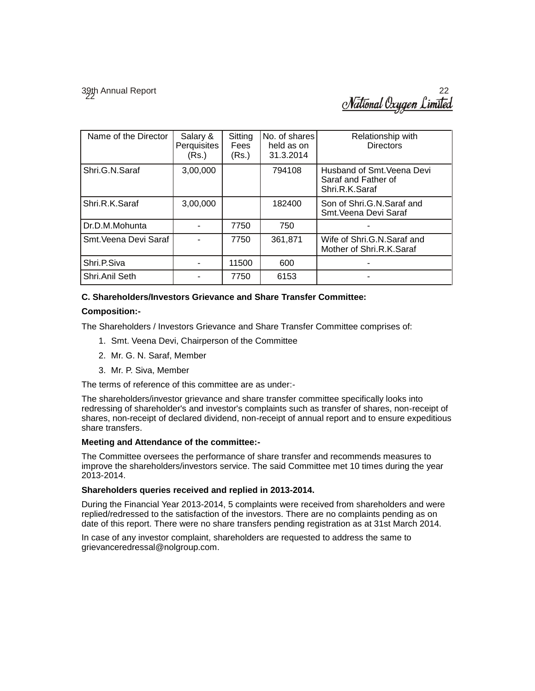22<br>22 39th Annual Report 22<br>2<mark>0 *Mational Oxygen Limited*</mark>

| Name of the Director  | Salary &<br>Perquisites<br>(Rs.) | Sitting<br>Fees<br>(Rs.) | No. of shares<br>held as on<br>31.3.2014 | Relationship with<br><b>Directors</b>                               |
|-----------------------|----------------------------------|--------------------------|------------------------------------------|---------------------------------------------------------------------|
| Shri.G.N.Saraf        | 3,00,000                         |                          | 794108                                   | Husband of Smt. Veena Devi<br>Saraf and Father of<br>Shri.R.K.Saraf |
| Shri.R.K.Saraf        | 3,00,000                         |                          | 182400                                   | Son of Shri.G.N.Saraf and<br>Smt. Veena Devi Saraf                  |
| Dr.D.M.Mohunta        |                                  | 7750                     | 750                                      |                                                                     |
| Smt. Veena Devi Saraf |                                  | 7750                     | 361,871                                  | Wife of Shri.G.N.Saraf and<br>Mother of Shri.R.K.Saraf              |
| Shri.P.Siva           |                                  | 11500                    | 600                                      |                                                                     |
| Shri.Anil Seth        |                                  | 7750                     | 6153                                     |                                                                     |

#### **C. Shareholders/Investors Grievance and Share Transfer Committee:**

#### **Composition:-**

The Shareholders / Investors Grievance and Share Transfer Committee comprises of:

- 1. Smt. Veena Devi, Chairperson of the Committee
- 2. Mr. G. N. Saraf, Member
- 3. Mr. P. Siva, Member

The terms of reference of this committee are as under:-

The shareholders/investor grievance and share transfer committee specifically looks into redressing of shareholder's and investor's complaints such as transfer of shares, non-receipt of shares, non-receipt of declared dividend, non-receipt of annual report and to ensure expeditious share transfers.

#### **Meeting and Attendance of the committee:-**

The Committee oversees the performance of share transfer and recommends measures to improve the shareholders/investors service. The said Committee met 10 times during the year 2013-2014.

#### **Shareholders queries received and replied in 2013-2014.**

During the Financial Year 2013-2014, 5 complaints were received from shareholders and were replied/redressed to the satisfaction of the investors. There are no complaints pending as on date of this report. There were no share transfers pending registration as at 31st March 2014.

In case of any investor complaint, shareholders are requested to address the same t[o](mailto:grievanceredressal@nolgroup.com) [grievanceredressal@nolgroup.com.](mailto:grievanceredressal@nolgroup.com)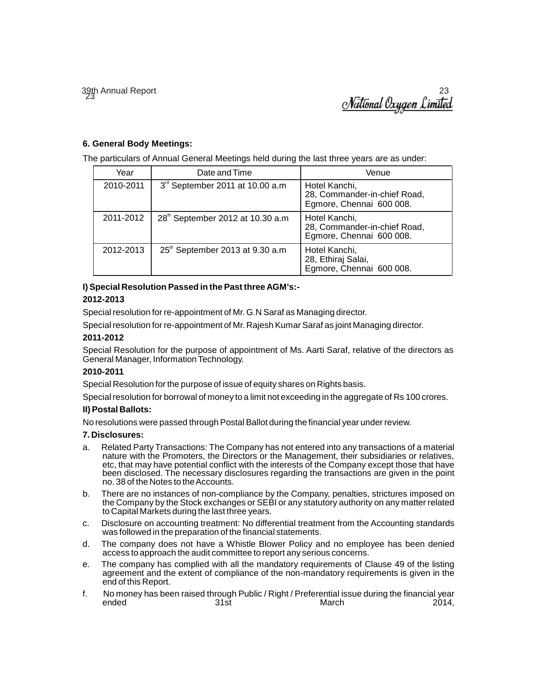# 23<br>23 Annual Report 23<br>23 <mark>Mational Oxygen Limited</mark>

#### **6. General Body Meetings:**

The particulars of Annual General Meetings held during the last three years are as under:

| Year      | Date and Time                               | Venue                                                                     |
|-----------|---------------------------------------------|---------------------------------------------------------------------------|
| 2010-2011 | $3rd$ September 2011 at 10.00 a.m           | Hotel Kanchi,<br>28, Commander-in-chief Road,<br>Egmore, Chennai 600 008. |
| 2011-2012 | 28th September 2012 at 10.30 a.m            | Hotel Kanchi,<br>28, Commander-in-chief Road,<br>Egmore, Chennai 600 008. |
| 2012-2013 | 25 <sup>th</sup> September 2013 at 9.30 a.m | Hotel Kanchi,<br>28, Ethiraj Salai,<br>Egmore, Chennai 600 008.           |

#### **I) Special Resolution Passed in thePast three AGM's:-**

#### **2012-2013**

Special resolution for re-appointment of Mr. G.N Saraf as Managing director.

Special resolution for re-appointment of Mr. Rajesh Kumar Saraf as joint Managing director.

#### **2011-2012**

Special Resolution for the purpose of appointment of Ms. Aarti Saraf, relative of the directors as General Manager, Information Technology.

#### **2010-2011**

Special Resolution for the purpose of issue of equity shares on Rights basis.

Special resolution for borrowal of money to a limit not exceeding in the aggregate of Rs 100 crores.

#### **II) Postal Ballots:**

No resolutions were passed through Postal Ballot during the financial year under review.

#### **7. Disclosures:**

- a. Related Party Transactions: The Company has not entered into any transactions of a material nature with the Promoters, the Directors or the Management, their subsidiaries or relatives, etc, that may have potential conflict with the interests of the Company except those that have been disclosed. The necessary disclosures regarding the transactions are given in the point no. 38 of the Notes to theAccounts.
- b. There are no instances of non-compliance by the Company, penalties, strictures imposed on the Company by the Stock exchanges or SEBI or any statutory authority on any matter related to Capital Markets during the last three years.
- c. Disclosure on accounting treatment: No differential treatment from the Accounting standards was followed in the preparation of the financial statements.
- d. The company does not have a Whistle Blower Policy and no employee has been denied access to approach the audit committee to report any serious concerns.
- e. The company has complied with all the mandatory requirements of Clause 49 of the listing agreement and the extent of compliance of the non-mandatory requirements is given in the end of this Report.
- f. No money has been raised through Public / Right / Preferential issue during the financial year ended 31st March 2014,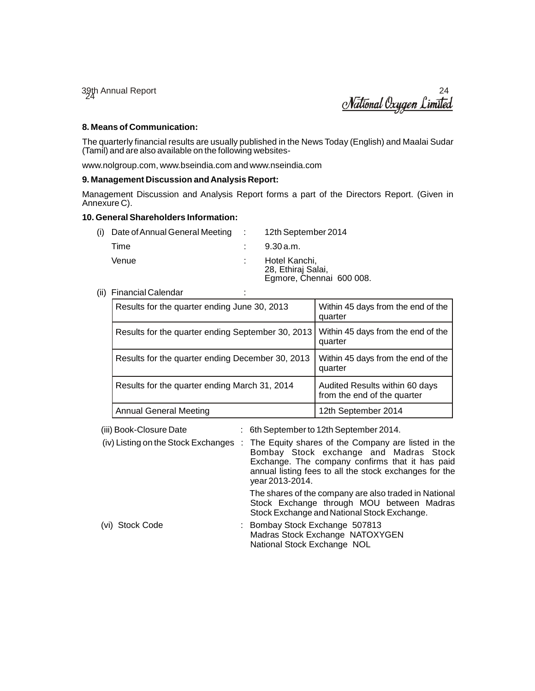24<br>24 39th Annual Report 24<br>24 20 20 20 20 20 20 20 20 20 20 20 21 21 22 24 24 25 26 27 28 29 29 20 21 22 24 25 26 27 27 28 29 20 20 20 20

#### **8. Means of Communication:**

The quarterly financial results are usually published in the News Today (English) and Maalai Sudar (Tamil) and are also available on the following websites-

[www.nolgroup.com,](http://www.nolgroup.com/) [www.bseindia.com](http://www.bseindia.com/) and [www.nseindia.com](http://www.nseindia.com/)

#### **9. Management Discussion and Analysis Report:**

Management Discussion and Analysis Report forms a part of the Directors Report. (Given in Annexure C).

#### **10. General Shareholders Information:**

| (i) Date of Annual General Meeting : | 12th September 2014                                             |
|--------------------------------------|-----------------------------------------------------------------|
| Time                                 | 9.30 a.m.                                                       |
| Venue                                | Hotel Kanchi,<br>28, Ethiraj Salai,<br>Egmore, Chennai 600 008. |

#### (ii) Financial Calendar :

| Results for the quarter ending June 30, 2013      | Within 45 days from the end of the<br>quarter                 |
|---------------------------------------------------|---------------------------------------------------------------|
| Results for the quarter ending September 30, 2013 | Within 45 days from the end of the<br>quarter                 |
| Results for the quarter ending December 30, 2013  | Within 45 days from the end of the<br>quarter                 |
| Results for the quarter ending March 31, 2014     | Audited Results within 60 days<br>from the end of the quarter |
| <b>Annual General Meeting</b>                     | 12th September 2014                                           |

(iii) Book-Closure Date : 6th September to 12th September 2014.

(iv) Listing on the Stock Exchanges : The Equity shares of the Company are listed in the Bombay Stock exchange and Madras Stock Exchange. The company confirms that it has paid annual listing fees to all the stock exchanges for the year 2013-2014. The shares of the company are also traded in National Stock Exchange through MOU between Madras Stock Exchange and National Stock Exchange. (vi) Stock Code : Bombay Stock Exchange 507813 Madras Stock Exchange NATOXYGEN National Stock Exchange NOL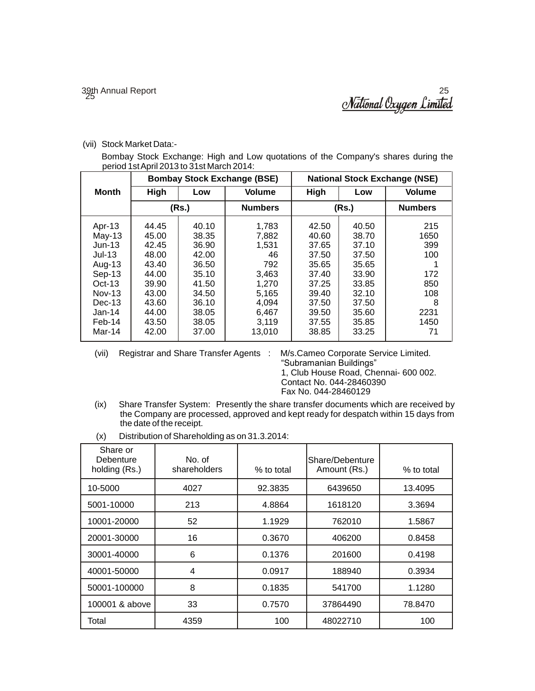<sup>25</sup><br><sup>25</sup> 25 25 Annual Report 25<br>Mational Oxygen Limited

(vii) Stock Market Data:-

Bombay Stock Exchange: High and Low quotations of the Company's shares during the period 1stApril 2013 to 31st March 2014:

|                                                                            | <b>Bombay Stock Exchange (BSE)</b>                          |                                                             |                                                        | <b>National Stock Exchange (NSE)</b>                        |                                                             |                                         |  |
|----------------------------------------------------------------------------|-------------------------------------------------------------|-------------------------------------------------------------|--------------------------------------------------------|-------------------------------------------------------------|-------------------------------------------------------------|-----------------------------------------|--|
| <b>Month</b>                                                               | High                                                        | Low                                                         | <b>Volume</b>                                          | High                                                        | Low                                                         | <b>Volume</b>                           |  |
|                                                                            | (Rs.)                                                       |                                                             | <b>Numbers</b>                                         |                                                             | (Rs.)                                                       | <b>Numbers</b>                          |  |
| Apr-13<br>$May-13$<br>$Jun-13$<br>$Jul-13$<br>Aug-13<br>Sep-13<br>$Oct-13$ | 44.45<br>45.00<br>42.45<br>48.00<br>43.40<br>44.00<br>39.90 | 40.10<br>38.35<br>36.90<br>42.00<br>36.50<br>35.10<br>41.50 | 1,783<br>7,882<br>1,531<br>46<br>792<br>3,463<br>1,270 | 42.50<br>40.60<br>37.65<br>37.50<br>35.65<br>37.40<br>37.25 | 40.50<br>38.70<br>37.10<br>37.50<br>35.65<br>33.90<br>33.85 | 215<br>1650<br>399<br>100<br>172<br>850 |  |
| $Nov-13$<br>$Dec-13$<br>$Jan-14$<br>$Feb-14$<br>Mar-14                     | 43.00<br>43.60<br>44.00<br>43.50<br>42.00                   | 34.50<br>36.10<br>38.05<br>38.05<br>37.00                   | 5,165<br>4,094<br>6,467<br>3,119<br>13,010             | 39.40<br>37.50<br>39.50<br>37.55<br>38.85                   | 32.10<br>37.50<br>35.60<br>35.85<br>33.25                   | 108<br>8<br>2231<br>1450<br>71          |  |

(vii) Registrar and Share Transfer Agents : M/s.Cameo Corporate Service Limited.

"Subramanian Buildings" 1, Club House Road, Chennai- 600 002. Contact No. 044-28460390 Fax No. 044-28460129

- (ix) Share Transfer System: Presently the share transfer documents which are received by the Company are processed, approved and kept ready for despatch within 15 days from the date of the receipt.
- (x) Distribution of Shareholding as on 31.3.2014:

| Share or<br>Debenture<br>holding (Rs.) | No. of<br>shareholders | % to total | Share/Debenture<br>Amount (Rs.) | % to total |
|----------------------------------------|------------------------|------------|---------------------------------|------------|
| 10-5000                                | 4027                   | 92.3835    | 6439650                         | 13.4095    |
| 5001-10000                             | 213                    | 4.8864     | 1618120                         | 3.3694     |
| 10001-20000                            | 52                     | 1.1929     | 762010                          | 1.5867     |
| 20001-30000                            | 16                     | 0.3670     | 406200                          | 0.8458     |
| 30001-40000                            | 6                      | 0.1376     | 201600                          | 0.4198     |
| 40001-50000                            | 4                      | 0.0917     | 188940                          | 0.3934     |
| 50001-100000                           | 8                      | 0.1835     | 541700                          | 1.1280     |
| 100001 & above                         | 33                     | 0.7570     | 37864490                        | 78.8470    |
| Total                                  | 4359                   | 100        | 48022710                        | 100        |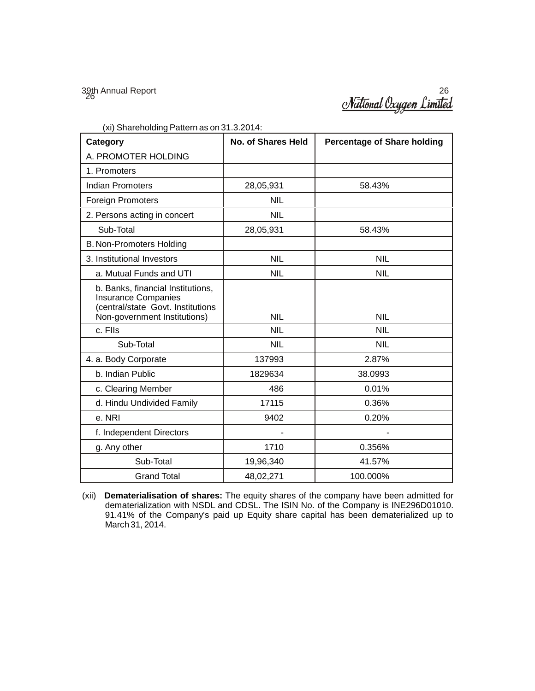<sup>26</sup><br><sup>26</sup> 2<sup>26</sup> 39th Annual Report<br>26 26 26 27 28 28 29th Annual Report

| $(2)$ original original graduate original conditions of $\sim$<br>Category                                                           | <b>No. of Shares Held</b> | <b>Percentage of Share holding</b> |
|--------------------------------------------------------------------------------------------------------------------------------------|---------------------------|------------------------------------|
| A. PROMOTER HOLDING                                                                                                                  |                           |                                    |
| 1. Promoters                                                                                                                         |                           |                                    |
| Indian Promoters                                                                                                                     | 28,05,931                 | 58.43%                             |
| Foreign Promoters                                                                                                                    | <b>NIL</b>                |                                    |
| 2. Persons acting in concert                                                                                                         | <b>NIL</b>                |                                    |
| Sub-Total                                                                                                                            | 28,05,931                 | 58.43%                             |
| <b>B. Non-Promoters Holding</b>                                                                                                      |                           |                                    |
| 3. Institutional Investors                                                                                                           | <b>NIL</b>                | <b>NIL</b>                         |
| a. Mutual Funds and UTI                                                                                                              | <b>NIL</b>                | NIL                                |
| b. Banks, financial Institutions,<br><b>Insurance Companies</b><br>(central/state Govt. Institutions<br>Non-government Institutions) | <b>NIL</b>                | <b>NIL</b>                         |
| c. Flls                                                                                                                              | <b>NIL</b>                | NIL                                |
| Sub-Total                                                                                                                            | <b>NIL</b>                | NIL                                |
| 4. a. Body Corporate                                                                                                                 | 137993                    | 2.87%                              |
| b. Indian Public                                                                                                                     | 1829634                   | 38.0993                            |
| c. Clearing Member                                                                                                                   | 486                       | 0.01%                              |
| d. Hindu Undivided Family                                                                                                            | 17115                     | 0.36%                              |
| e. NRI                                                                                                                               | 9402                      | 0.20%                              |
| f. Independent Directors                                                                                                             |                           |                                    |
| g. Any other                                                                                                                         | 1710                      | 0.356%                             |
| Sub-Total                                                                                                                            | 19,96,340                 | 41.57%                             |
| <b>Grand Total</b>                                                                                                                   | 48,02,271                 | 100.000%                           |

(xi) Shareholding Pattern as on 31.3.2014:

(xii) **Dematerialisation of shares:** The equity shares of the company have been admitted for dematerialization with NSDL and CDSL. The ISIN No. of the Company is INE296D01010. 91.41% of the Company's paid up Equity share capital has been dematerialized up to March 31, 2014.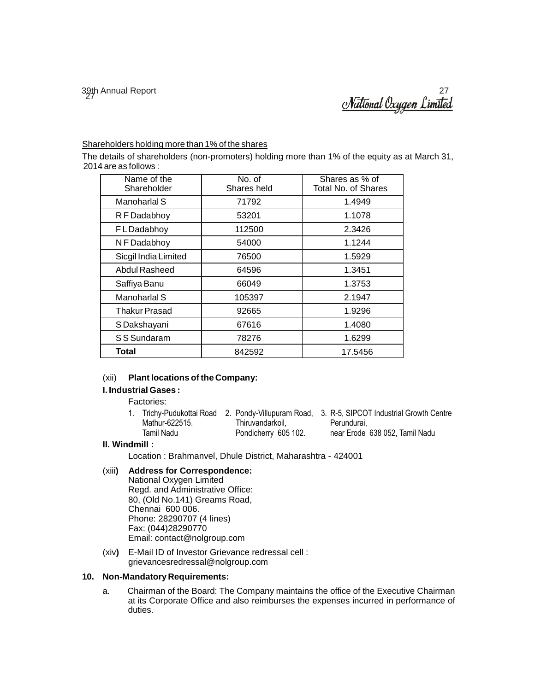# <sup>27</sup> 39th Annual Report <sup>27</sup>

#### Shareholders holding more than 1% of the shares

The details of shareholders (non-promoters) holding more than 1% of the equity as at March 31, 2014 are as follows :

| Name of the<br>Shareholder | No. of<br>Shares held | Shares as % of<br><b>Total No. of Shares</b> |
|----------------------------|-----------------------|----------------------------------------------|
| Manoharlal S               | 71792                 | 1.4949                                       |
| R F Dadabhoy               | 53201                 | 1.1078                                       |
| FLDadabhoy                 | 112500                | 2.3426                                       |
| NFDadabhoy                 | 54000                 | 1.1244                                       |
| Sicgil India Limited       | 76500                 | 1.5929                                       |
| Abdul Rasheed              | 64596                 | 1.3451                                       |
| Saffiya Banu               | 66049                 | 1.3753                                       |
| Manoharlal S               | 105397                | 2.1947                                       |
| <b>Thakur Prasad</b>       | 92665                 | 1.9296                                       |
| S Dakshayani               | 67616                 | 1.4080                                       |
| SS Sundaram                | 78276                 | 1.6299                                       |
| Total                      | 842592                | 17.5456                                      |

#### (xii) **Plant locations of the Company:**

#### **I. Industrial Gases :**

Factories:

1. Trichy-Pudukottai Road 2. Pondy-Villupuram Road, 3. R-5, SIPCOT Industrial Growth Centre Thiruvandarkoil, Perundurai, Tamil Nadu Pondicherry 605 102. near Erode 638 052, Tamil Nadu

#### **II. Windmill :**

Location : Brahmanvel, Dhule District, Maharashtra - 424001

- (xiii**) Address for Correspondence:** National Oxygen Limited Regd. and Administrative Office: 80, (Old No.141) Greams Road, Chennai 600 006. Phone: 28290707 (4 lines) Fax: (044)28290770 [Email: contact@nolgroup.com](mailto:contact@nolgroup.com)
- (xiv**)** E-Mail ID of Investor Grievance redressal cell : [grievancesredressal@nolgroup.com](mailto:grievancesredressal@nolgroup.com)

#### **10. Non-Mandatory Requirements:**

a. Chairman of the Board: The Company maintains the office of the Executive Chairman at its Corporate Office and also reimburses the expenses incurred in performance of duties.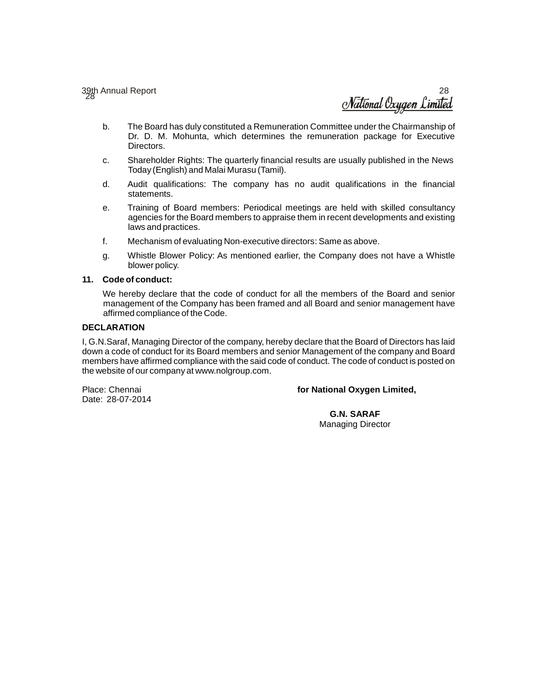<sup>28</sup> 39th Annual Report <sup>28</sup>

- b. The Board has duly constituted a Remuneration Committee under the Chairmanship of Dr. D. M. Mohunta, which determines the remuneration package for Executive Directors.
- c. Shareholder Rights: The quarterly financial results are usually published in the News Today (English) and Malai Murasu (Tamil).
- d. Audit qualifications: The company has no audit qualifications in the financial statements.
- e. Training of Board members: Periodical meetings are held with skilled consultancy agencies for the Board members to appraise them in recent developments and existing laws and practices.
- f. Mechanism of evaluating Non-executive directors: Same as above.
- g. Whistle Blower Policy: As mentioned earlier, the Company does not have a Whistle blower policy.

#### **11. Code of conduct:**

We hereby declare that the code of conduct for all the members of the Board and senior management of the Company has been framed and all Board and senior management have affirmed compliance of the Code.

#### **DECLARATION**

I, G.N.Saraf, Managing Director of the company, hereby declare that the Board of Directors has laid down a code of conduct for its Board members and senior Management of the company and Board members have affirmed compliance with the said code of conduct. The code of conduct is posted on the website of our company at [www.nolgroup.com.](http://www.nolgroup.com/)

Date: 28-07-2014

#### Place: Chennai **for National Oxygen Limited,**

**G.N. SARAF** Managing Director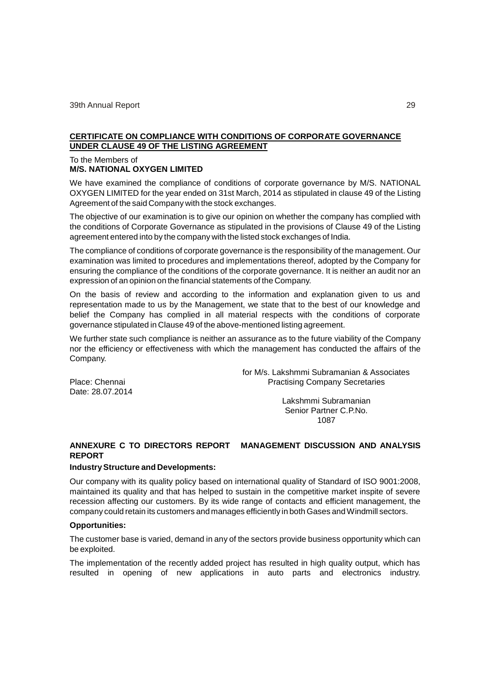#### **CERTIFICATE ON COMPLIANCE WITH CONDITIONS OF CORPORATE GOVERNANCE UNDER CLAUSE 49 OF THE LISTING AGREEMENT**

#### To the Members of **M/S. NATIONAL OXYGEN LIMITED**

We have examined the compliance of conditions of corporate governance by M/S. NATIONAL OXYGEN LIMITED for the year ended on 31st March, 2014 as stipulated in clause 49 of the Listing Agreement of the said Company with the stock exchanges.

The objective of our examination is to give our opinion on whether the company has complied with the conditions of Corporate Governance as stipulated in the provisions of Clause 49 of the Listing agreement entered into by the company with the listed stock exchanges of India.

The compliance of conditions of corporate governance is the responsibility of the management. Our examination was limited to procedures and implementations thereof, adopted by the Company for ensuring the compliance of the conditions of the corporate governance. It is neither an audit nor an expression of an opinion on the financial statements of the Company.

On the basis of review and according to the information and explanation given to us and representation made to us by the Management, we state that to the best of our knowledge and belief the Company has complied in all material respects with the conditions of corporate governance stipulated in Clause 49 of the above-mentioned listing agreement.

We further state such compliance is neither an assurance as to the future viability of the Company nor the efficiency or effectiveness with which the management has conducted the affairs of the Company.

Date: 28.07.2014

for M/s. Lakshmmi Subramanian & Associates Place: Chennai **Practising Company Secretaries** 

> Lakshmmi Subramanian Senior Partner C.P.No. 1087

### **ANNEXURE C TO DIRECTORS REPORT MANAGEMENT DISCUSSION AND ANALYSIS REPORT**

#### **IndustryStructure and Developments:**

Our company with its quality policy based on international quality of Standard of ISO 9001:2008, maintained its quality and that has helped to sustain in the competitive market inspite of severe recession affecting our customers. By its wide range of contacts and efficient management, the company could retain its customers and manages efficiently in both Gases andWindmill sectors.

#### **Opportunities:**

The customer base is varied, demand in any of the sectors provide business opportunity which can be exploited.

The implementation of the recently added project has resulted in high quality output, which has resulted in opening of new applications in auto parts and electronics industry.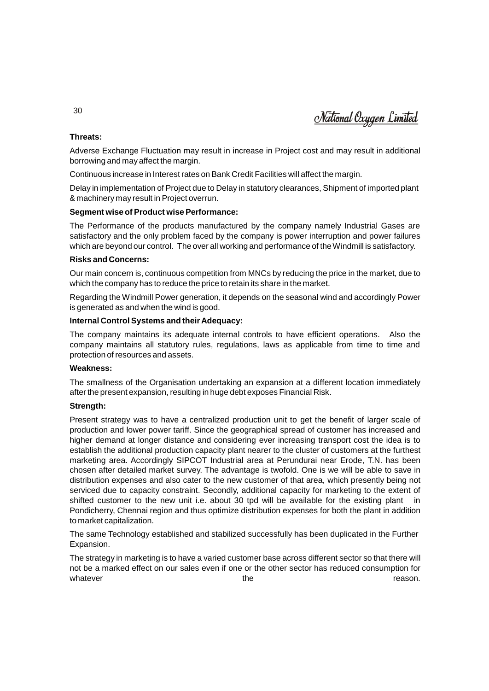National Oxygen Limited

#### **Threats:**

Adverse Exchange Fluctuation may result in increase in Project cost and may result in additional borrowing and may affect the margin.

Continuous increase in Interest rates on Bank Credit Facilities will affect the margin.

Delay in implementation of Project due to Delay in statutory clearances, Shipment of imported plant & machinery may result in Project overrun.

#### **Segment wise of Product wise Performance:**

The Performance of the products manufactured by the company namely Industrial Gases are satisfactory and the only problem faced by the company is power interruption and power failures which are beyond our control. The over all working and performance of the Windmill is satisfactory.

#### **Risks and Concerns:**

Our main concern is, continuous competition from MNCs by reducing the price in the market, due to which the company has to reduce the price to retain its share in the market.

Regarding the Windmill Power generation, it depends on the seasonal wind and accordingly Power is generated as and when the wind is good.

#### **Internal Control Systems and their Adequacy:**

The company maintains its adequate internal controls to have efficient operations. Also the company maintains all statutory rules, regulations, laws as applicable from time to time and protection of resources and assets.

#### **Weakness:**

The smallness of the Organisation undertaking an expansion at a different location immediately after the present expansion, resulting in huge debt exposes Financial Risk.

#### **Strength:**

Present strategy was to have a centralized production unit to get the benefit of larger scale of production and lower power tariff. Since the geographical spread of customer has increased and higher demand at longer distance and considering ever increasing transport cost the idea is to establish the additional production capacity plant nearer to the cluster of customers at the furthest marketing area. Accordingly SIPCOT Industrial area at Perundurai near Erode, T.N. has been chosen after detailed market survey. The advantage is twofold. One is we will be able to save in distribution expenses and also cater to the new customer of that area, which presently being not serviced due to capacity constraint. Secondly, additional capacity for marketing to the extent of shifted customer to the new unit i.e. about 30 tpd will be available for the existing plant in Pondicherry, Chennai region and thus optimize distribution expenses for both the plant in addition to market capitalization.

The same Technology established and stabilized successfully has been duplicated in the Further Expansion.

The strategy in marketing is to have a varied customer base across different sector so that there will not be a marked effect on our sales even if one or the other sector has reduced consumption for whatever the reason.

30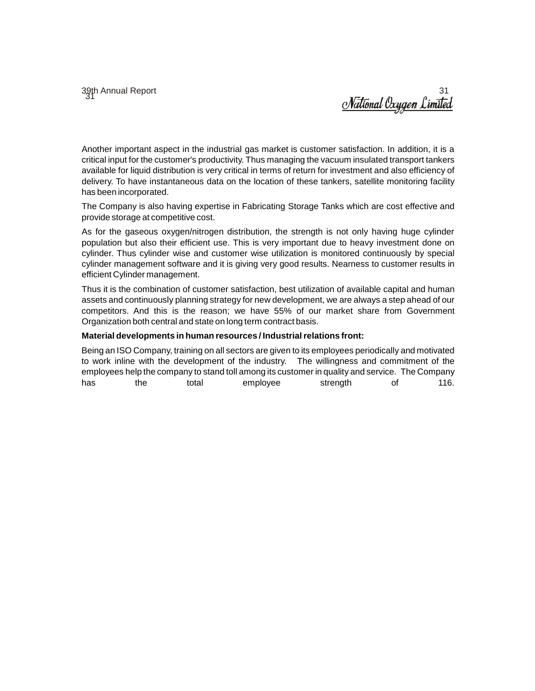39th Annual Report 31<br>21 39th Annual Report 31 31 39th Annual Report 31 31 39th Annual Report 31 31 39th Annual Report 31 31 31 32t

Another important aspect in the industrial gas market is customer satisfaction. In addition, it is a critical input for the customer's productivity. Thus managing the vacuum insulated transport tankers available for liquid distribution is very critical in terms of return for investment and also efficiency of delivery. To have instantaneous data on the location of these tankers, satellite monitoring facility has been incorporated.

The Company is also having expertise in Fabricating Storage Tanks which are cost effective and provide storage at competitive cost.

As for the gaseous oxygen/nitrogen distribution, the strength is not only having huge cylinder population but also their efficient use. This is very important due to heavy investment done on cylinder. Thus cylinder wise and customer wise utilization is monitored continuously by special cylinder management software and it is giving very good results. Nearness to customer results in efficient Cylinder management.

Thus it is the combination of customer satisfaction, best utilization of available capital and human assets and continuously planning strategy for new development, we are always a step ahead of our competitors. And this is the reason; we have 55% of our market share from Government Organization both central and state on long term contract basis.

#### **Material developments in human resources / Industrialrelations front:**

Being an ISO Company, training on all sectors are given to its employees periodically and motivated to work inline with the development of the industry. The willingness and commitment of the employees help the company to stand toll among its customer in quality and service. The Company has the total employee strength of 116.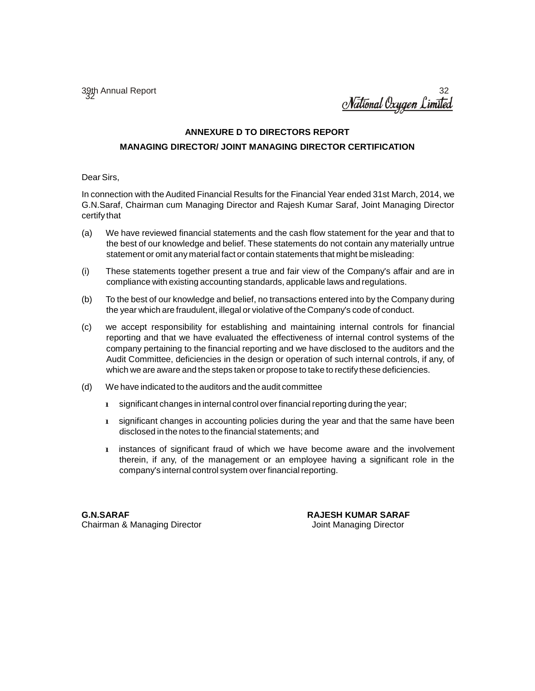32<br>39th Annual Report 32<br><mark>National Oxygen Limited</mark>

### **ANNEXURE D TO DIRECTORS REPORT MANAGING DIRECTOR/ JOINT MANAGING DIRECTOR CERTIFICATION**

Dear Sirs,

In connection with the Audited Financial Results for the Financial Year ended 31st March, 2014, we G.N.Saraf, Chairman cum Managing Director and Rajesh Kumar Saraf, Joint Managing Director certify that

- (a) We have reviewed financial statements and the cash flow statement for the year and that to the best of our knowledge and belief. These statements do not contain any materially untrue statement or omit any material fact or contain statements that might be misleading:
- (i) These statements together present a true and fair view of the Company's affair and are in compliance with existing accounting standards, applicable laws and regulations.
- (b) To the best of our knowledge and belief, no transactions entered into by the Company during the year which are fraudulent, illegal or violative of the Company's code of conduct.
- (c) we accept responsibility for establishing and maintaining internal controls for financial reporting and that we have evaluated the effectiveness of internal control systems of the company pertaining to the financial reporting and we have disclosed to the auditors and the Audit Committee, deficiencies in the design or operation of such internal controls, if any, of which we are aware and the steps taken or propose to take to rectify these deficiencies.
- (d) We have indicated to the auditors and the audit committee
	- 1 significant changes in internal control over financial reporting during the year;
	- 1 significant changes in accounting policies during the year and that the same have been disclosed in the notes to the financial statements; and
	- l instances of significant fraud of which we have become aware and the involvement therein, if any, of the management or an employee having a significant role in the company's internal control system over financial reporting.

**G.N.SARAF RAJESH KUMAR SARAF** Chairman & Managing Director **Chairman & Managing Director** Joint Managing Director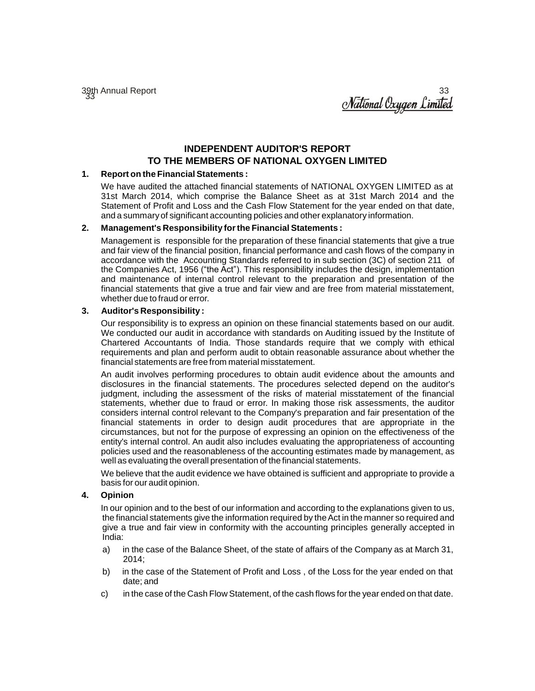33<br>33 33 Annual Report 33<br><mark>National Oxygen Limited</mark>

### **INDEPENDENT AUDITOR'S REPORT TO THE MEMBERS OF NATIONAL OXYGEN LIMITED**

#### **1. Report on the Financial Statements :**

We have audited the attached financial statements of NATIONAL OXYGEN LIMITED as at 31st March 2014, which comprise the Balance Sheet as at 31st March 2014 and the Statement of Profit and Loss and the Cash Flow Statement for the year ended on that date, and a summary of significant accounting policies and other explanatory information.

#### **2. Management's Responsibility forthe Financial Statements :**

Management is responsible for the preparation of these financial statements that give a true and fair view of the financial position, financial performance and cash flows of the company in accordance with the Accounting Standards referred to in sub section (3C) of section 211 of the Companies Act, 1956 ("the Act"). This responsibility includes the design, implementation and maintenance of internal control relevant to the preparation and presentation of the financial statements that give a true and fair view and are free from material misstatement, whether due to fraud or error.

#### **3. Auditor's Responsibility :**

Our responsibility is to express an opinion on these financial statements based on our audit. We conducted our audit in accordance with standards on Auditing issued by the Institute of Chartered Accountants of India. Those standards require that we comply with ethical requirements and plan and perform audit to obtain reasonable assurance about whether the financial statements are free from material misstatement.

An audit involves performing procedures to obtain audit evidence about the amounts and disclosures in the financial statements. The procedures selected depend on the auditor's judgment, including the assessment of the risks of material misstatement of the financial statements, whether due to fraud or error. In making those risk assessments, the auditor considers internal control relevant to the Company's preparation and fair presentation of the financial statements in order to design audit procedures that are appropriate in the circumstances, but not for the purpose of expressing an opinion on the effectiveness of the entity's internal control. An audit also includes evaluating the appropriateness of accounting policies used and the reasonableness of the accounting estimates made by management, as well as evaluating the overall presentation of the financial statements.

We believe that the audit evidence we have obtained is sufficient and appropriate to provide a basis for our audit opinion.

#### **4. Opinion**

In our opinion and to the best of our information and according to the explanations given to us, the financial statements give the information required by theAct in the manner so required and give a true and fair view in conformity with the accounting principles generally accepted in India:

- a) in the case of the Balance Sheet, of the state of affairs of the Company as at March 31, 2014;
- b) in the case of the Statement of Profit and Loss , of the Loss for the year ended on that date; and
- c) in the case of the Cash Flow Statement, of the cash flows for the year ended on that date.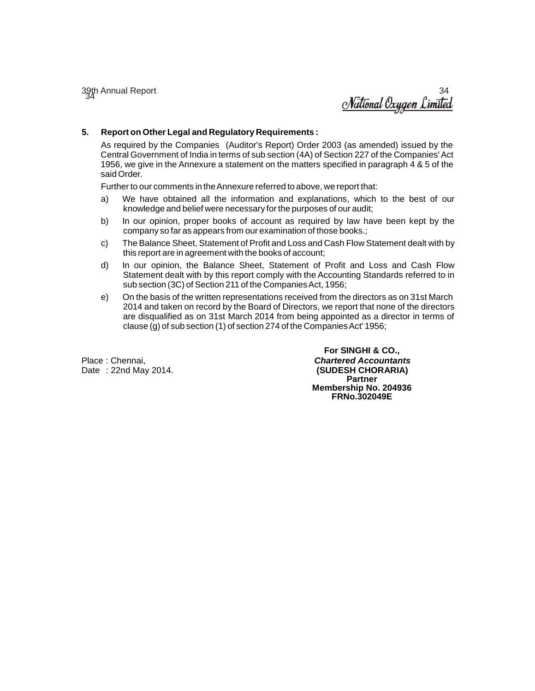34<br>34 Annual Report 34<br>*National Oxygen Limited* 

#### **5. Report on Other Legal and Regulatory Requirements :**

As required by the Companies (Auditor's Report) Order 2003 (as amended) issued by the Central Government of India in terms of sub section (4A) of Section 227 of the Companies'Act 1956, we give in the Annexure a statement on the matters specified in paragraph 4 & 5 of the said Order.

Further to our comments in theAnnexure referred to above, we report that:

- a) We have obtained all the information and explanations, which to the best of our knowledge and belief were necessary for the purposes of our audit;
- b) In our opinion, proper books of account as required by law have been kept by the company so far as appears from our examination of those books.;
- c) The Balance Sheet, Statement of Profit and Loss and Cash Flow Statement dealt with by this report are in agreement with the books of account;
- d) In our opinion, the Balance Sheet, Statement of Profit and Loss and Cash Flow Statement dealt with by this report comply with the Accounting Standards referred to in sub section (3C) of Section 211 of the Companies Act, 1956;
- e) On the basis of the written representations received from the directors as on 31st March 2014 and taken on record by the Board of Directors, we report that none of the directors are disqualified as on 31st March 2014 from being appointed as a director in terms of clause (g) of sub section (1) of section 274 of the Companies Act' 1956;

Date : 22nd May 2014.

**For SINGHI & CO.,**  Place : Chennai, *Chartered Accountants*  **Partner Membership No. 204936 FRNo.302049E**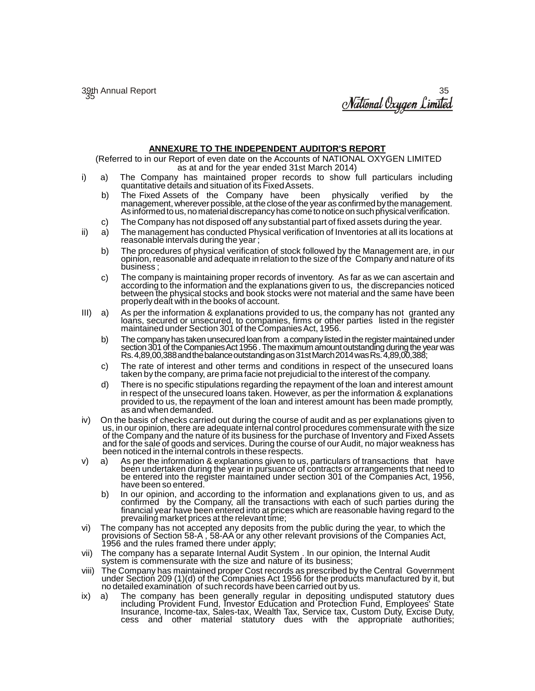39th Annual Report <sup>35</sup> <sup>35</sup>

#### **ANNEXURE TO THE INDEPENDENT AUDITOR'S REPORT**

(Referred to in our Report of even date on the Accounts of NATIONAL OXYGEN LIMITED as at and for the year ended 31st March 2014)

- i) a) The Company has maintained proper records to show full particulars including quantitative details and situation of its FixedAssets.
	- management,wherever possible, at the close of the year as confirmed bythe management. As informed to us, no material discrepancy has come to notice on such physical verification. b) The Fixed Assets of the Company have been physically verified by the
	- c) The Company has not disposed off any substantial part of fixed assets during the year.
- ii) a) The management has conducted Physical verification of Inventories at all its locations at reasonable intervals during the year;
	- b) The procedures of physical verification of stock followed by the Management are, in our opinion, reasonable and adequate in relation to the size of the Company and nature of its business ;
	- c) The company is maintaining proper records of inventory. As far as we can ascertain and according to the information and the explanations given to us, the discrepancies noticed between the physical stocks and book stocks were not material and the same have been properly dealt with in the books of account.
- III) a) As per the information & explanations provided to us, the company has not granted any loans, secured or unsecured, to companies, firms or other parties listed in the register maintained under Section 301 of the CompaniesAct, 1956.
	- b) The company has taken unsecured loan from a company listed in the register maintained under section 301 of the Companies Act 1956 . The maximum amount outstanding during the year was Rs. 4,89,00,388 and the balance outstanding as on 31st March 2014 was Rs. 4,89,00,388;
	- c) The rate of interest and other terms and conditions in respect of the unsecured loans taken by the company, are prima facie not prejudicial to the interest of the company.
	- d) There is no specific stipulations regarding the repayment of the loan and interest amount in respect of the unsecured loans taken. However, as per the information & explanations provided to us, the repayment of the loan and interest amount has been made promptly, as and when demanded.
- iv) On the basis of checks carried out during the course of audit and as per explanations given to us, in our opinion, there are adequate internal control procedures commensurate with the size of the Company and the nature of its business for the purchase of Inventory and Fixed Assets and for the sale of goods and services. During the course of ourAudit, no major weakness has been noticed in the internal controls in these respects.
- v) a) As per the information & explanations given to us, particulars of transactions that have been undertaken during the year in pursuance of contracts or arrangements that need to be entered into the register maintained under section 301 of the Companies Act, 1956, have been so entered.
	- b) In our opinion, and according to the information and explanations given to us, and as confirmed by the Company, all the transactions with each of such parties during the financial year have been entered into at prices which are reasonable having regard to the prevailing market prices at the relevant time;
- vi) The company has not accepted any deposits from the public during the year, to which the provisions of Section 58-A , 58-AA or any other relevant provisions of the Companies Act, 1956 and the rules framed there under apply;
- vii) The company has a separate Internal Audit System . In our opinion, the Internal Audit system is commensurate with the size and nature of its business;
- viii) The Company has maintained proper Cost records as prescribed by the Central Government under Section 209 (1)(d) of the Companies Act 1956 for the products manufactured by it, but no detailed examination of such records have been carried out by us.
- ix) a) The company has been generally regular in depositing undisputed statutory dues including Provident Fund, Investor Education and Protection Fund, Employees' State Insurance, Income-tax, Sales-tax, Wealth Tax, Service tax, Custom Duty, Excise Duty, cess and other material statutory dues with the appropriate authorities;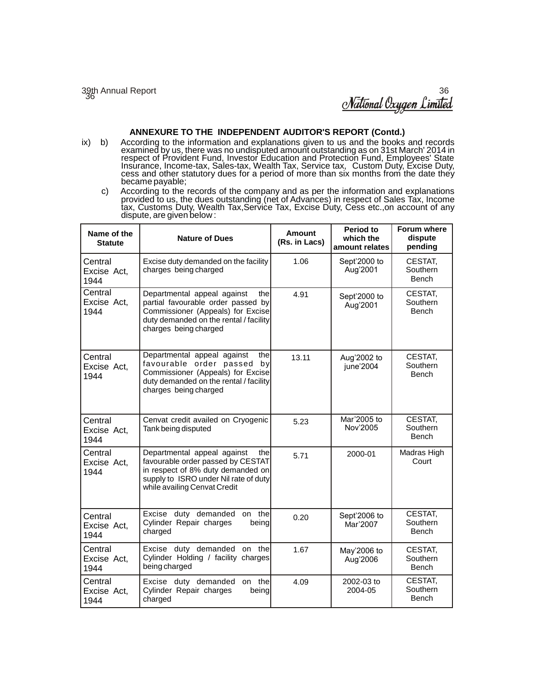39th Annual Report <sup>36</sup> <sup>36</sup>

#### **ANNEXURE TO THE INDEPENDENT AUDITOR'S REPORT (Contd.)**

- ix) b) According to the information and explanations given to us and the books and records examined by us, there was no undisputed amount outstanding as on 31st March' 2014 in respect of Provident Fund, Investor Education and Protection Fund, Employees' State Insurance, Income-tax, Sales-tax, Wealth Tax, Service tax, Custom Duty, Excise Duty, cess and other statutory dues for a period of more than six months from the date they became payable;
	- c) According to the records of the company and as per the information and explanations provided to us, the dues outstanding (net of Advances) in respect of Sales Tax, Income tax, Customs Duty, Wealth Tax,Service Tax, Excise Duty, Cess etc.,on account of any dispute, are given below :

| Name of the<br><b>Statute</b>  | <b>Nature of Dues</b>                                                                                                                                                                  | <b>Amount</b><br>(Rs. in Lacs) | <b>Period to</b><br>which the<br>amount relates | Forum where<br>dispute<br>pending   |
|--------------------------------|----------------------------------------------------------------------------------------------------------------------------------------------------------------------------------------|--------------------------------|-------------------------------------------------|-------------------------------------|
| Central<br>Excise Act.<br>1944 | Excise duty demanded on the facility<br>charges being charged                                                                                                                          | 1.06                           | Sept'2000 to<br>Aug'2001                        | CESTAT,<br>Southern<br>Bench        |
| Central<br>Excise Act,<br>1944 | Departmental appeal against<br>thel<br>partial favourable order passed by<br>Commissioner (Appeals) for Excise<br>duty demanded on the rental / facility<br>charges being charged      | 4.91                           | Sept'2000 to<br>Aug'2001                        | CESTAT.<br>Southern<br>Bench        |
| Central<br>Excise Act,<br>1944 | Departmental appeal against<br>thel<br>favourable order passed by<br>Commissioner (Appeals) for Excise<br>duty demanded on the rental / facility<br>charges being charged              | 13.11                          | Aug'2002 to<br>june'2004                        | CESTAT,<br>Southern<br>Bench        |
| Central<br>Excise Act,<br>1944 | Cenvat credit availed on Cryogenic<br>Tank being disputed                                                                                                                              | 5.23                           | Mar'2005 to<br>Nov'2005                         | CESTAT,<br>Southern<br>Bench        |
| Central<br>Excise Act.<br>1944 | Departmental appeal against<br>thel<br>favourable order passed by CESTAT<br>in respect of 8% duty demanded on<br>supply to ISRO under Nil rate of duty<br>while availing Cenvat Credit | 5.71                           | 2000-01                                         | Madras High<br>Court                |
| Central<br>Excise Act,<br>1944 | Excise duty demanded<br>on the<br>Cylinder Repair charges<br>being<br>charged                                                                                                          | 0.20                           | Sept'2006 to<br>Mar'2007                        | CESTAT,<br>Southern<br>Bench        |
| Central<br>Excise Act,<br>1944 | Excise duty demanded on the<br>Cylinder Holding / facility charges<br>being charged                                                                                                    | 1.67                           | May'2006 to<br>Aug'2006                         | CESTAT,<br>Southern<br>Bench        |
| Central<br>Excise Act,<br>1944 | on the<br>Excise duty demanded<br>Cylinder Repair charges<br>being<br>charged                                                                                                          | 4.09                           | 2002-03 to<br>2004-05                           | CESTAT,<br>Southern<br><b>Bench</b> |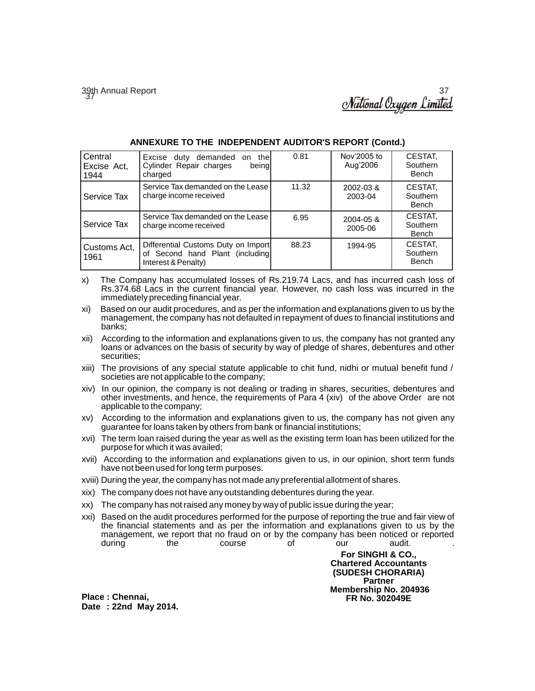37<br>39th Annual Report 37<br><mark>Mational Oxygen Limited</mark>

| Central<br>Excise Act,<br>1944 | thel<br>Excise duty demanded<br>on<br>Cylinder Repair charges<br>being<br>charged             | 0.81  | Nov'2005 to<br>Aug'2006 | CESTAT,<br>Southern<br>Bench |
|--------------------------------|-----------------------------------------------------------------------------------------------|-------|-------------------------|------------------------------|
| Service Tax                    | Service Tax demanded on the Lease<br>charge income received                                   | 11.32 | 2002-03 &<br>2003-04    | CESTAT,<br>Southern<br>Bench |
| Service Tax                    | Service Tax demanded on the Lease<br>charge income received                                   | 6.95  | 2004-05 &<br>2005-06    | CESTAT.<br>Southern<br>Bench |
| Customs Act,<br>1961           | Differential Customs Duty on Import<br>of Second hand Plant (including<br>Interest & Penalty) | 88.23 | 1994-95                 | CESTAT,<br>Southern<br>Bench |

#### **ANNEXURE TO THE INDEPENDENT AUDITOR'S REPORT (Contd.)**

x) The Company has accumulated losses of Rs.219.74 Lacs, and has incurred cash loss of Rs.374.68 Lacs in the current financial year. However, no cash loss was incurred in the immediately preceding financial year.

xi) Based on our audit procedures, and as per the information and explanations given to us by the management, the company has not defaulted in repayment of dues to financial institutions and banks;

xii) According to the information and explanations given to us, the company has not granted any loans or advances on the basis of security by way of pledge of shares, debentures and other securities;

xiii) The provisions of any special statute applicable to chit fund, nidhi or mutual benefit fund / societies are not applicable to the company;

xiv) In our opinion, the company is not dealing or trading in shares, securities, debentures and other investments, and hence, the requirements of Para 4 (xiv) of the above Order are not applicable to the company;

xv) According to the information and explanations given to us, the company has not given any guarantee for loans taken by others from bank or financial institutions;

xvi) The term loan raised during the year as well as the existing term loan has been utilized for the purpose for which it was availed;

xvii) According to the information and explanations given to us, in our opinion, short term funds have not been used for long term purposes.

xviii) During the year, the company has not made any preferential allotment of shares.

xix) The company does not have any outstanding debentures during the year.

xx) The company has not raised any money by way of public issue during the year;

xxi) Based on the audit procedures performed for the purpose of reporting the true and fair view of the financial statements and as per the information and explanations given to us by the management, we report that no fraud on or by the company has been noticed or reported during the course of our audit. .

**For SINGHI & CO., Chartered Accountants (SUDESH CHORARIA) Partner Membership No. 204936 FR No. 302049E**

**Place : Chennai, Date : 22nd May 2014.**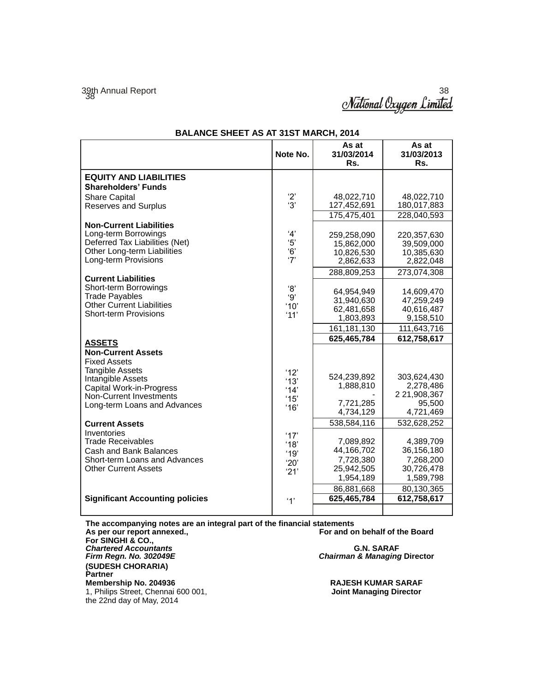<sup>38</sup><br>38 38 39th Annual Report 38<br>2<mark>Mational Oxygen Limited</mark>

|                                                    | Note No.       | As at<br>31/03/2014<br>Rs. | As at<br>31/03/2013<br>Rs. |
|----------------------------------------------------|----------------|----------------------------|----------------------------|
| <b>EQUITY AND LIABILITIES</b>                      |                |                            |                            |
| <b>Shareholders' Funds</b>                         |                |                            |                            |
| <b>Share Capital</b>                               | 2'             | 48,022,710                 | 48,022,710                 |
| Reserves and Surplus                               | '3'            | 127,452,691                | 180,017,883                |
| <b>Non-Current Liabilities</b>                     |                | 175,475,401                | 228,040,593                |
| Long-term Borrowings                               | '4'            | 259,258,090                | 220,357,630                |
| Deferred Tax Liabilities (Net)                     | 5'             | 15,862,000                 | 39,509,000                 |
| Other Long-term Liabilities                        | '6'            | 10,826,530                 | 10,385,630                 |
| Long-term Provisions                               | '7'            | 2,862,633                  | 2,822,048                  |
|                                                    |                | 288,809,253                | 273,074,308                |
| <b>Current Liabilities</b>                         |                |                            |                            |
| Short-term Borrowings<br><b>Trade Payables</b>     | '8'<br>'Q'     | 64,954,949                 | 14,609,470                 |
| <b>Other Current Liabilities</b>                   | '10'           | 31,940,630                 | 47,259,249                 |
| <b>Short-term Provisions</b>                       | '11'           | 62,481,658                 | 40,616,487                 |
|                                                    |                | 1,803,893                  | 9,158,510                  |
|                                                    |                | 161,181,130                | 111,643,716                |
| <b>ASSETS</b>                                      |                | 625,465,784                | 612,758,617                |
| <b>Non-Current Assets</b>                          |                |                            |                            |
| <b>Fixed Assets</b>                                |                |                            |                            |
| <b>Tangible Assets</b><br>Intangible Assets        | '12'           | 524,239,892                | 303,624,430                |
| <b>Capital Work-in-Progress</b>                    | '13'<br>'14'   | 1,888,810                  | 2,278,486                  |
| Non-Current Investments                            | '15'           |                            | 2 21,908,367               |
| Long-term Loans and Advances                       | '16'           | 7,721,285                  | 95,500                     |
|                                                    |                | 4,734,129                  | 4,721,469                  |
| <b>Current Assets</b>                              |                | 538,584,116                | 532,628,252                |
| Inventories                                        | '17'           |                            |                            |
| <b>Trade Receivables</b><br>Cash and Bank Balances | '18'           | 7,089,892<br>44,166,702    | 4,389,709<br>36,156,180    |
| Short-term Loans and Advances                      | '19'           | 7,728,380                  | 7,268,200                  |
| <b>Other Current Assets</b>                        | '20'<br>'21'   | 25,942,505                 | 30,726,478                 |
|                                                    |                | 1,954,189                  | 1,589,798                  |
|                                                    |                | 86,881,668                 | 80,130,365                 |
| <b>Significant Accounting policies</b>             | $^{\prime}$ 1' | 625,465,784                | 612,758,617                |
|                                                    |                |                            |                            |

**BALANCE SHEET AS AT 31ST MARCH, 2014**

**The accompanying notes are an integral part of the financial statements** For and on behalf of the Board **For SINGHI & CO., Chartered Accountants Chartered Accountants G.N. SARAF**<br> **Firm Regn. No. 302049E Chairman & Managing (SUDESH CHORARIA) Partner**

1, Philips Street, Chennai 600 001, **Joint Managing Director** the 22nd day of May, 2014

*Firm Regn. No. 302049E Chairman & Managing* **Director**

**Membership No. 204936 RAJESH KUMAR SARAF**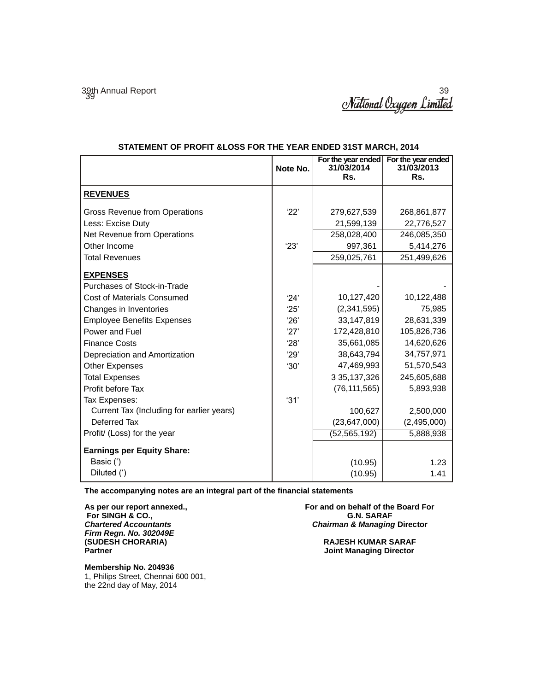39th Annual Report <sup>39</sup> <sup>39</sup>

|                                           | Note No. | For the year ended<br>31/03/2014<br>Rs. | For the year ended<br>31/03/2013<br>Rs. |
|-------------------------------------------|----------|-----------------------------------------|-----------------------------------------|
| <b>REVENUES</b>                           |          |                                         |                                         |
| Gross Revenue from Operations             | 22'      | 279,627,539                             | 268,861,877                             |
| Less: Excise Duty                         |          | 21,599,139                              | 22,776,527                              |
| Net Revenue from Operations               |          | 258,028,400                             | 246,085,350                             |
| Other Income                              | '23'     | 997,361                                 | 5,414,276                               |
| <b>Total Revenues</b>                     |          | 259,025,761                             | 251,499,626                             |
| <b>EXPENSES</b>                           |          |                                         |                                         |
| Purchases of Stock-in-Trade               |          |                                         |                                         |
| <b>Cost of Materials Consumed</b>         | 24'      | 10,127,420                              | 10,122,488                              |
| Changes in Inventories                    | 25'      | (2,341,595)                             | 75,985                                  |
| <b>Employee Benefits Expenses</b>         | '26'     | 33,147,819                              | 28,631,339                              |
| Power and Fuel                            | 27'      | 172,428,810                             | 105,826,736                             |
| <b>Finance Costs</b>                      | '28'     | 35,661,085                              | 14,620,626                              |
| Depreciation and Amortization             | '29'     | 38,643,794                              | 34,757,971                              |
| <b>Other Expenses</b>                     | '30'     | 47,469,993                              | 51,570,543                              |
| <b>Total Expenses</b>                     |          | 3 35, 137, 326                          | 245,605,688                             |
| Profit before Tax                         |          | (76, 111, 565)                          | 5,893,938                               |
| Tax Expenses:                             | '31'     |                                         |                                         |
| Current Tax (Including for earlier years) |          | 100,627                                 | 2,500,000                               |
| Deferred Tax                              |          | (23, 647, 000)                          | (2,495,000)                             |
| Profit/ (Loss) for the year               |          | (52, 565, 192)                          | 5,888,938                               |
| <b>Earnings per Equity Share:</b>         |          |                                         |                                         |
| Basic (')                                 |          | (10.95)                                 | 1.23                                    |
| Diluted (')                               |          | (10.95)                                 | 1.41                                    |

#### **STATEMENT OF PROFIT &LOSS FOR THE YEAR ENDED 31ST MARCH, 2014**

**The accompanying notes are an integral part of the financial statements**

As per our report annexed.,<br>For SINGH & CO.,<br>Chartered Accountants *Firm Regn. No. 302049E* **(SUDESH CHORARIA) RAJESH KUMAR SARAF Partner Joint Managing Director**

**For and on behalf of the Board For<br>G.N. SARAF** *Chairman & Managing Director* 

**Membership No. 204936** 1, Philips Street, Chennai 600 001, the 22nd day of May, 2014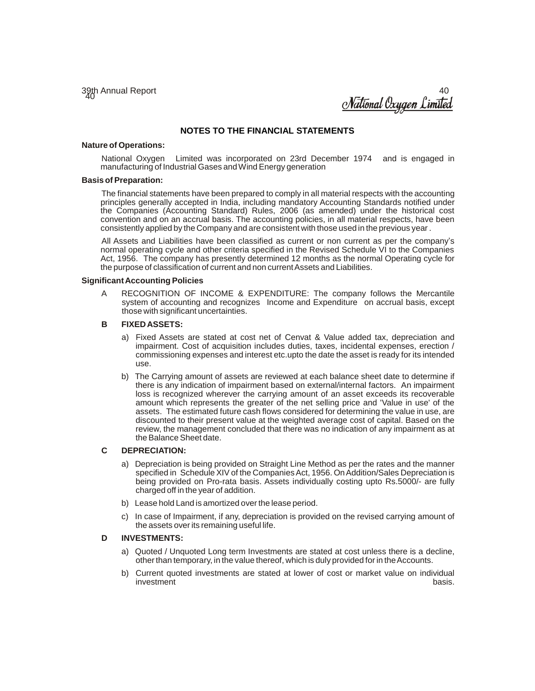<sup>40</sup><br>39th Annual Report 40<br>Malional Oxygen Limited

#### **NOTES TO THE FINANCIAL STATEMENTS**

#### **Nature of Operations:**

National Oxygen Limited was incorporated on 23rd December 1974 and is engaged in manufacturing of Industrial Gases andWind Energy generation

#### **Basis of Preparation:**

The financial statements have been prepared to comply in all material respects with the accounting principles generally accepted in India, including mandatory Accounting Standards notified under the Companies (Accounting Standard) Rules, 2006 (as amended) under the historical cost convention and on an accrual basis. The accounting policies, in all material respects, have been consistently applied by the Company and are consistent with those used in the previous year.

All Assets and Liabilities have been classified as current or non current as per the company"s normal operating cycle and other criteria specified in the Revised Schedule VI to the Companies Act, 1956. The company has presently determined 12 months as the normal Operating cycle for the purpose of classification of current and non currentAssets and Liabilities.

#### **SignificantAccounting Policies**

A RECOGNITION OF INCOME & EXPENDITURE: The company follows the Mercantile system of accounting and recognizes Income and Expenditure on accrual basis, except those with significant uncertainties.

#### **B FIXEDASSETS:**

- a) Fixed Assets are stated at cost net of Cenvat & Value added tax, depreciation and impairment. Cost of acquisition includes duties, taxes, incidental expenses, erection / commissioning expenses and interest etc.upto the date the asset is ready for its intended use.
- b) The Carrying amount of assets are reviewed at each balance sheet date to determine if there is any indication of impairment based on external/internal factors. An impairment loss is recognized wherever the carrying amount of an asset exceeds its recoverable amount which represents the greater of the net selling price and 'Value in use' of the assets. The estimated future cash flows considered for determining the value in use, are discounted to their present value at the weighted average cost of capital. Based on the review, the management concluded that there was no indication of any impairment as at the Balance Sheet date.

#### **C DEPRECIATION:**

- a) Depreciation is being provided on Straight Line Method as per the rates and the manner specified in Schedule XIV of the Companies Act, 1956. On Addition/Sales Depreciation is being provided on Pro-rata basis. Assets individually costing upto Rs.5000/- are fully charged off in the year of addition.
- b) Lease hold Land is amortized over the lease period.
- c) In case of Impairment, if any, depreciation is provided on the revised carrying amount of the assets over its remaining useful life.

#### **D INVESTMENTS:**

- a) Quoted / Unquoted Long term Investments are stated at cost unless there is a decline, other than temporary, in the value thereof, which is duly provided for in the Accounts.
- b) Current quoted investments are stated at lower of cost or market value on individual investment basis. The contract of the contract of the contract of the contract of the contract of the contract of the contract of the contract of the contract of the contract of the contract of the contract of the contract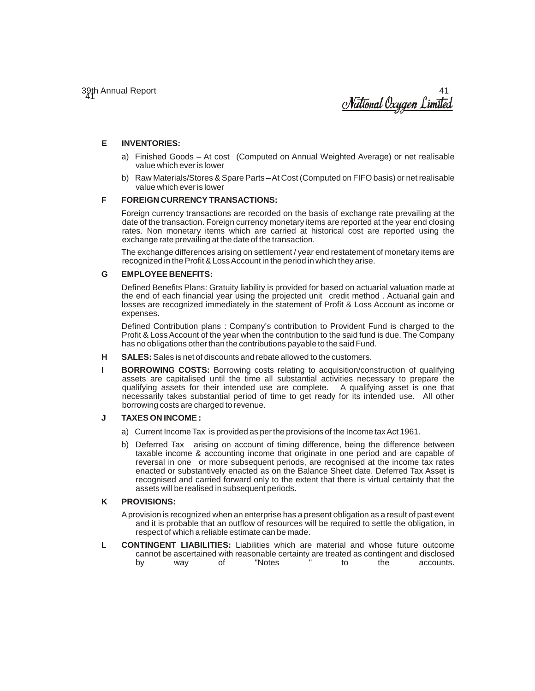agth Annual Report 41<br>21 **Annual Report 6 November 2018**<br>39th Annual Report 41

#### **E INVENTORIES:**

- a) Finished Goods At cost (Computed on Annual Weighted Average) or net realisable value which everis lower
- b) Raw Materials/Stores & Spare Parts –At Cost (Computed on FIFO basis) or net realisable value which everis lower

#### **F FOREIGN CURRENCY TRANSACTIONS:**

Foreign currency transactions are recorded on the basis of exchange rate prevailing at the date of the transaction. Foreign currency monetary items are reported at the year end closing rates. Non monetary items which are carried at historical cost are reported using the exchange rate prevailing at the date of the transaction.

The exchange differences arising on settlement / year end restatement of monetary items are recognized in the Profit & Loss Account in the period in which they arise.

#### **G EMPLOYEE BENEFITS:**

Defined Benefits Plans: Gratuity liability is provided for based on actuarial valuation made at the end of each financial year using the projected unit credit method . Actuarial gain and losses are recognized immediately in the statement of Profit & Loss Account as income or expenses.

Defined Contribution plans : Company"s contribution to Provident Fund is charged to the Profit & Loss Account of the year when the contribution to the said fund is due. The Company has no obligations other than the contributions payable to the said Fund.

- **H SALES:** Sales is net of discounts and rebate allowed to the customers.
- **I BORROWING COSTS:** Borrowing costs relating to acquisition/construction of qualifying assets are capitalised until the time all substantial activities necessary to prepare the qualifying assets for their intended use are complete. A qualifying asset is one that necessarily takes substantial period of time to get ready for its intended use. All other borrowing costs are charged to revenue.

#### **J TAXES ON INCOME :**

- a) Current Income Tax is provided as perthe provisions of the Income taxAct 1961.
- b) Deferred Tax arising on account of timing difference, being the difference between taxable income & accounting income that originate in one period and are capable of reversal in one or more subsequent periods, are recognised at the income tax rates enacted or substantively enacted as on the Balance Sheet date. Deferred Tax Asset is recognised and carried forward only to the extent that there is virtual certainty that the assets will be realised in subsequent periods.

#### **K PROVISIONS:**

Aprovision is recognized when an enterprise has a present obligation as a result of past event and it is probable that an outflow of resources will be required to settle the obligation, in respect of which a reliable estimate can be made.

**L CONTINGENT LIABILITIES:** Liabilities which are material and whose future outcome cannot be ascertained with reasonable certainty are treated as contingent and disclosed<br>by  $\qquad$  way of "Notes " to the accounts. by way of "Notes " to the accounts.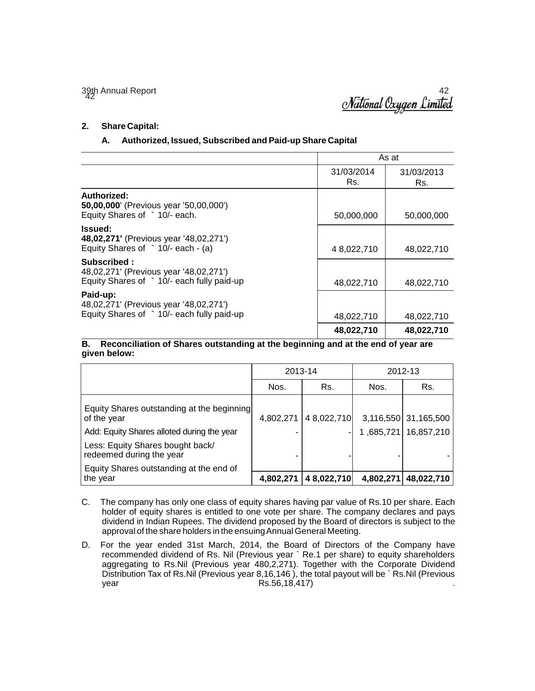42<br>39th Annual Report 42<br>Malional Oxygen Limited

#### **2. Share Capital:**

#### **A. Authorized, Issued, Subscribed and Paid-up Share Capital**

|                                                                                                     |                   | As at             |
|-----------------------------------------------------------------------------------------------------|-------------------|-------------------|
|                                                                                                     | 31/03/2014<br>Rs. | 31/03/2013<br>Rs. |
| <b>Authorized:</b><br>50,00,000' (Previous year '50,00,000')<br>Equity Shares of ` 10/- each.       | 50,000,000        | 50,000,000        |
| Issued:<br>48,02,271' (Previous year '48,02,271')<br>Equity Shares of $\degree$ 10/- each - (a)     | 4 8,022,710       | 48,022,710        |
| Subscribed:<br>48,02,271' (Previous year '48,02,271')<br>Equity Shares of > 10/- each fully paid-up | 48,022,710        | 48,022,710        |
| Paid-up:<br>48,02,271' (Previous year '48,02,271')<br>Equity Shares of ` 10/- each fully paid-up    | 48,022,710        | 48,022,710        |
|                                                                                                     | 48,022,710        | 48,022,710        |

#### **B. Reconciliation of Shares outstanding at the beginning and at the end of year are given below:**

|                                                                                | 2013-14   |             | 2012-13   |                        |
|--------------------------------------------------------------------------------|-----------|-------------|-----------|------------------------|
|                                                                                | Nos.      | Rs.         | Nos.      | Rs.                    |
| Equity Shares outstanding at the beginning<br>of the year                      | 4,802,271 | 4 8,022,710 |           | 3,116,550 31,165,500   |
| Add: Equity Shares alloted during the year<br>Less: Equity Shares bought back/ |           |             |           | 1,685,721   16,857,210 |
| redeemed during the year                                                       |           |             |           |                        |
| Equity Shares outstanding at the end of                                        |           |             |           |                        |
| the year                                                                       | 4,802,271 | 4 8,022,710 | 4,802,271 | 48,022,710             |

- C. The company has only one class of equity shares having par value of Rs.10 per share. Each holder of equity shares is entitled to one vote per share. The company declares and pays dividend in Indian Rupees. The dividend proposed by the Board of directors is subject to the approval of the share holders in the ensuingAnnual General Meeting.
- D. For the year ended 31st March, 2014, the Board of Directors of the Company have recommended dividend of Rs. Nil (Previous year ` Re.1 per share) to equity shareholders aggregating to Rs.Nil (Previous year 480,2,271). Together with the Corporate Dividend Distribution Tax of Rs.Nil (Previous year 8,16,146 ), the total payout will be ` Rs.Nil (Previous year Rs.56,18,417)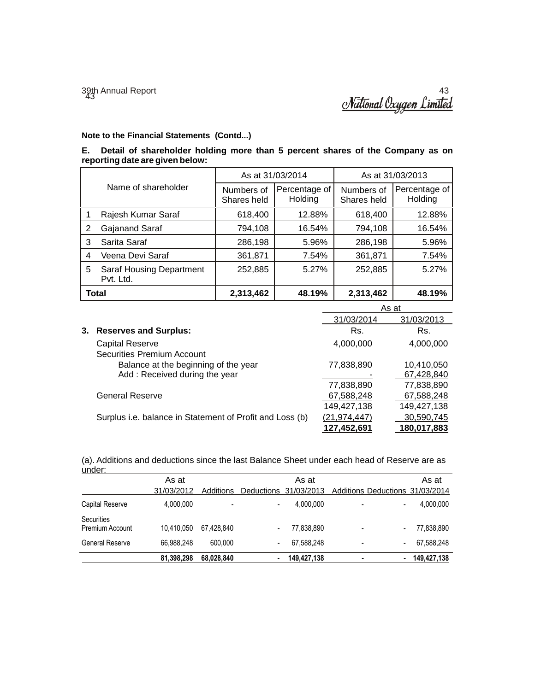43<br>43 Annual Report 43<br>6 National Oxygen Limited

#### **Note to the Financial Statements (Contd...)**

|  | E. Detail of shareholder holding more than 5 percent shares of the Company as on |  |  |  |  |  |  |
|--|----------------------------------------------------------------------------------|--|--|--|--|--|--|
|  | reporting date are given below:                                                  |  |  |  |  |  |  |

|   |                                              |                           | As at 31/03/2014         | As at 31/03/2013          |                          |  |
|---|----------------------------------------------|---------------------------|--------------------------|---------------------------|--------------------------|--|
|   | Name of shareholder                          | Numbers of<br>Shares held | Percentage of<br>Holding | Numbers of<br>Shares held | Percentage of<br>Holding |  |
|   | Rajesh Kumar Saraf                           | 618,400                   | 12.88%                   | 618,400                   | 12.88%                   |  |
| 2 | Gajanand Saraf                               | 794,108                   | 16.54%                   | 794,108                   | 16.54%                   |  |
| 3 | Sarita Saraf                                 | 286,198                   | 5.96%                    | 286,198                   | 5.96%                    |  |
| 4 | Veena Devi Saraf                             | 361,871                   | 7.54%                    | 361,871                   | 7.54%                    |  |
| 5 | <b>Saraf Housing Department</b><br>Pvt. Ltd. | 252,885                   | 5.27%                    | 252,885                   | 5.27%                    |  |
|   | Total                                        | 2,313,462                 | 48.19%                   | 2,313,462                 | 48.19%                   |  |

|                                                          |                | As at       |
|----------------------------------------------------------|----------------|-------------|
|                                                          | 31/03/2014     | 31/03/2013  |
| <b>Reserves and Surplus:</b><br>3. .                     | Rs.            | Rs.         |
| <b>Capital Reserve</b>                                   | 4,000,000      | 4,000,000   |
| <b>Securities Premium Account</b>                        |                |             |
| Balance at the beginning of the year                     | 77,838,890     | 10,410,050  |
| Add: Received during the year                            |                | 67,428,840  |
|                                                          | 77,838,890     | 77,838,890  |
| <b>General Reserve</b>                                   | 67,588,248     | 67,588,248  |
|                                                          | 149,427,138    | 149,427,138 |
| Surplus i.e. balance in Statement of Profit and Loss (b) | (21, 974, 447) | 30,590,745  |
|                                                          | 127,452,691    | 180,017,883 |

(a). Additions and deductions since the last Balance Sheet under each head of Reserve are as under:

|                                      | 81.398.298 | 68.028.840 | 149.427.138           |                                 | $-149,427,138$ |
|--------------------------------------|------------|------------|-----------------------|---------------------------------|----------------|
| General Reserve                      | 66.988.248 | 600.000    | 67.588.248            | -                               | 67,588,248     |
| Securities<br><b>Premium Account</b> | 10.410.050 | 67.428.840 | 77,838,890            | ۰                               | 77,838,890     |
| Capital Reserve                      | 4,000,000  | ٠          | 4,000,000             | -                               | 4,000,000      |
|                                      | 31/03/2012 | Additions  | Deductions 31/03/2013 | Additions Deductions 31/03/2014 |                |
|                                      | As at      |            | As at                 |                                 | As at          |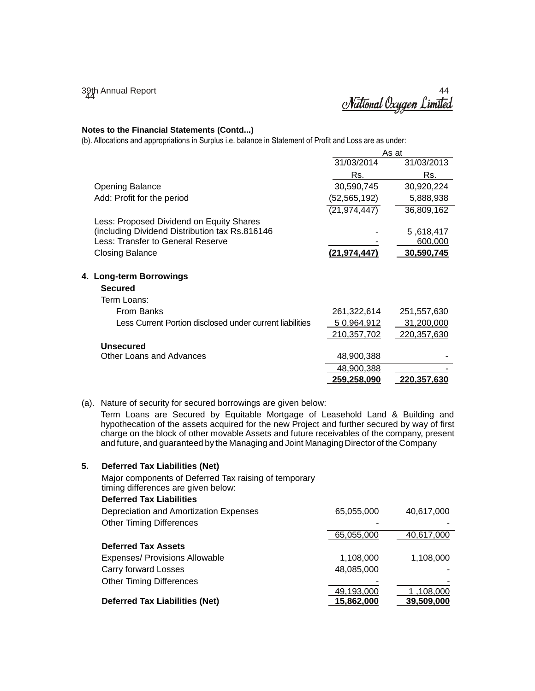agth Annual Report<br>24 39th Annual Report<br>2<mark>0 *Malional Oxygen Limited*</mark>

#### **Notes to the Financial Statements (Contd...)**

(b). Allocations and appropriations in Surplus i.e. balance in Statement of Profit and Loss are as under:

|                                                          |                | As at         |
|----------------------------------------------------------|----------------|---------------|
|                                                          | 31/03/2014     | 31/03/2013    |
|                                                          | Rs.            | Rs.           |
| <b>Opening Balance</b>                                   | 30,590,745     | 30,920,224    |
| Add: Profit for the period                               | (52, 565, 192) | 5,888,938     |
|                                                          | (21, 974, 447) | 36,809,162    |
| Less: Proposed Dividend on Equity Shares                 |                |               |
| (including Dividend Distribution tax Rs.816146           |                | 5,618,417     |
| Less: Transfer to General Reserve                        |                | 600,000       |
| Closing Balance                                          | (21, 974, 447) | 30,590,745    |
| 4. Long-term Borrowings                                  |                |               |
| <b>Secured</b>                                           |                |               |
| Term Loans:                                              |                |               |
| From Banks                                               | 261,322,614    | 251,557,630   |
| Less Current Portion disclosed under current liabilities | 5 0,964,912    | 31,200,000    |
|                                                          | 210,357,702    | 220, 357, 630 |
| <b>Unsecured</b>                                         |                |               |
| Other Loans and Advances                                 | 48,900,388     |               |
|                                                          | 48,900,388     |               |
|                                                          | 259,258,090    | 220,357,630   |

(a). Nature of security for secured borrowings are given below:

Term Loans are Secured by Equitable Mortgage of Leasehold Land & Building and hypothecation of the assets acquired for the new Project and further secured by way of first charge on the block of other movable Assets and future receivables of the company, present and future, and guaranteed by the Managing and Joint Managing Director of the Company

#### **5. Deferred Tax Liabilities (Net)** Major components of Deferred Tax raising of temporary timing differences are given below: **Deferred Tax Liabilities** Depreciation and Amortization Expenses 65,055,000 40,617,000 Other Timing Differences 65,055,000 40,617,000 **Deferred Tax Assets** Expenses/ Provisions Allowable 1,108,000 1,108,000 Carry forward Losses 48,085,000 Other Timing Differences<br>  $\frac{1}{49.193,000}$   $\frac{1}{1,108,000}$ 49,193,000 **Deferred Tax Liabilities (Net) 15,862,000 39,509,000**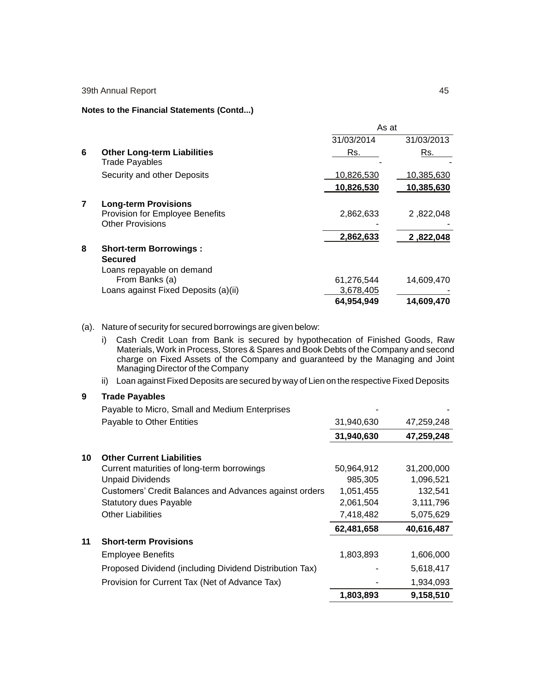39th Annual Report 45

#### **Notes to the Financial Statements (Contd...)**

|                |                                                                                           | As at      |            |
|----------------|-------------------------------------------------------------------------------------------|------------|------------|
|                |                                                                                           | 31/03/2014 | 31/03/2013 |
| 6              | <b>Other Long-term Liabilities</b><br><b>Trade Payables</b>                               | Rs.        | Rs.        |
|                | Security and other Deposits                                                               | 10,826,530 | 10,385,630 |
|                |                                                                                           | 10,826,530 | 10,385,630 |
| $\overline{7}$ | <b>Long-term Provisions</b><br>Provision for Employee Benefits<br><b>Other Provisions</b> | 2,862,633  | 2,822,048  |
|                |                                                                                           | 2,862,633  | 2,822,048  |
| 8              | <b>Short-term Borrowings:</b><br><b>Secured</b>                                           |            |            |
|                | Loans repayable on demand<br>From Banks (a)                                               | 61,276,544 | 14,609,470 |
|                | Loans against Fixed Deposits (a)(ii)                                                      | 3,678,405  |            |
|                |                                                                                           | 64,954,949 | 14,609,470 |

#### (a). Nature of security for secured borrowings are given below:

- i) Cash Credit Loan from Bank is secured by hypothecation of Finished Goods, Raw Materials, Work in Process, Stores & Spares and Book Debts of the Company and second charge on Fixed Assets of the Company and guaranteed by the Managing and Joint Managing Director of the Company
- ii) Loan against Fixed Deposits are secured by way of Lien on the respective Fixed Deposits
- **9 Trade Payables**

|    | Payable to Micro, Small and Medium Enterprises          |            |            |
|----|---------------------------------------------------------|------------|------------|
|    | Payable to Other Entities                               | 31,940,630 | 47,259,248 |
|    |                                                         | 31,940,630 | 47,259,248 |
| 10 | <b>Other Current Liabilities</b>                        |            |            |
|    | Current maturities of long-term borrowings              | 50,964,912 | 31,200,000 |
|    | <b>Unpaid Dividends</b>                                 | 985,305    | 1,096,521  |
|    | Customers' Credit Balances and Advances against orders  | 1,051,455  | 132,541    |
|    | <b>Statutory dues Payable</b>                           | 2,061,504  | 3,111,796  |
|    | <b>Other Liabilities</b>                                | 7,418,482  | 5,075,629  |
|    |                                                         | 62,481,658 | 40,616,487 |
| 11 | <b>Short-term Provisions</b>                            |            |            |
|    | <b>Employee Benefits</b>                                | 1,803,893  | 1,606,000  |
|    | Proposed Dividend (including Dividend Distribution Tax) |            | 5,618,417  |
|    | Provision for Current Tax (Net of Advance Tax)          |            | 1,934,093  |
|    |                                                         | 1,803,893  | 9,158,510  |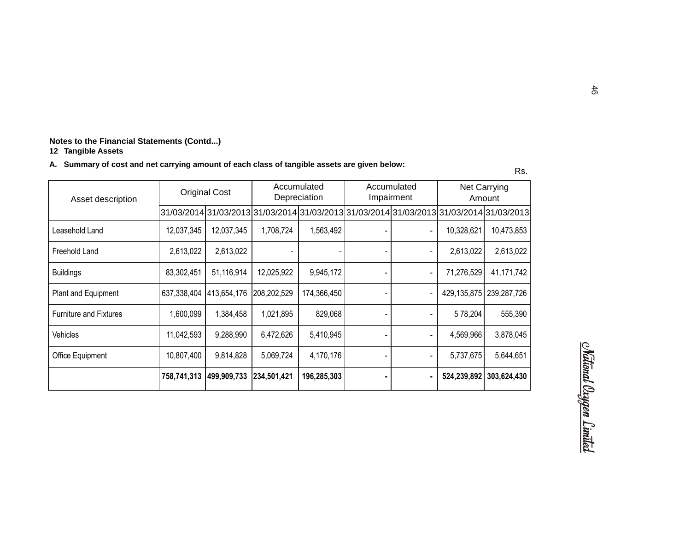**Notes to the Financial Statements (Contd...)**

**12 Tangible Assets**

**A. Summary of cost and net carrying amount of each class of tangible assets are given below:**

|                               | <u>Udinmary or cost and not carrying amount or each class or tangible assets are given below.</u><br>Rs. |             |                                                                                         |             |                           |   |                        |                               |  |  |
|-------------------------------|----------------------------------------------------------------------------------------------------------|-------------|-----------------------------------------------------------------------------------------|-------------|---------------------------|---|------------------------|-------------------------------|--|--|
| Asset description             | <b>Original Cost</b>                                                                                     |             | Accumulated<br>Depreciation                                                             |             | Accumulated<br>Impairment |   | Net Carrying<br>Amount |                               |  |  |
|                               |                                                                                                          |             | 31/03/2014 31/03/2013 31/03/2014 31/03/2013 31/03/2014 31/03/2013 31/03/2014 31/03/2013 |             |                           |   |                        |                               |  |  |
| Leasehold Land                | 12,037,345                                                                                               | 12,037,345  | 1,708,724                                                                               | 1,563,492   |                           |   | 10,328,621             | 10,473,853                    |  |  |
| Freehold Land                 | 2,613,022                                                                                                | 2,613,022   |                                                                                         |             |                           |   | 2,613,022              | 2,613,022                     |  |  |
| <b>Buildings</b>              | 83,302,451                                                                                               | 51,116,914  | 12,025,922                                                                              | 9,945,172   |                           | - | 71,276,529             | 41, 171, 742                  |  |  |
| Plant and Equipment           | 637,338,404                                                                                              | 413,654,176 | 208,202,529                                                                             | 174,366,450 |                           |   |                        | 429, 135, 875   239, 287, 726 |  |  |
| <b>Furniture and Fixtures</b> | 1,600,099                                                                                                | 1,384,458   | 1,021,895                                                                               | 829,068     |                           |   | 578,204                | 555,390                       |  |  |
| <b>Vehicles</b>               | 11,042,593                                                                                               | 9,288,990   | 6,472,626                                                                               | 5,410,945   |                           |   | 4,569,966              | 3,878,045                     |  |  |
| Office Equipment              | 10,807,400                                                                                               | 9,814,828   | 5,069,724                                                                               | 4,170,176   |                           |   | 5,737,675              | 5,644,651                     |  |  |
|                               | 758,741,313                                                                                              | 499,909,733 | 234,501,421                                                                             | 196,285,303 |                           |   | 524,239,892            | 303,624,430                   |  |  |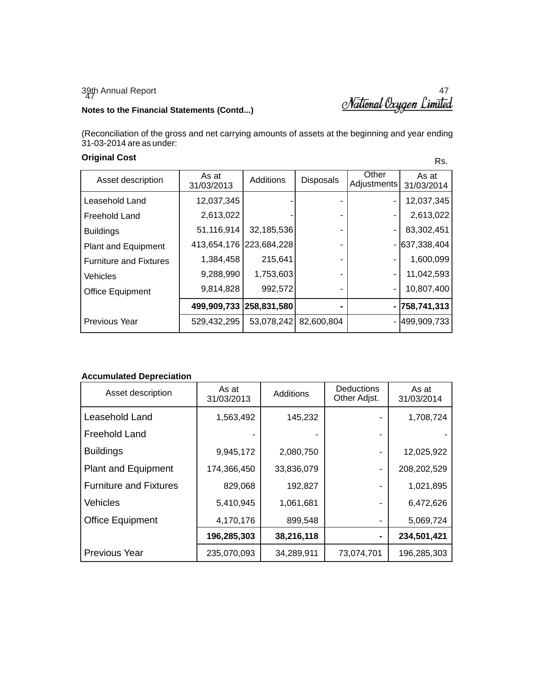39th Annual Report

<sup>47</sup><br><u>National Oxygen Limited وNational</u>

#### **Notes to the Financial Statements (Contd...)**

(Reconciliation of the gross and net carrying amounts of assets at the beginning and year ending 31-03-2014 are as under:

## **Original Cost** Rs.

| Asset description             | As at<br>31/03/2013 | Additions   | <b>Disposals</b> | Other<br>Adjustments | As at<br>31/03/2014 |
|-------------------------------|---------------------|-------------|------------------|----------------------|---------------------|
| Leasehold Land                | 12,037,345          |             | ۰                |                      | 12,037,345          |
| Freehold Land                 | 2,613,022           |             |                  |                      | 2,613,022           |
| <b>Buildings</b>              | 51,116,914          | 32,185,536  |                  |                      | 83,302,451          |
| <b>Plant and Equipment</b>    | 413,654,176         | 223,684,228 |                  |                      | - 637,338,404       |
| <b>Furniture and Fixtures</b> | 1,384,458           | 215,641     | -                |                      | 1,600,099           |
| Vehicles                      | 9,288,990           | 1,753,603   |                  |                      | 11,042,593          |
| <b>Office Equipment</b>       | 9,814,828           | 992,572     |                  |                      | 10,807,400          |
|                               | 499,909,733         | 258,831,580 | -                |                      | $- 758,741,313$     |
| <b>Previous Year</b>          | 529,432,295         | 53,078,242  | 82,600,804       |                      | -  499,909,733      |

#### **Accumulated Depreciation**

| Asset description             | As at<br>31/03/2013 | Additions  | Deductions<br>Other Adjst. | As at<br>31/03/2014 |
|-------------------------------|---------------------|------------|----------------------------|---------------------|
| Leasehold Land                | 1,563,492           | 145,232    |                            | 1,708,724           |
| Freehold Land                 |                     |            |                            |                     |
| <b>Buildings</b>              | 9,945,172           | 2,080,750  | ۰                          | 12,025,922          |
| <b>Plant and Equipment</b>    | 174,366,450         | 33,836,079 | ٠                          | 208,202,529         |
| <b>Furniture and Fixtures</b> | 829,068             | 192,827    | ٠                          | 1,021,895           |
| <b>Vehicles</b>               | 5,410,945           | 1,061,681  | ۰                          | 6,472,626           |
| <b>Office Equipment</b>       | 4,170,176           | 899,548    | ٠                          | 5,069,724           |
|                               | 196,285,303         | 38,216,118 | $\blacksquare$             | 234,501,421         |
| <b>Previous Year</b>          | 235,070,093         | 34,289,911 | 73,074,701                 | 196,285,303         |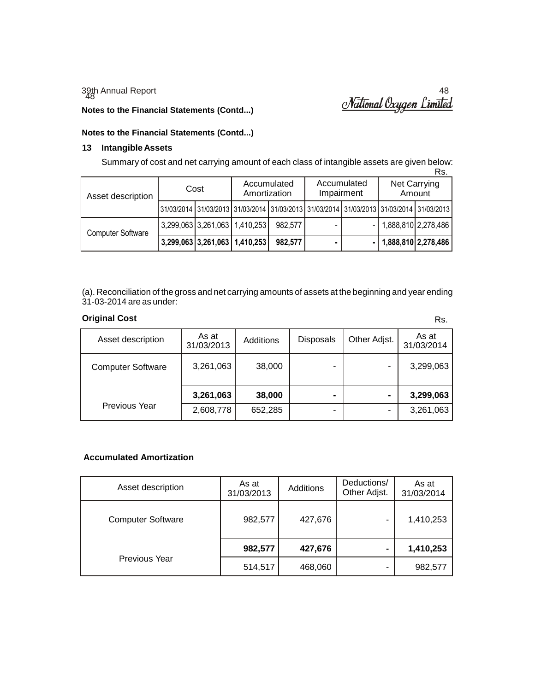39th Annual Report 48 48

**Notes to the Financial Statements (Contd...)**

#### **Notes to the Financial Statements (Contd...)**

#### **13 Intangible Assets**

Summary of cost and net carrying amount of each class of intangible assets are given below: Rs.

| Asset description        | Cost                          | Accumulated<br>Amortization |                                                                                         | Accumulated<br>Impairment |  | Net Carrying<br>Amount |                     |
|--------------------------|-------------------------------|-----------------------------|-----------------------------------------------------------------------------------------|---------------------------|--|------------------------|---------------------|
|                          |                               |                             | 31/03/2014 31/03/2013 31/03/2014 31/03/2013 31/03/2014 31/03/2013 31/03/2014 31/03/2013 |                           |  |                        |                     |
| <b>Computer Software</b> | 3,299,063 3,261,063 1,410,253 |                             | 982,577                                                                                 |                           |  |                        | 1,888,810 2,278,486 |
|                          | 3,299,063 3,261,063 1,410,253 |                             | 982,577                                                                                 |                           |  |                        | 1,888,810 2,278,486 |

(a). Reconciliation of the gross and net carrying amounts of assets at the beginning and year ending 31-03-2014 are as under:

#### **Original Cost** Rs.

| Asset description        | As at<br>31/03/2013 | Additions | <b>Disposals</b> | Other Adjst. | As at<br>31/03/2014 |
|--------------------------|---------------------|-----------|------------------|--------------|---------------------|
| <b>Computer Software</b> | 3,261,063           | 38,000    |                  | -            | 3,299,063           |
|                          | 3,261,063           | 38,000    |                  |              | 3,299,063           |
| Previous Year            | 2,608,778           | 652,285   |                  |              | 3,261,063           |

#### **Accumulated Amortization**

| Asset description        | As at<br>31/03/2013 | Additions | Deductions/<br>Other Adjst. | As at<br>31/03/2014 |
|--------------------------|---------------------|-----------|-----------------------------|---------------------|
| <b>Computer Software</b> | 982,577             | 427,676   |                             | 1,410,253           |
|                          | 982,577             | 427,676   | -                           | 1,410,253           |
| Previous Year            | 514,517             | 468,060   | -                           | 982,577             |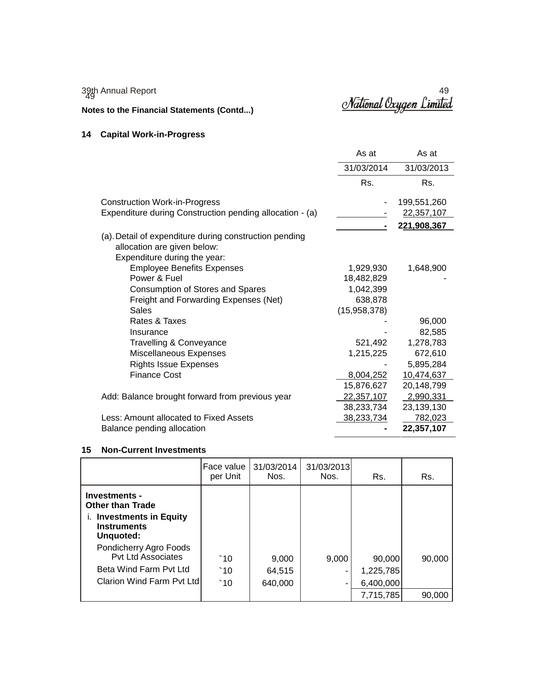39th Annual Report

<sup>49</sup><br><u>National Oxyg*en* Limited و</u>

### **Notes to the Financial Statements (Contd...)**

#### **14 Capital Work-in-Progress**

|                                                          | As at        | As at       |
|----------------------------------------------------------|--------------|-------------|
|                                                          | 31/03/2014   | 31/03/2013  |
|                                                          | Rs.          | Rs.         |
| <b>Construction Work-in-Progress</b>                     |              | 199,551,260 |
| Expenditure during Construction pending allocation - (a) |              | 22,357,107  |
|                                                          |              | 221,908,367 |
| (a). Detail of expenditure during construction pending   |              |             |
| allocation are given below:                              |              |             |
| Expenditure during the year:                             |              |             |
| <b>Employee Benefits Expenses</b>                        | 1,929,930    | 1,648,900   |
| Power & Fuel                                             | 18,482,829   |             |
| <b>Consumption of Stores and Spares</b>                  | 1,042,399    |             |
| Freight and Forwarding Expenses (Net)                    | 638,878      |             |
| Sales                                                    | (15,958,378) |             |
| Rates & Taxes                                            |              | 96,000      |
| Insurance                                                |              | 82,585      |
| <b>Travelling &amp; Conveyance</b>                       | 521,492      | 1,278,783   |
| Miscellaneous Expenses                                   | 1,215,225    | 672,610     |
| <b>Rights Issue Expenses</b>                             |              | 5,895,284   |
| <b>Finance Cost</b>                                      | 8,004,252    | 10,474,637  |
|                                                          | 15,876,627   | 20,148,799  |
| Add: Balance brought forward from previous year          | 22,357,107   | 2,990,331   |
|                                                          | 38,233,734   | 23,139,130  |
| Less: Amount allocated to Fixed Assets                   | 38,233,734   | 782,023     |
| Balance pending allocation                               |              | 22,357,107  |

#### **15 Non-Current Investments**

|                                                                                                                | Face value<br>per Unit             | 31/03/2014<br>Nos.         | 31/03/2013<br>Nos. | Rs.                              | Rs.    |
|----------------------------------------------------------------------------------------------------------------|------------------------------------|----------------------------|--------------------|----------------------------------|--------|
| <b>Investments -</b><br><b>Other than Trade</b><br>i. Investments in Equity<br><b>Instruments</b><br>Unquoted: |                                    |                            |                    |                                  |        |
| Pondicherry Agro Foods<br><b>Pvt Ltd Associates</b><br>Beta Wind Farm Pyt Ltd<br>Clarion Wind Farm Pyt Ltd     | `10<br>$^{\sim}$ 10<br>$^{\sim}10$ | 9,000<br>64,515<br>640.000 | 9,000<br>۰         | 90,000<br>1,225,785<br>6.400.000 | 90,000 |
|                                                                                                                |                                    |                            |                    | 7,715,785                        | 90.000 |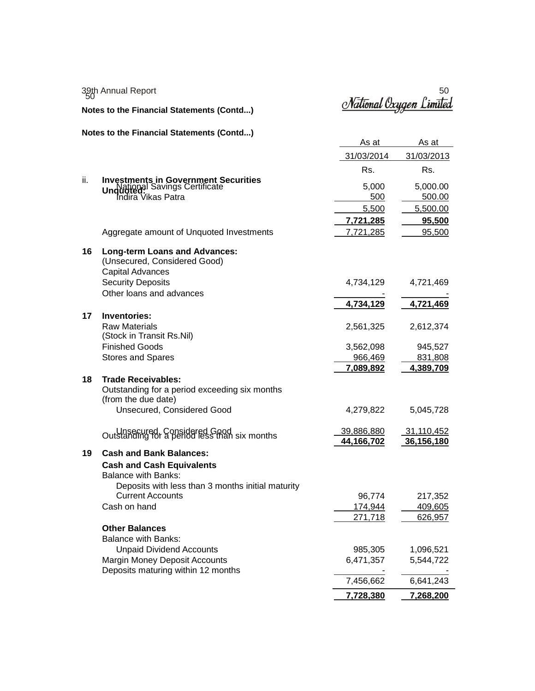39th Annual Report<br>50

<sup>50</sup><br><u>National Oxyg*en* Limited </u>

| Notes to the Financial Statements (Contu)                                                      |                  |                   |
|------------------------------------------------------------------------------------------------|------------------|-------------------|
|                                                                                                | As at            | As at             |
|                                                                                                | 31/03/2014       | 31/03/2013        |
|                                                                                                | Rs.              | Rs.               |
| ii.<br><b>Investments in Government Securities<br/>Undudient</b> Savings Certificate           | 5,000            | 5,000.00          |
| Indira Vikas Patra                                                                             | 500              | 500.00            |
|                                                                                                | 5,500            | 5,500.00          |
|                                                                                                | <u>7,721,285</u> | 95,500            |
| Aggregate amount of Unquoted Investments                                                       | <u>7,721,285</u> | 95,500            |
| 16<br><b>Long-term Loans and Advances:</b><br>(Unsecured, Considered Good)<br>Capital Advances |                  |                   |
| <b>Security Deposits</b>                                                                       | 4,734,129        | 4,721,469         |
| Other loans and advances                                                                       |                  |                   |
|                                                                                                | 4,734,129        | 4,721,469         |
| 17<br>Inventories:<br><b>Raw Materials</b>                                                     | 2,561,325        | 2,612,374         |
| (Stock in Transit Rs.Nil)                                                                      |                  |                   |
| <b>Finished Goods</b>                                                                          | 3,562,098        | 945,527           |
| <b>Stores and Spares</b>                                                                       | 966,469          | 831,808           |
|                                                                                                | 7,089,892        | 4,389,709         |
| 18<br><b>Trade Receivables:</b>                                                                |                  |                   |
| Outstanding for a period exceeding six months<br>(from the due date)                           |                  |                   |
| Unsecured, Considered Good                                                                     | 4,279,822        | 5,045,728         |
|                                                                                                |                  |                   |
| Unsecured, Considered Good<br>Outstanding for a period less than six months                    | 39,886,880       | <u>31,110,452</u> |
|                                                                                                | 44,166,702       | 36,156,180        |
| <b>Cash and Bank Balances:</b><br>19                                                           |                  |                   |
| <b>Cash and Cash Equivalents</b>                                                               |                  |                   |
| Balance with Banks:                                                                            |                  |                   |
| Deposits with less than 3 months initial maturity<br><b>Current Accounts</b>                   | 96,774           | 217,352           |
| Cash on hand                                                                                   | 174,944          | 409,605           |
|                                                                                                | 271,718          | 626,957           |
| <b>Other Balances</b>                                                                          |                  |                   |
| <b>Balance with Banks:</b>                                                                     |                  |                   |
| <b>Unpaid Dividend Accounts</b>                                                                | 985,305          | 1,096,521         |
| Margin Money Deposit Accounts                                                                  | 6,471,357        | 5,544,722         |
| Deposits maturing within 12 months                                                             | 7,456,662        | 6,641,243         |
|                                                                                                | <u>7,728,380</u> | 7,268,200         |

**Notes to the Financial Statements (Contd...)**

**Notes to the Financial Statements (Contd...)**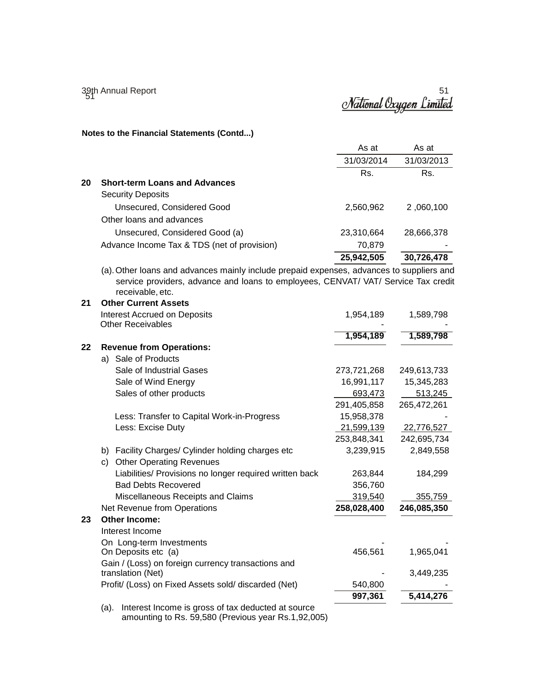<sup>51</sup><br>39th Annual Report 51<br><mark>Mational Oxygen Limited</mark>

#### **Notes to the Financial Statements (Contd...)**

|    |                                                                                                                                                                                | As at      | As at      |
|----|--------------------------------------------------------------------------------------------------------------------------------------------------------------------------------|------------|------------|
|    |                                                                                                                                                                                | 31/03/2014 | 31/03/2013 |
|    |                                                                                                                                                                                | Rs.        | Rs.        |
| 20 | <b>Short-term Loans and Advances</b>                                                                                                                                           |            |            |
|    | <b>Security Deposits</b>                                                                                                                                                       |            |            |
|    | Unsecured, Considered Good                                                                                                                                                     | 2,560,962  | 2,060,100  |
|    | Other loans and advances                                                                                                                                                       |            |            |
|    | Unsecured, Considered Good (a)                                                                                                                                                 | 23,310,664 | 28,666,378 |
|    | Advance Income Tax & TDS (net of provision)                                                                                                                                    | 70.879     |            |
|    |                                                                                                                                                                                | 25,942,505 | 30,726,478 |
|    | (a). Other loans and advances mainly include prepaid expenses, advances to suppliers and<br>service providers, advance and loans to employees, CENVAT/ VAT/ Service Tax credit |            |            |

receivable, etc. **21 Other Current Assets** Interest Accrued on Deposits 1,954,189 1,589,798 **Other Receivables 1,954,189 1,589,798 22 Revenue from Operations:** a) Sale of Products Sale of Industrial Gases 273,721,268 249,613,733 Sale of Wind Energy 16,991,117 15,345,283 Sales of other products and the control of the control of the control of the control of the control of the control of the control of the control of the control of the control of the control of the control of the control of 291,405,858 265,472,261 Less: Transfer to Capital Work-in-Progress 15,958,378 Less: Excise Duty 21,599,139 22,776,527 253,848,341 242,695,734 b) Facility Charges/ Cylinder holding charges etc 3,239,915 2,849,558 c) Other Operating Revenues Liabilities/ Provisions no longer required written back 263,844 184,299 Bad Debts Recovered 356,760 Miscellaneous Receipts and Claims 319,540 355,759 Net Revenue from Operations **258,028,400 246,085,350 23 Other Income:** Interest Income On Long-term Investments - - On Deposits etc (a) Gain / (Loss) on foreign currency transactions and translation (Net) - 3,449,235 Profit/ (Loss) on Fixed Assets sold/ discarded (Net) 540,800 **997,361 5,414,276** (a). Interest Income is gross of tax deducted at source

amounting to Rs. 59,580 (Previous year Rs.1,92,005)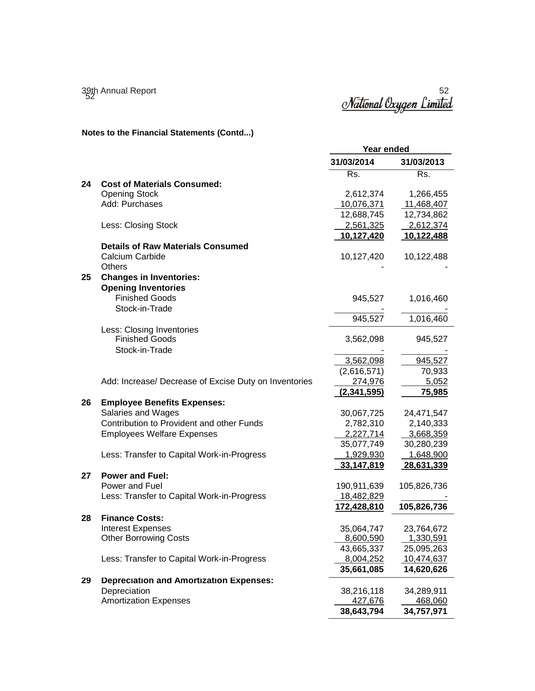39th Annual Report 52<br>52 **Mational Oxygen Limited** 

### **Notes to the Financial Statements (Contd...)**

|    |                                                                 | Year ended  |             |
|----|-----------------------------------------------------------------|-------------|-------------|
|    |                                                                 | 31/03/2014  | 31/03/2013  |
|    |                                                                 | Rs.         | Rs.         |
| 24 | <b>Cost of Materials Consumed:</b>                              |             |             |
|    | <b>Opening Stock</b>                                            | 2,612,374   | 1,266,455   |
|    | Add: Purchases                                                  | 10,076,371  | 11,468,407  |
|    |                                                                 | 12,688,745  | 12,734,862  |
|    | Less: Closing Stock                                             | 2,561,325   | 2,612,374   |
|    |                                                                 | 10,127,420  | 10,122,488  |
|    | <b>Details of Raw Materials Consumed</b>                        |             |             |
|    | Calcium Carbide                                                 | 10,127,420  | 10,122,488  |
|    | <b>Others</b>                                                   |             |             |
| 25 | <b>Changes in Inventories:</b>                                  |             |             |
|    | <b>Opening Inventories</b>                                      |             |             |
|    | <b>Finished Goods</b>                                           | 945,527     | 1,016,460   |
|    | Stock-in-Trade                                                  |             |             |
|    |                                                                 | 945,527     | 1,016,460   |
|    | Less: Closing Inventories                                       |             |             |
|    | <b>Finished Goods</b>                                           | 3,562,098   | 945,527     |
|    | Stock-in-Trade                                                  |             |             |
|    |                                                                 | 3,562,098   | 945,527     |
|    |                                                                 | (2,616,571) | 70,933      |
|    | Add: Increase/ Decrease of Excise Duty on Inventories           | 274,976     | 5,052       |
|    |                                                                 | (2,341,595) | 75,985      |
| 26 |                                                                 |             |             |
|    | <b>Employee Benefits Expenses:</b>                              |             |             |
|    | Salaries and Wages<br>Contribution to Provident and other Funds | 30,067,725  | 24,471,547  |
|    |                                                                 | 2,782,310   | 2,140,333   |
|    | <b>Employees Welfare Expenses</b>                               | 2,227,714   | 3,668,359   |
|    |                                                                 | 35,077,749  | 30,280,239  |
|    | Less: Transfer to Capital Work-in-Progress                      | 1,929,930   | 1,648,900   |
|    |                                                                 | 33,147,819  | 28,631,339  |
| 27 | <b>Power and Fuel:</b>                                          |             |             |
|    | Power and Fuel                                                  | 190,911,639 | 105,826,736 |
|    | Less: Transfer to Capital Work-in-Progress                      | 18,482,829  |             |
|    |                                                                 | 172,428,810 | 105,826,736 |
| 28 | <b>Finance Costs:</b>                                           |             |             |
|    | <b>Interest Expenses</b>                                        | 35,064,747  | 23,764,672  |
|    | <b>Other Borrowing Costs</b>                                    | 8,600,590   | 1,330,591   |
|    |                                                                 | 43,665,337  | 25,095,263  |
|    | Less: Transfer to Capital Work-in-Progress                      | 8,004,252   | 10,474,637  |
|    |                                                                 | 35,661,085  | 14,620,626  |
| 29 | <b>Depreciation and Amortization Expenses:</b>                  |             |             |
|    | Depreciation                                                    | 38,216,118  | 34,289,911  |
|    | <b>Amortization Expenses</b>                                    | 427,676     | 468,060     |
|    |                                                                 | 38,643,794  | 34,757,971  |
|    |                                                                 |             |             |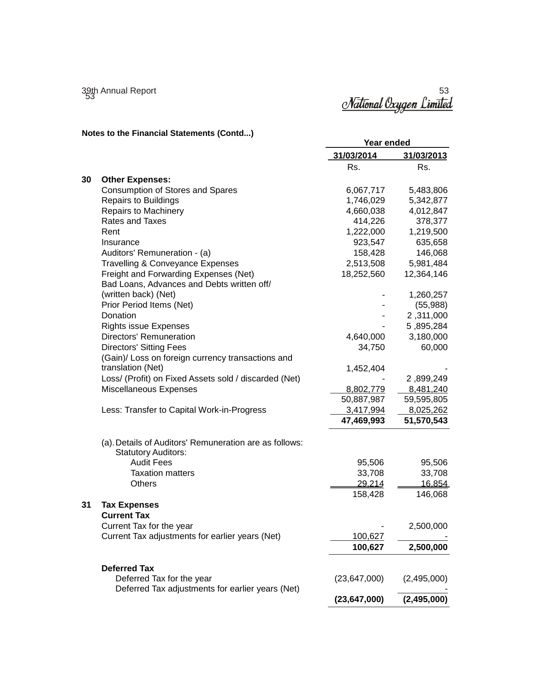39th Annual Report 53<br>53 53 2011 Mational Oxygen Limited

| Notes to the Financial Statements (Contd) |  |
|-------------------------------------------|--|
|-------------------------------------------|--|

|    |                                                        | Year ended     |             |
|----|--------------------------------------------------------|----------------|-------------|
|    |                                                        | 31/03/2014     | 31/03/2013  |
|    |                                                        | Rs.            | Rs.         |
| 30 | <b>Other Expenses:</b>                                 |                |             |
|    | <b>Consumption of Stores and Spares</b>                | 6,067,717      | 5,483,806   |
|    | <b>Repairs to Buildings</b>                            | 1,746,029      | 5,342,877   |
|    | Repairs to Machinery                                   | 4,660,038      | 4,012,847   |
|    | Rates and Taxes                                        | 414,226        | 378,377     |
|    | Rent                                                   | 1,222,000      | 1,219,500   |
|    | Insurance                                              | 923,547        | 635,658     |
|    | Auditors' Remuneration - (a)                           | 158,428        | 146,068     |
|    | <b>Travelling &amp; Conveyance Expenses</b>            | 2,513,508      | 5,981,484   |
|    | Freight and Forwarding Expenses (Net)                  | 18,252,560     | 12,364,146  |
|    | Bad Loans, Advances and Debts written off/             |                |             |
|    | (written back) (Net)                                   |                | 1,260,257   |
|    | Prior Period Items (Net)                               |                | (55, 988)   |
|    | Donation                                               |                | 2,311,000   |
|    | <b>Rights issue Expenses</b>                           |                | 5,895,284   |
|    | Directors' Remuneration                                | 4,640,000      | 3,180,000   |
|    | <b>Directors' Sitting Fees</b>                         | 34,750         | 60,000      |
|    | (Gain)/ Loss on foreign currency transactions and      |                |             |
|    | translation (Net)                                      | 1,452,404      |             |
|    | Loss/ (Profit) on Fixed Assets sold / discarded (Net)  |                | 2,899,249   |
|    | Miscellaneous Expenses                                 | 8,802,779      | 8,481,240   |
|    |                                                        | 50,887,987     | 59,595,805  |
|    | Less: Transfer to Capital Work-in-Progress             | 3,417,994      | 8,025,262   |
|    |                                                        | 47,469,993     | 51,570,543  |
|    | (a). Details of Auditors' Remuneration are as follows: |                |             |
|    | <b>Statutory Auditors:</b>                             |                |             |
|    | <b>Audit Fees</b>                                      | 95,506         | 95,506      |
|    | <b>Taxation matters</b>                                | 33,708         | 33,708      |
|    | Others                                                 | 29,214         | 16,854      |
|    |                                                        | 158,428        | 146,068     |
| 31 | <b>Tax Expenses</b>                                    |                |             |
|    | <b>Current Tax</b>                                     |                |             |
|    | Current Tax for the year                               |                | 2,500,000   |
|    | Current Tax adjustments for earlier years (Net)        | 100,627        |             |
|    |                                                        | 100,627        | 2,500,000   |
|    | <b>Deferred Tax</b>                                    |                |             |
|    | Deferred Tax for the year                              | (23, 647, 000) | (2,495,000) |
|    | Deferred Tax adjustments for earlier years (Net)       |                |             |
|    |                                                        | (23, 647, 000) | (2,495,000) |
|    |                                                        |                |             |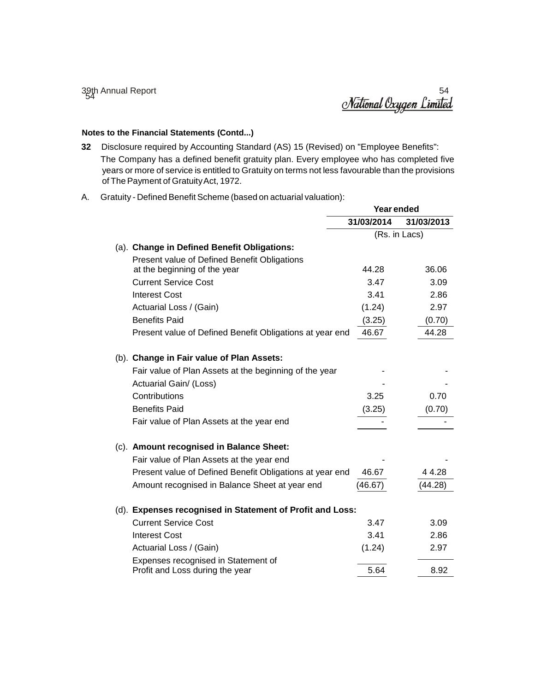39th Annual Report 54<br>54 Samuel Report 54 54 September 2007 54 September 2007 54 September 2008 54 September 2008 54 September 201<br>54 September 2008 54 September 2008 54 September 2008 54 September 2009 54 September 2009 5

#### **Notes to the Financial Statements (Contd...)**

**32** Disclosure required by Accounting Standard (AS) 15 (Revised) on "Employee Benefits":

The Company has a defined benefit gratuity plan. Every employee who has completed five years or more of service is entitled to Gratuity on terms not less favourable than the provisions of The Payment of Gratuity Act, 1972.

A. Gratuity - Defined Benefit Scheme (based on actuarial valuation):

|                                                           | Year ended |               |
|-----------------------------------------------------------|------------|---------------|
|                                                           | 31/03/2014 | 31/03/2013    |
|                                                           |            | (Rs. in Lacs) |
| (a). Change in Defined Benefit Obligations:               |            |               |
| Present value of Defined Benefit Obligations              |            |               |
| at the beginning of the year                              | 44.28      | 36.06         |
| <b>Current Service Cost</b>                               | 3.47       | 3.09          |
| <b>Interest Cost</b>                                      | 3.41       | 2.86          |
| Actuarial Loss / (Gain)                                   | (1.24)     | 2.97          |
| <b>Benefits Paid</b>                                      | (3.25)     | (0.70)        |
| Present value of Defined Benefit Obligations at year end  | 46.67      | 44.28         |
| (b). Change in Fair value of Plan Assets:                 |            |               |
| Fair value of Plan Assets at the beginning of the year    |            |               |
| Actuarial Gain/ (Loss)                                    |            |               |
| Contributions                                             | 3.25       | 0.70          |
| <b>Benefits Paid</b>                                      | (3.25)     | (0.70)        |
| Fair value of Plan Assets at the year end                 |            |               |
| (c). Amount recognised in Balance Sheet:                  |            |               |
|                                                           |            |               |
| Fair value of Plan Assets at the year end                 |            |               |
| Present value of Defined Benefit Obligations at year end  | 46.67      | 4 4.28        |
| Amount recognised in Balance Sheet at year end            | (46.67)    | (44.28)       |
| (d). Expenses recognised in Statement of Profit and Loss: |            |               |
| <b>Current Service Cost</b>                               | 3.47       | 3.09          |
| <b>Interest Cost</b>                                      | 3.41       | 2.86          |
| Actuarial Loss / (Gain)                                   | (1.24)     | 2.97          |
| Expenses recognised in Statement of                       |            |               |
| Profit and Loss during the year                           | 5.64       | 8.92          |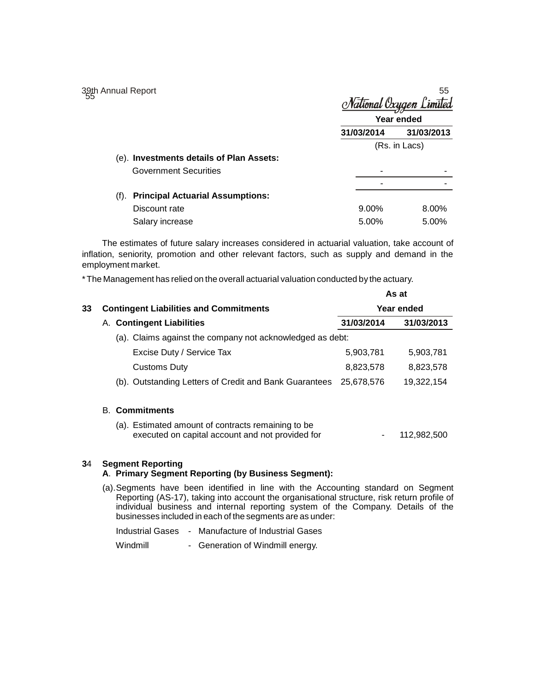39th Annual Report

| าual Report |                                          |            | 55<br><u> National Oxygen Limited</u> |
|-------------|------------------------------------------|------------|---------------------------------------|
|             |                                          |            | Year ended                            |
|             |                                          | 31/03/2014 | 31/03/2013                            |
|             |                                          |            | (Rs. in Lacs)                         |
|             | (e). Investments details of Plan Assets: |            |                                       |
|             | <b>Government Securities</b>             |            |                                       |
|             |                                          |            |                                       |
| $(f)$ .     | <b>Principal Actuarial Assumptions:</b>  |            |                                       |
|             | Discount rate                            | $9.00\%$   | 8.00%                                 |
|             | Salary increase                          | 5.00%      | 5.00%                                 |

The estimates of future salary increases considered in actuarial valuation, take account of inflation, seniority, promotion and other relevant factors, such as supply and demand in the employment market.

\*The Management has relied on the overall actuarial valuation conducted by the actuary.

|    |                                                                                                        |            | As at       |
|----|--------------------------------------------------------------------------------------------------------|------------|-------------|
| 33 | <b>Contingent Liabilities and Commitments</b>                                                          | Year ended |             |
|    | A. Contingent Liabilities                                                                              | 31/03/2014 | 31/03/2013  |
|    | (a). Claims against the company not acknowledged as debt:                                              |            |             |
|    | Excise Duty / Service Tax                                                                              | 5,903,781  | 5,903,781   |
|    | Customs Duty                                                                                           | 8,823,578  | 8,823,578   |
|    | (b). Outstanding Letters of Credit and Bank Guarantees                                                 | 25.678.576 | 19.322.154  |
|    | <b>B.</b> Commitments                                                                                  |            |             |
|    | (a). Estimated amount of contracts remaining to be<br>executed on capital account and not provided for |            | 112.982.500 |

#### **3**4 **Segment Reporting**

#### **A**. **Primary Segment Reporting (by Business Segment):**

(a).Segments have been identified in line with the Accounting standard on Segment Reporting (AS-17), taking into account the organisational structure, risk return profile of individual business and internal reporting system of the Company. Details of the businesses included in each of the segments are as under:

| Industrial Gases | Manufacture of Industrial Gases  |
|------------------|----------------------------------|
| Windmill         | - Generation of Windmill energy. |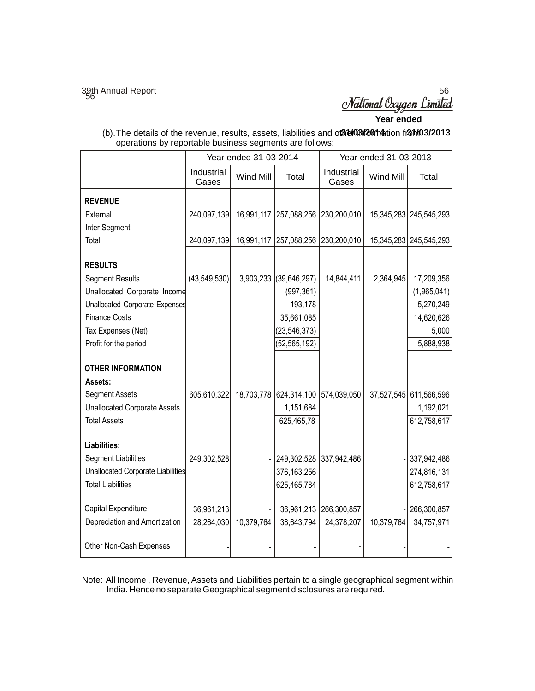56<br>39th Annual Report 56<br>5<del>6 ملک مر</del>اح 17<del>71 م</del>لک میں ایک مطالب میں ایک مطالب میں ایک مطالب میں ایک مطالب میں ایک مطالب میں ایک مطالب میں *<u>National Oxygen Limited*<br>Year ended</u>

| operations by reportable business segments are follows:      |                     |                       |                                    |                                    |            |                          |
|--------------------------------------------------------------|---------------------|-----------------------|------------------------------------|------------------------------------|------------|--------------------------|
|                                                              |                     | Year ended 31-03-2014 |                                    | Year ended 31-03-2013              |            |                          |
|                                                              | Industrial<br>Gases | Wind Mill             | Total                              | Industrial<br>Gases                | Wind Mill  | Total                    |
| <b>REVENUE</b>                                               |                     |                       |                                    |                                    |            |                          |
| External                                                     | 240,097,139         |                       |                                    | 16,991,117 257,088,256 230,200,010 |            | 15,345,283 245,545,293   |
| Inter Segment                                                |                     |                       |                                    |                                    |            |                          |
| Total                                                        | 240,097,139         |                       | 16,991,117 257,088,256 230,200,010 |                                    |            | 15,345,283 245,545,293   |
|                                                              |                     |                       |                                    |                                    |            |                          |
| <b>RESULTS</b>                                               |                     |                       |                                    |                                    |            |                          |
| <b>Segment Results</b>                                       | (43, 549, 530)      |                       | 3,903,233 (39,646,297)             | 14,844,411                         | 2,364,945  | 17,209,356               |
| Unallocated Corporate Income                                 |                     |                       | (997, 361)                         |                                    |            | (1,965,041)              |
| Unallocated Corporate Expenses                               |                     |                       | 193,178                            |                                    |            | 5,270,249                |
| <b>Finance Costs</b>                                         |                     |                       | 35,661,085                         |                                    |            | 14,620,626               |
| Tax Expenses (Net)                                           |                     |                       | (23, 546, 373)                     |                                    |            | 5,000                    |
| Profit for the period                                        |                     |                       | (52, 565, 192)                     |                                    |            | 5,888,938                |
|                                                              |                     |                       |                                    |                                    |            |                          |
| <b>OTHER INFORMATION</b>                                     |                     |                       |                                    |                                    |            |                          |
| Assets:                                                      |                     |                       |                                    |                                    |            |                          |
| <b>Segment Assets</b><br><b>Unallocated Corporate Assets</b> | 605,610,322         | 18,703,778            | 624,314,100 574,039,050            |                                    |            | 37,527,545 611,566,596   |
| <b>Total Assets</b>                                          |                     |                       | 1,151,684<br>625,465,78            |                                    |            | 1,192,021<br>612,758,617 |
|                                                              |                     |                       |                                    |                                    |            |                          |
| Liabilities:                                                 |                     |                       |                                    |                                    |            |                          |
| <b>Segment Liabilities</b>                                   | 249,302,528         |                       |                                    | 249,302,528 337,942,486            |            | 337,942,486              |
| <b>Unallocated Corporate Liabilities</b>                     |                     |                       | 376,163,256                        |                                    |            | 274,816,131              |
| <b>Total Liabilities</b>                                     |                     |                       | 625,465,784                        |                                    |            | 612,758,617              |
|                                                              |                     |                       |                                    |                                    |            |                          |
| Capital Expenditure                                          | 36,961,213          |                       | 36,961,213                         | 266,300,857                        |            | 266,300,857              |
| Depreciation and Amortization                                | 28,264,030          | 10,379,764            | 38,643,794                         | 24,378,207                         | 10,379,764 | 34,757,971               |
| Other Non-Cash Expenses                                      |                     |                       |                                    |                                    |            |                          |

(b). The details of the revenue, results, assets, liabilities and ot**&bl0a/2014** ation fr**31/03/2013** operations by reportable business segments are follows:

Note: All Income , Revenue, Assets and Liabilities pertain to a single geographical segment within India. Hence no separate Geographical segment disclosures are required.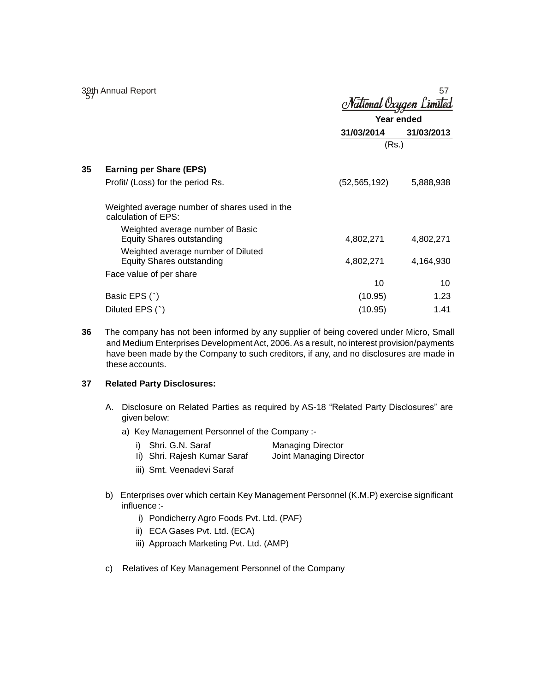|    | <u>39t</u> h Annual Report                                             |                | 57<br><u> National Oxygen Limited</u> |
|----|------------------------------------------------------------------------|----------------|---------------------------------------|
|    |                                                                        |                | Year ended                            |
|    |                                                                        | 31/03/2014     | 31/03/2013                            |
|    |                                                                        | (Rs.)          |                                       |
| 35 | <b>Earning per Share (EPS)</b>                                         |                |                                       |
|    | Profit/ (Loss) for the period Rs.                                      | (52, 565, 192) | 5,888,938                             |
|    | Weighted average number of shares used in the<br>calculation of EPS:   |                |                                       |
|    | Weighted average number of Basic<br><b>Equity Shares outstanding</b>   | 4,802,271      | 4,802,271                             |
|    | Weighted average number of Diluted<br><b>Equity Shares outstanding</b> | 4,802,271      | 4,164,930                             |
|    | Face value of per share                                                |                |                                       |
|    |                                                                        | 10             | 10                                    |
|    | Basic EPS (`)                                                          | (10.95)        | 1.23                                  |
|    | Diluted EPS $(^{\circ})$                                               | (10.95)        | 1.41                                  |

**36** The company has not been informed by any supplier of being covered under Micro, Small and Medium Enterprises Development Act, 2006. As a result, no interest provision/payments have been made by the Company to such creditors, if any, and no disclosures are made in these accounts.

#### **37 Related Party Disclosures:**

- A. Disclosure on Related Parties as required by AS-18 "Related Party Disclosures" are given below:
	- a) Key Management Personnel of the Company :
		- i) Shri. G.N. Saraf Managing Director
		- Ii) Shri. Rajesh Kumar Saraf Joint Managing Director
		- iii) Smt. Veenadevi Saraf
- b) Enterprises over which certain Key Management Personnel (K.M.P) exercise significant influence :
	- i) Pondicherry Agro Foods Pvt. Ltd. (PAF)
	- ii) ECA Gases Pvt. Ltd. (ECA)
	- iii) Approach Marketing Pvt. Ltd. (AMP)
- c) Relatives of Key Management Personnel of the Company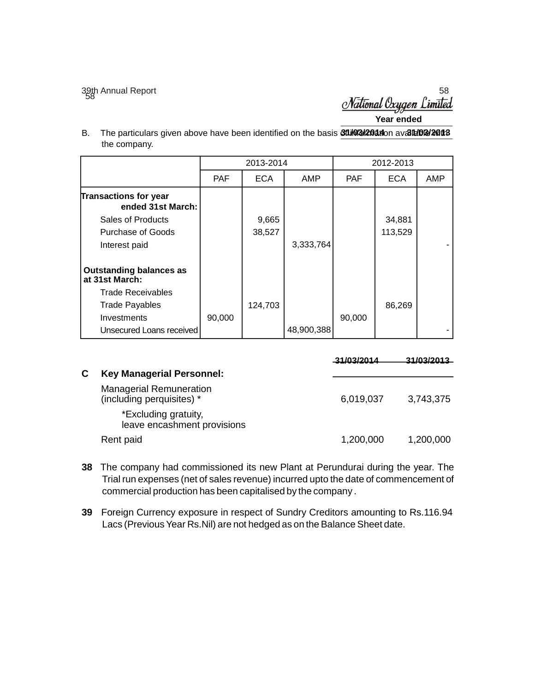39th Annual Report 58 58 **Year ended**

B. The particulars given above have been identified on the basis **31 in53/2021 for availd09/2013** the company.

|                                                  | 2013-2014  |            | 2012-2013  |            |            |     |
|--------------------------------------------------|------------|------------|------------|------------|------------|-----|
|                                                  | <b>PAF</b> | <b>ECA</b> | AMP        | <b>PAF</b> | <b>ECA</b> | AMP |
| Transactions for year<br>ended 31st March:       |            |            |            |            |            |     |
| Sales of Products                                |            | 9,665      |            |            | 34,881     |     |
| Purchase of Goods                                |            | 38,527     |            |            | 113,529    |     |
| Interest paid                                    |            |            | 3,333,764  |            |            |     |
| <b>Outstanding balances as</b><br>at 31st March: |            |            |            |            |            |     |
| <b>Trade Receivables</b>                         |            |            |            |            |            |     |
| <b>Trade Payables</b>                            |            | 124,703    |            |            | 86,269     |     |
| Investments                                      | 90,000     |            |            | 90,000     |            |     |
| Unsecured Loans received                         |            |            | 48,900,388 |            |            |     |

|    |                                                             | $-31/03/2014$ | 31/03/2013 |
|----|-------------------------------------------------------------|---------------|------------|
| C. | <b>Key Managerial Personnel:</b>                            |               |            |
|    | <b>Managerial Remuneration</b><br>(including perquisites) * | 6,019,037     | 3,743,375  |
|    | *Excluding gratuity,<br>leave encashment provisions         |               |            |
|    | Rent paid                                                   | 1,200,000     | 1,200,000  |

- **38** The company had commissioned its new Plant at Perundurai during the year. The Trial run expenses (net of sales revenue) incurred upto the date of commencement of commercial production has been capitalised by the company .
- **39** Foreign Currency exposure in respect of Sundry Creditors amounting to Rs.116.94 Lacs (Previous Year Rs.Nil) are not hedged as on the Balance Sheet date.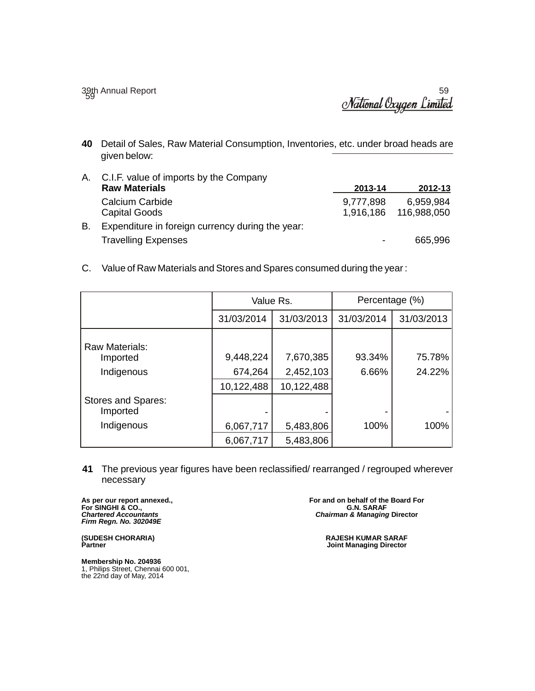39th Annual Report 59<br>59 **Mational Oxygen Limited** 

**40** Detail of Sales, Raw Material Consumption, Inventories, etc. under broad heads are given below:

|    | A. C.I.F. value of imports by the Company        |                          |             |
|----|--------------------------------------------------|--------------------------|-------------|
|    | <b>Raw Materials</b>                             | 2013-14                  | 2012-13     |
|    | Calcium Carbide                                  | 9,777,898                | 6,959,984   |
|    | <b>Capital Goods</b>                             | 1,916,186                | 116,988,050 |
| В. | Expenditure in foreign currency during the year: |                          |             |
|    | <b>Travelling Expenses</b>                       | $\overline{\phantom{0}}$ | 665,996     |

C. Value of Raw Materials and Stores and Spares consumed during the year :

|                                | Value Rs.  |            | Percentage (%) |            |
|--------------------------------|------------|------------|----------------|------------|
|                                | 31/03/2014 | 31/03/2013 | 31/03/2014     | 31/03/2013 |
| <b>Raw Materials:</b>          | 9,448,224  | 7,670,385  | 93.34%         | 75.78%     |
| Imported<br>Indigenous         | 674,264    | 2,452,103  | 6.66%          | 24.22%     |
|                                | 10,122,488 | 10,122,488 |                |            |
| Stores and Spares:<br>Imported |            |            |                |            |
| Indigenous                     | 6,067,717  | 5,483,806  | 100%           | 100%       |
|                                | 6,067,717  | 5,483,806  |                |            |

**41** The previous year figures have been reclassified/ rearranged / regrouped wherever necessary

**For SINGHI & CO., G.N. SARAF**  *Firm Regn. No. 302049E*

As per our report annexed., **For and on behalf of the Board For** *Chartered Accountants Chairman & Managing* **Director** 

**Membership No. 204936** 1, Philips Street, Chennai 600 001, the 22nd day of May, 2014

**(SUDESH CHORARIA) RAJESH KUMAR SARAF Joint Managing Director**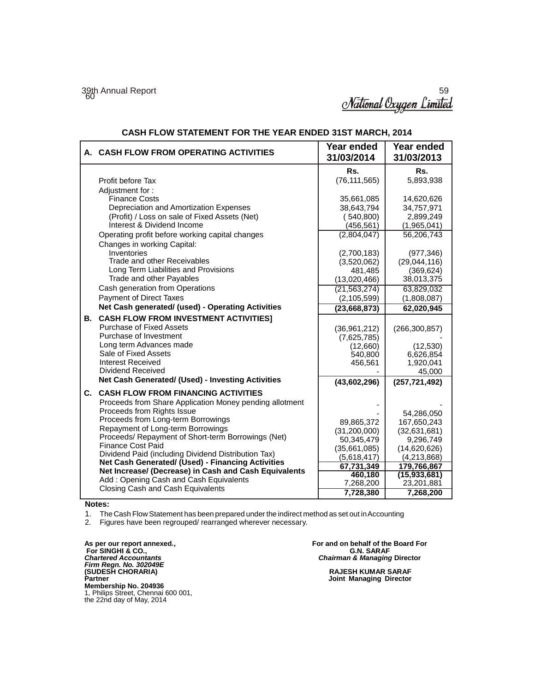39th Annual Report <sup>59</sup> <sup>60</sup>

|    | A. CASH FLOW FROM OPERATING ACTIVITIES                                                | Year ended<br>31/03/2014     | Year ended<br>31/03/2013    |
|----|---------------------------------------------------------------------------------------|------------------------------|-----------------------------|
|    |                                                                                       | Rs.                          | Rs.                         |
|    | Profit before Tax                                                                     | (76, 111, 565)               | 5,893,938                   |
|    | Adjustment for:                                                                       |                              |                             |
|    | <b>Finance Costs</b>                                                                  | 35,661,085                   | 14,620,626                  |
|    | Depreciation and Amortization Expenses                                                | 38,643,794                   | 34,757,971                  |
|    | (Profit) / Loss on sale of Fixed Assets (Net)                                         | (540,800)                    | 2,899,249                   |
|    | Interest & Dividend Income                                                            | (456, 561)                   | (1,965,041)                 |
|    | Operating profit before working capital changes                                       | (2,804,047)                  | 56,206,743                  |
|    | Changes in working Capital:<br>Inventories                                            |                              |                             |
|    | Trade and other Receivables                                                           | (2,700,183)<br>(3,520,062)   | (977, 346)<br>(29,044,116)  |
|    | Long Term Liabilities and Provisions                                                  | 481,485                      | (369, 624)                  |
|    | Trade and other Payables                                                              | (13,020,466)                 | 38,013,375                  |
|    | Cash generation from Operations                                                       | (21, 563, 274)               | 63,829,032                  |
|    | <b>Payment of Direct Taxes</b>                                                        | (2, 105, 599)                | (1,808,087)                 |
|    | Net Cash generated/ (used) - Operating Activities                                     | (23, 668, 873)               | 62,020,945                  |
|    | <b>B. CASH FLOW FROM INVESTMENT ACTIVITIES]</b>                                       |                              |                             |
|    | <b>Purchase of Fixed Assets</b>                                                       | (36,961,212)                 | (266, 300, 857)             |
|    | Purchase of Investment                                                                | (7,625,785)                  |                             |
|    | Long term Advances made                                                               | (12,660)                     | (12, 530)                   |
|    | Sale of Fixed Assets                                                                  | 540,800                      | 6,626,854                   |
|    | <b>Interest Received</b><br>Dividend Received                                         | 456,561                      | 1,920,041                   |
|    | Net Cash Generated/ (Used) - Investing Activities                                     |                              | 45,000                      |
|    |                                                                                       | (43,602,296)                 | (257, 721, 492)             |
| C. | <b>CASH FLOW FROM FINANCING ACTIVITIES</b>                                            |                              |                             |
|    | Proceeds from Share Application Money pending allotment<br>Proceeds from Rights Issue |                              |                             |
|    | Proceeds from Long-term Borrowings                                                    |                              | 54,286,050                  |
|    | Repayment of Long-term Borrowings                                                     | 89,865,372                   | 167,650,243                 |
|    | Proceeds/ Repayment of Short-term Borrowings (Net)                                    | (31, 200, 000)<br>50,345,479 | (32, 631, 681)<br>9,296,749 |
|    | <b>Finance Cost Paid</b>                                                              | (35,661,085)                 | (14,620,626)                |
|    | Dividend Paid (including Dividend Distribution Tax)                                   | (5,618,417)                  | (4,213,868)                 |
|    | Net Cash Generated/ (Used) - Financing Activities                                     | 67,731,349                   | 179,766,867                 |
|    | Net Increase/ (Decrease) in Cash and Cash Equivalents                                 | 460,180                      | (15,933,681)                |
|    | Add: Opening Cash and Cash Equivalents                                                | 7,268,200                    | 23,201,881                  |
|    | Closing Cash and Cash Equivalents                                                     | 7,728,380                    | 7,268,200                   |

#### **CASH FLOW STATEMENT FOR THE YEAR ENDED 31ST MARCH, 2014**

**Notes:**

1. The Cash Flow Statement has been prepared under the indirect method as set out in Accounting

2. Figures have been regrouped/ rearranged wherever necessary.

**For SINGHI & CO., G.N. SARAF**  *Firm Regn. No. 302049E* **(SUDESH CHORARIA) RAJESH KUMAR SARAF Partner Joint Managing Director Membership No. 204936** 1, Philips Street, Chennai 600 001, the 22nd day of May, 2014

As per our report annexed., **For an about 1** For and on behalf of the Board For *Chartered Accountants Chairman & Managing* **Director**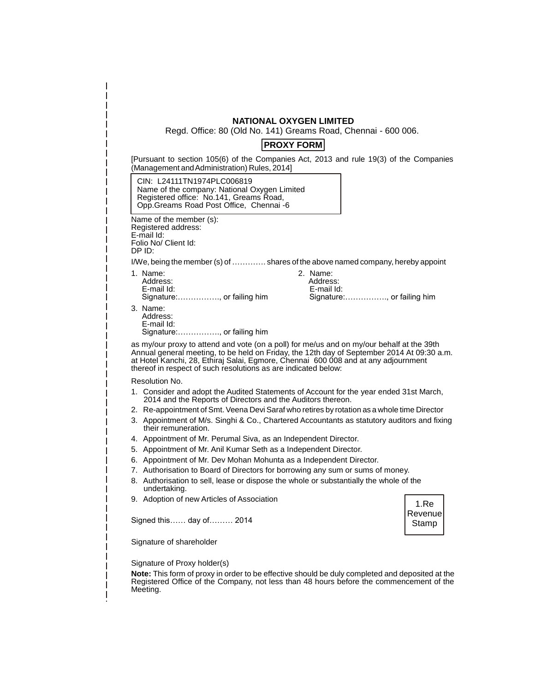| Regd. Office: 80 (Old No. 141) Greams Road, Chennai - 600 006.                                                                                                                                                                                                                                                                                  |                  |
|-------------------------------------------------------------------------------------------------------------------------------------------------------------------------------------------------------------------------------------------------------------------------------------------------------------------------------------------------|------------------|
| <b>PROXY FORM</b>                                                                                                                                                                                                                                                                                                                               |                  |
| [Pursuant to section 105(6) of the Companies Act, 2013 and rule 19(3) of the Companies<br>(Management and Administration) Rules, 2014]                                                                                                                                                                                                          |                  |
| CIN: L24111TN1974PLC006819<br>Name of the company: National Oxygen Limited<br>Registered office: No.141, Greams Road,<br>Opp. Greams Road Post Office, Chennai -6                                                                                                                                                                               |                  |
| Name of the member (s):<br>Registered address:<br>E-mail Id:<br>Folio No/ Client Id:<br>DP ID:                                                                                                                                                                                                                                                  |                  |
| I/We, being the member (s) of  shares of the above named company, hereby appoint                                                                                                                                                                                                                                                                |                  |
| 1. Name:<br>2. Name:<br>Address:<br>Address:<br>E-mail Id:<br>E-mail Id:<br>Signature:, or failing him<br>Signature:, or failing him                                                                                                                                                                                                            |                  |
| 3. Name:<br>Address:<br>E-mail Id:<br>Signature:, or failing him                                                                                                                                                                                                                                                                                |                  |
| as my/our proxy to attend and vote (on a poll) for me/us and on my/our behalf at the 39th<br>Annual general meeting, to be held on Friday, the 12th day of September 2014 At 09:30 a.m.<br>at Hotel Kanchi, 28, Ethiraj Salai, Egmore, Chennai 600 008 and at any adjournment<br>thereof in respect of such resolutions as are indicated below: |                  |
| Resolution No.                                                                                                                                                                                                                                                                                                                                  |                  |
| 1. Consider and adopt the Audited Statements of Account for the year ended 31st March,<br>2014 and the Reports of Directors and the Auditors thereon.                                                                                                                                                                                           |                  |
| 2. Re-appointment of Smt. Veena Devi Saraf who retires by rotation as a whole time Director                                                                                                                                                                                                                                                     |                  |
| 3. Appointment of M/s. Singhi & Co., Chartered Accountants as statutory auditors and fixing<br>their remuneration.                                                                                                                                                                                                                              |                  |
| 4. Appointment of Mr. Perumal Siva, as an Independent Director.                                                                                                                                                                                                                                                                                 |                  |
| 5. Appointment of Mr. Anil Kumar Seth as a Independent Director.                                                                                                                                                                                                                                                                                |                  |
| 6. Appointment of Mr. Dev Mohan Mohunta as a Independent Director.                                                                                                                                                                                                                                                                              |                  |
| 7. Authorisation to Board of Directors for borrowing any sum or sums of money.<br>8. Authorisation to sell, lease or dispose the whole or substantially the whole of the<br>undertaking.                                                                                                                                                        |                  |
| 9. Adoption of new Articles of Association                                                                                                                                                                                                                                                                                                      | 1.Re             |
| Signed this day of 2014                                                                                                                                                                                                                                                                                                                         | Revenue<br>Stamp |
| Signature of shareholder                                                                                                                                                                                                                                                                                                                        |                  |
|                                                                                                                                                                                                                                                                                                                                                 |                  |

I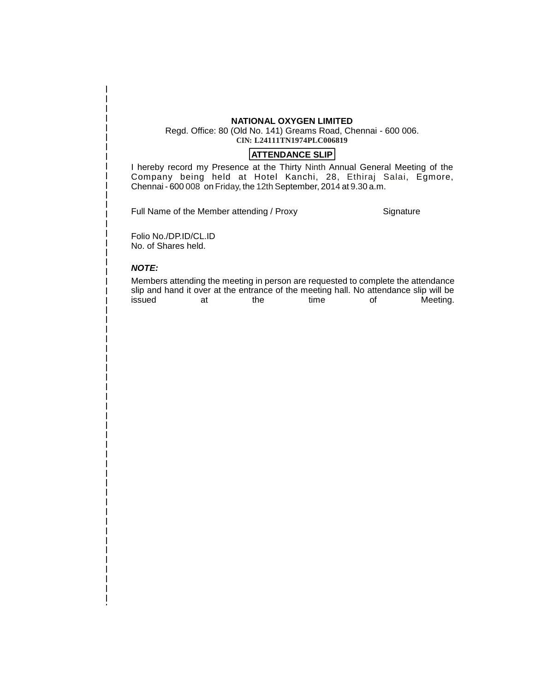#### **NATIONAL OXYGEN LIMITED**

Regd. Office: 80 (Old No. 141) Greams Road, Chennai - 600 006. **CIN: L24111TN1974PLC006819**

#### **ATTENDANCE SLIP**

I hereby record my Presence at the Thirty Ninth Annual General Meeting of the Company being held at Hotel Kanchi, 28, Ethiraj Salai, Egmore, Chennai- 600 008 on Friday, the 12th September, 2014 at 9.30 a.m.

Full Name of the Member attending / Proxy Signature

Folio No./DP.ID/CL.ID No. of Shares held.

#### *NOTE:*

Members attending the meeting in person are requested to complete the attendance slip and hand it over at the entrance of the meeting hall. No attendance slip will be issued at the time of Meeting.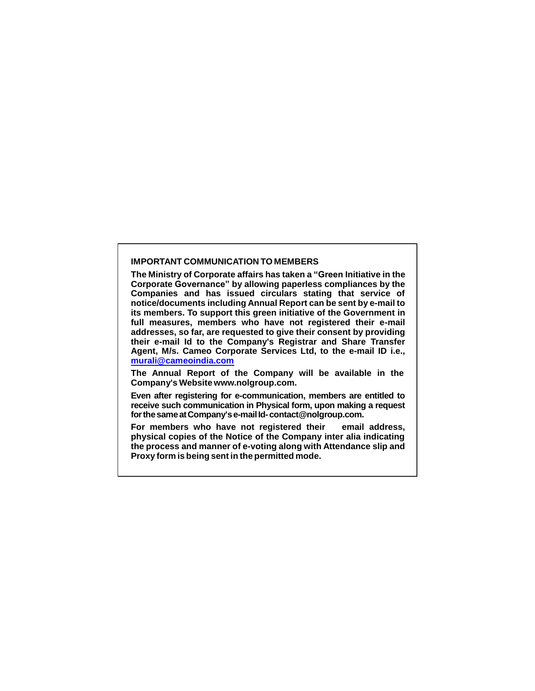#### **IMPORTANT COMMUNICATION TO MEMBERS**

**The Ministry of Corporate affairs has taken a "Green Initiative in the Corporate Governance" by allowing paperless compliances by the Companies and has issued circulars stating that service of notice/documents including Annual Report can be sent by e-mail to its members. To support this green initiative of the Government in full measures, members who have not registered their e-mail addresses, so far, are requested to give their consent by providing their e-mail Id to the Company's Registrar and Share Transfer Agent, M/s. Cameo Corporate Services Ltd, to the e-mail ID i.e.[,](mailto:%20murali@cameoindia.com) [murali@cameoindia.com](mailto:%20murali@cameoindia.com)**

**The Annual Report of the Company will be available in the Company's Website [www.nolgroup.com.](http://www.nolgroup.com/)**

**Even after registering for e-communication, members are entitled to receive such communication in Physical form, upon making a request forthesameatCompany'se-mailId[-contact@nolgroup.com.](mailto:contact@nolgroup.com)**

**For members who have not registered their email address, physical copies of the Notice of the Company inter alia indicating the process and manner of e-voting along with Attendance slip and Proxy form is being sent in the permitted mode.**